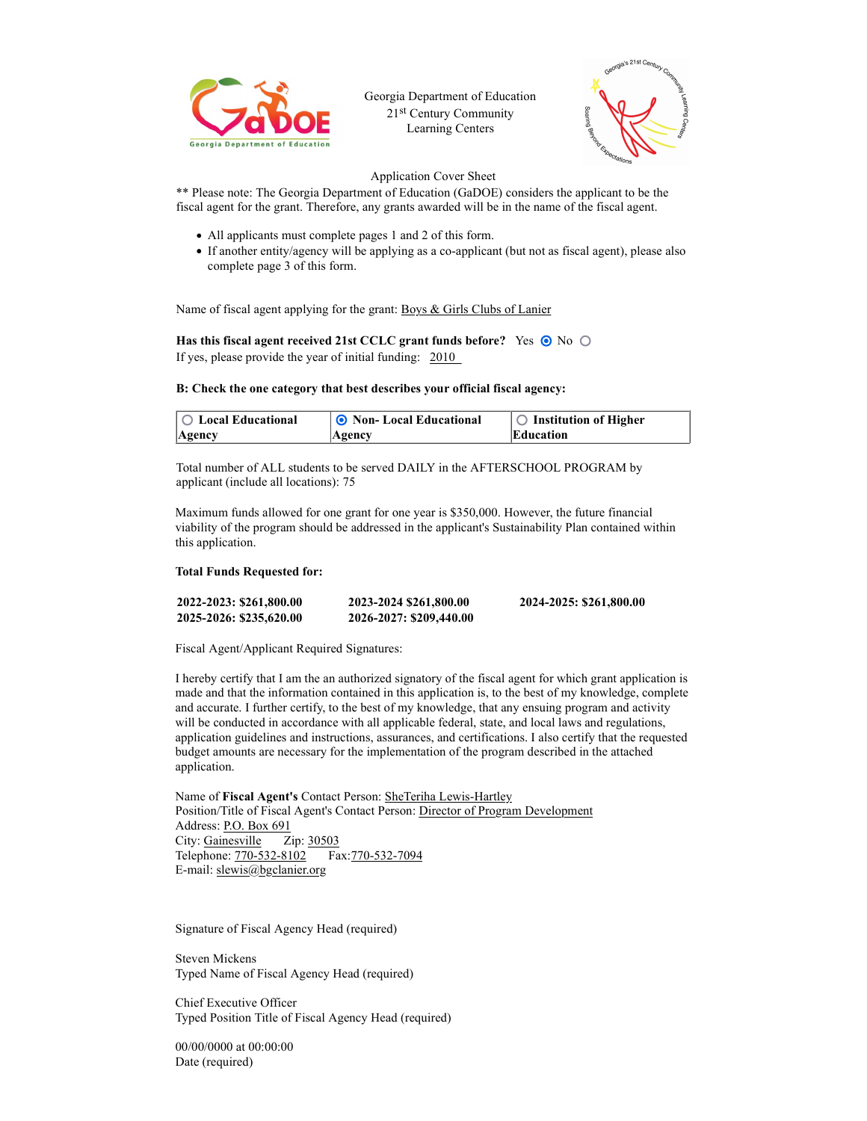

Georgia Department of Education 21st Century Community Learning Centers



# Application Cover Sheet

\*\* Please note: The Georgia Department of Education (GaDOE) considers the applicant to be the fiscal agent for the grant. Therefore, any grants awarded will be in the name of the fiscal agent.

- All applicants must complete pages 1 and 2 of this form.
- If another entity/agency will be applying as a co-applicant (but not as fiscal agent), please also complete page 3 of this form.

Name of fiscal agent applying for the grant: Boys & Girls Clubs of Lanier

Has this fiscal agent received 21st CCLC grant funds before? Yes  $\odot$  No  $\odot$ If yes, please provide the year of initial funding: 2010

## B: Check the one category that best describes your official fiscal agency:

| $\circ$ Local Educational | <b>O</b> Non-Local Educational | $\circ$ Institution of Higher |
|---------------------------|--------------------------------|-------------------------------|
| Agency                    | $A$ gency                      | Education                     |

Total number of ALL students to be served DAILY in the AFTERSCHOOL PROGRAM by applicant (include all locations): 75

Maximum funds allowed for one grant for one year is \$350,000. However, the future financial viability of the program should be addressed in the applicant's Sustainability Plan contained within this application.

#### Total Funds Requested for:

| 2022-2023: \$261,800.00 | 2023-2024 \$261,800.00  | 2024-2025: \$261,800.00 |
|-------------------------|-------------------------|-------------------------|
| 2025-2026: \$235,620.00 | 2026-2027: \$209,440.00 |                         |

Fiscal Agent/Applicant Required Signatures:

I hereby certify that I am the an authorized signatory of the fiscal agent for which grant application is made and that the information contained in this application is, to the best of my knowledge, complete and accurate. I further certify, to the best of my knowledge, that any ensuing program and activity will be conducted in accordance with all applicable federal, state, and local laws and regulations, application guidelines and instructions, assurances, and certifications. I also certify that the requested budget amounts are necessary for the implementation of the program described in the attached application.

Name of Fiscal Agent's Contact Person: SheTeriha Lewis-Hartley Position/Title of Fiscal Agent's Contact Person: Director of Program Development Address: P.O. Box 691 City: Gainesville Zip: 30503 Telephone: 770-532-8102 Fax:770-532-7094 E-mail: slewis@bgclanier.org

Signature of Fiscal Agency Head (required)

Steven Mickens Typed Name of Fiscal Agency Head (required)

Chief Executive Officer Typed Position Title of Fiscal Agency Head (required)

00/00/0000 at 00:00:00 Date (required)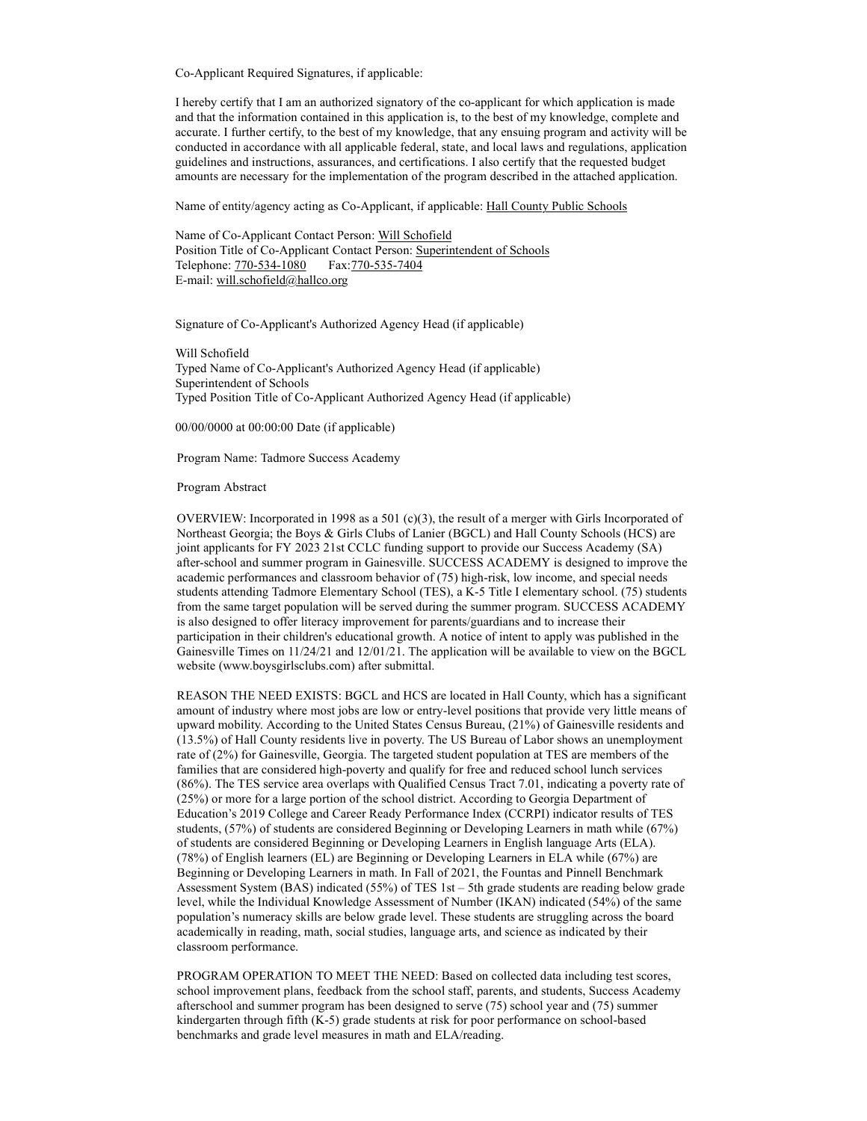Co-Applicant Required Signatures, if applicable:

I hereby certify that I am an authorized signatory of the co-applicant for which application is made and that the information contained in this application is, to the best of my knowledge, complete and accurate. I further certify, to the best of my knowledge, that any ensuing program and activity will be conducted in accordance with all applicable federal, state, and local laws and regulations, application guidelines and instructions, assurances, and certifications. I also certify that the requested budget amounts are necessary for the implementation of the program described in the attached application.

Name of entity/agency acting as Co-Applicant, if applicable: Hall County Public Schools

Name of Co-Applicant Contact Person: Will Schofield Position Title of Co-Applicant Contact Person: Superintendent of Schools Telephone: 770-534-1080 Fax: 770-535-7404 E-mail: will.schofield@hallco.org

Signature of Co-Applicant's Authorized Agency Head (if applicable)

Will Schofield Typed Name of Co-Applicant's Authorized Agency Head (if applicable) Superintendent of Schools Typed Position Title of Co-Applicant Authorized Agency Head (if applicable)

00/00/0000 at 00:00:00 Date (if applicable)

Program Name: Tadmore Success Academy

#### Program Abstract

OVERVIEW: Incorporated in 1998 as a 501  $(c)(3)$ , the result of a merger with Girls Incorporated of Northeast Georgia; the Boys & Girls Clubs of Lanier (BGCL) and Hall County Schools (HCS) are joint applicants for FY 2023 21st CCLC funding support to provide our Success Academy (SA) after-school and summer program in Gainesville. SUCCESS ACADEMY is designed to improve the academic performances and classroom behavior of (75) high-risk, low income, and special needs students attending Tadmore Elementary School (TES), a K-5 Title I elementary school. (75) students from the same target population will be served during the summer program. SUCCESS ACADEMY is also designed to offer literacy improvement for parents/guardians and to increase their participation in their children's educational growth. A notice of intent to apply was published in the Gainesville Times on 11/24/21 and 12/01/21. The application will be available to view on the BGCL website (www.boysgirlsclubs.com) after submittal.

REASON THE NEED EXISTS: BGCL and HCS are located in Hall County, which has a significant amount of industry where most jobs are low or entry-level positions that provide very little means of upward mobility. According to the United States Census Bureau, (21%) of Gainesville residents and (13.5%) of Hall County residents live in poverty. The US Bureau of Labor shows an unemployment rate of (2%) for Gainesville, Georgia. The targeted student population at TES are members of the families that are considered high-poverty and qualify for free and reduced school lunch services (86%). The TES service area overlaps with Qualified Census Tract 7.01, indicating a poverty rate of (25%) or more for a large portion of the school district. According to Georgia Department of Education's 2019 College and Career Ready Performance Index (CCRPI) indicator results of TES students, (57%) of students are considered Beginning or Developing Learners in math while (67%) of students are considered Beginning or Developing Learners in English language Arts (ELA). (78%) of English learners (EL) are Beginning or Developing Learners in ELA while (67%) are Beginning or Developing Learners in math. In Fall of 2021, the Fountas and Pinnell Benchmark Assessment System (BAS) indicated (55%) of TES 1st – 5th grade students are reading below grade level, while the Individual Knowledge Assessment of Number (IKAN) indicated (54%) of the same population's numeracy skills are below grade level. These students are struggling across the board academically in reading, math, social studies, language arts, and science as indicated by their classroom performance.

PROGRAM OPERATION TO MEET THE NEED: Based on collected data including test scores, school improvement plans, feedback from the school staff, parents, and students, Success Academy afterschool and summer program has been designed to serve (75) school year and (75) summer kindergarten through fifth (K-5) grade students at risk for poor performance on school-based benchmarks and grade level measures in math and ELA/reading.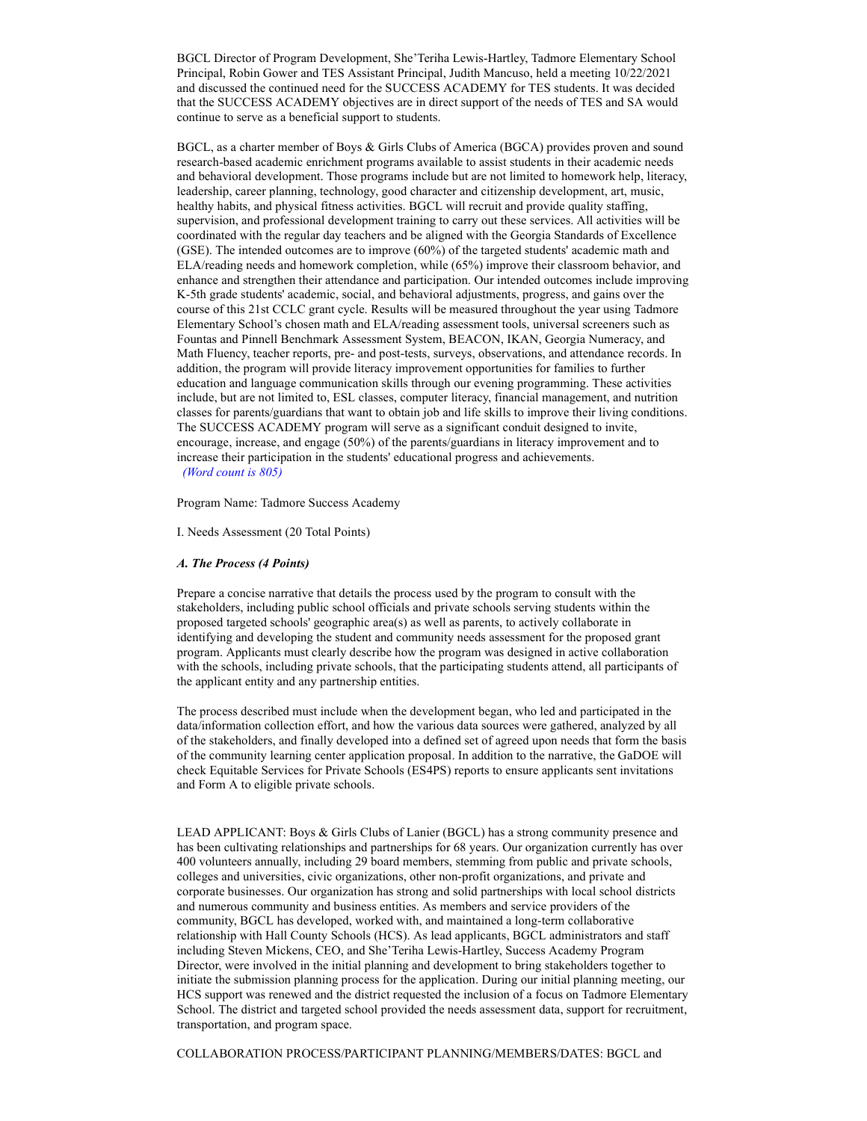BGCL Director of Program Development, She'Teriha Lewis-Hartley, Tadmore Elementary School Principal, Robin Gower and TES Assistant Principal, Judith Mancuso, held a meeting 10/22/2021 and discussed the continued need for the SUCCESS ACADEMY for TES students. It was decided that the SUCCESS ACADEMY objectives are in direct support of the needs of TES and SA would continue to serve as a beneficial support to students.

BGCL, as a charter member of Boys & Girls Clubs of America (BGCA) provides proven and sound research-based academic enrichment programs available to assist students in their academic needs and behavioral development. Those programs include but are not limited to homework help, literacy, leadership, career planning, technology, good character and citizenship development, art, music, healthy habits, and physical fitness activities. BGCL will recruit and provide quality staffing, supervision, and professional development training to carry out these services. All activities will be coordinated with the regular day teachers and be aligned with the Georgia Standards of Excellence (GSE). The intended outcomes are to improve (60%) of the targeted students' academic math and ELA/reading needs and homework completion, while (65%) improve their classroom behavior, and enhance and strengthen their attendance and participation. Our intended outcomes include improving K-5th grade students' academic, social, and behavioral adjustments, progress, and gains over the course of this 21st CCLC grant cycle. Results will be measured throughout the year using Tadmore Elementary School's chosen math and ELA/reading assessment tools, universal screeners such as Fountas and Pinnell Benchmark Assessment System, BEACON, IKAN, Georgia Numeracy, and Math Fluency, teacher reports, pre- and post-tests, surveys, observations, and attendance records. In addition, the program will provide literacy improvement opportunities for families to further education and language communication skills through our evening programming. These activities include, but are not limited to, ESL classes, computer literacy, financial management, and nutrition classes for parents/guardians that want to obtain job and life skills to improve their living conditions. The SUCCESS ACADEMY program will serve as a significant conduit designed to invite, encourage, increase, and engage (50%) of the parents/guardians in literacy improvement and to increase their participation in the students' educational progress and achievements. (Word count is 805)

Program Name: Tadmore Success Academy

I. Needs Assessment (20 Total Points)

#### A. The Process (4 Points)

Prepare a concise narrative that details the process used by the program to consult with the stakeholders, including public school officials and private schools serving students within the proposed targeted schools' geographic area(s) as well as parents, to actively collaborate in identifying and developing the student and community needs assessment for the proposed grant program. Applicants must clearly describe how the program was designed in active collaboration with the schools, including private schools, that the participating students attend, all participants of the applicant entity and any partnership entities.

The process described must include when the development began, who led and participated in the data/information collection effort, and how the various data sources were gathered, analyzed by all of the stakeholders, and finally developed into a defined set of agreed upon needs that form the basis of the community learning center application proposal. In addition to the narrative, the GaDOE will check Equitable Services for Private Schools (ES4PS) reports to ensure applicants sent invitations and Form A to eligible private schools.

LEAD APPLICANT: Boys & Girls Clubs of Lanier (BGCL) has a strong community presence and has been cultivating relationships and partnerships for 68 years. Our organization currently has over 400 volunteers annually, including 29 board members, stemming from public and private schools, colleges and universities, civic organizations, other non-profit organizations, and private and corporate businesses. Our organization has strong and solid partnerships with local school districts and numerous community and business entities. As members and service providers of the community, BGCL has developed, worked with, and maintained a long-term collaborative relationship with Hall County Schools (HCS). As lead applicants, BGCL administrators and staff including Steven Mickens, CEO, and She'Teriha Lewis-Hartley, Success Academy Program Director, were involved in the initial planning and development to bring stakeholders together to initiate the submission planning process for the application. During our initial planning meeting, our HCS support was renewed and the district requested the inclusion of a focus on Tadmore Elementary School. The district and targeted school provided the needs assessment data, support for recruitment, transportation, and program space.

COLLABORATION PROCESS/PARTICIPANT PLANNING/MEMBERS/DATES: BGCL and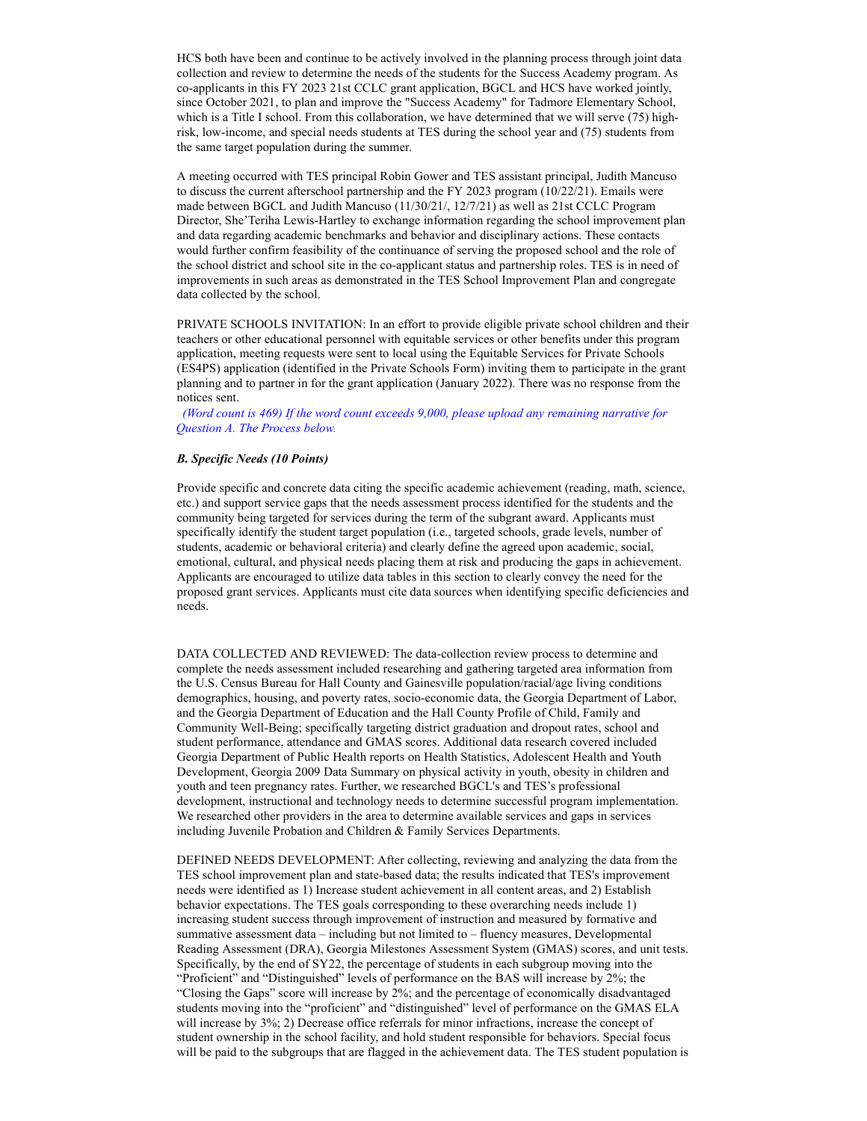HCS both have been and continue to be actively involved in the planning process through joint data collection and review to determine the needs of the students for the Success Academy program. As co-applicants in this FY 2023 21st CCLC grant application, BGCL and HCS have worked jointly, since October 2021, to plan and improve the "Success Academy" for Tadmore Elementary School, which is a Title I school. From this collaboration, we have determined that we will serve (75) highrisk, low-income, and special needs students at TES during the school year and (75) students from the same target population during the summer.

A meeting occurred with TES principal Robin Gower and TES assistant principal, Judith Mancuso to discuss the current afterschool partnership and the FY 2023 program (10/22/21). Emails were made between BGCL and Judith Mancuso (11/30/21/, 12/7/21) as well as 21st CCLC Program Director, She'Teriha Lewis-Hartley to exchange information regarding the school improvement plan and data regarding academic benchmarks and behavior and disciplinary actions. These contacts would further confirm feasibility of the continuance of serving the proposed school and the role of the school district and school site in the co-applicant status and partnership roles. TES is in need of improvements in such areas as demonstrated in the TES School Improvement Plan and congregate data collected by the school.

PRIVATE SCHOOLS INVITATION: In an effort to provide eligible private school children and their teachers or other educational personnel with equitable services or other benefits under this program application, meeting requests were sent to local using the Equitable Services for Private Schools (ES4PS) application (identified in the Private Schools Form) inviting them to participate in the grant planning and to partner in for the grant application (January 2022). There was no response from the notices sent.

 (Word count is 469) If the word count exceeds 9,000, please upload any remaining narrative for Question A. The Process below.

# B. Specific Needs (10 Points)

Provide specific and concrete data citing the specific academic achievement (reading, math, science, etc.) and support service gaps that the needs assessment process identified for the students and the community being targeted for services during the term of the subgrant award. Applicants must specifically identify the student target population (i.e., targeted schools, grade levels, number of students, academic or behavioral criteria) and clearly define the agreed upon academic, social, emotional, cultural, and physical needs placing them at risk and producing the gaps in achievement. Applicants are encouraged to utilize data tables in this section to clearly convey the need for the proposed grant services. Applicants must cite data sources when identifying specific deficiencies and needs.

DATA COLLECTED AND REVIEWED: The data-collection review process to determine and complete the needs assessment included researching and gathering targeted area information from the U.S. Census Bureau for Hall County and Gainesville population/racial/age living conditions demographics, housing, and poverty rates, socio-economic data, the Georgia Department of Labor, and the Georgia Department of Education and the Hall County Profile of Child, Family and Community Well-Being; specifically targeting district graduation and dropout rates, school and student performance, attendance and GMAS scores. Additional data research covered included Georgia Department of Public Health reports on Health Statistics, Adolescent Health and Youth Development, Georgia 2009 Data Summary on physical activity in youth, obesity in children and youth and teen pregnancy rates. Further, we researched BGCL's and TES's professional development, instructional and technology needs to determine successful program implementation. We researched other providers in the area to determine available services and gaps in services including Juvenile Probation and Children & Family Services Departments.

DEFINED NEEDS DEVELOPMENT: After collecting, reviewing and analyzing the data from the TES school improvement plan and state-based data; the results indicated that TES's improvement needs were identified as 1) Increase student achievement in all content areas, and 2) Establish behavior expectations. The TES goals corresponding to these overarching needs include 1) increasing student success through improvement of instruction and measured by formative and summative assessment data – including but not limited to – fluency measures, Developmental Reading Assessment (DRA), Georgia Milestones Assessment System (GMAS) scores, and unit tests. Specifically, by the end of SY22, the percentage of students in each subgroup moving into the "Proficient" and "Distinguished" levels of performance on the BAS will increase by 2%; the "Closing the Gaps" score will increase by 2%; and the percentage of economically disadvantaged students moving into the "proficient" and "distinguished" level of performance on the GMAS ELA will increase by 3%; 2) Decrease office referrals for minor infractions, increase the concept of student ownership in the school facility, and hold student responsible for behaviors. Special focus will be paid to the subgroups that are flagged in the achievement data. The TES student population is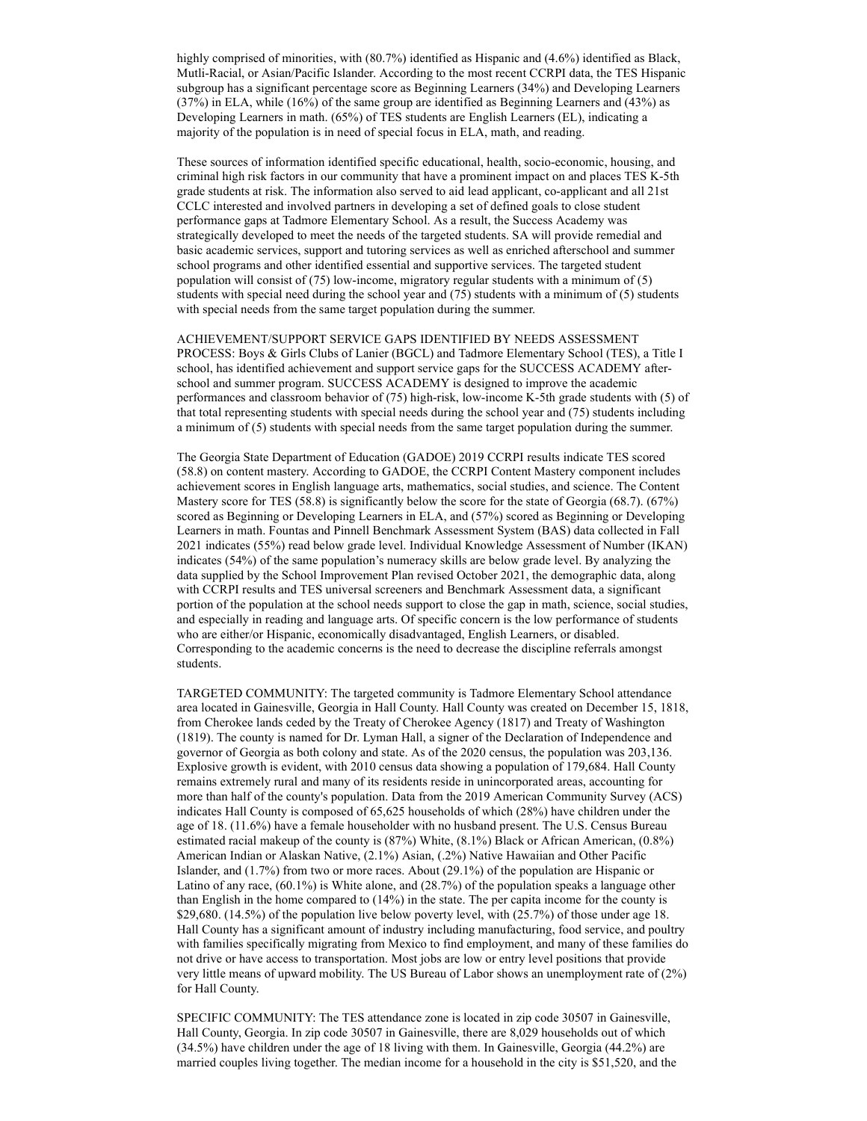highly comprised of minorities, with (80.7%) identified as Hispanic and (4.6%) identified as Black, Mutli-Racial, or Asian/Pacific Islander. According to the most recent CCRPI data, the TES Hispanic subgroup has a significant percentage score as Beginning Learners (34%) and Developing Learners (37%) in ELA, while (16%) of the same group are identified as Beginning Learners and (43%) as Developing Learners in math. (65%) of TES students are English Learners (EL), indicating a majority of the population is in need of special focus in ELA, math, and reading.

These sources of information identified specific educational, health, socio-economic, housing, and criminal high risk factors in our community that have a prominent impact on and places TES K-5th grade students at risk. The information also served to aid lead applicant, co-applicant and all 21st CCLC interested and involved partners in developing a set of defined goals to close student performance gaps at Tadmore Elementary School. As a result, the Success Academy was strategically developed to meet the needs of the targeted students. SA will provide remedial and basic academic services, support and tutoring services as well as enriched afterschool and summer school programs and other identified essential and supportive services. The targeted student population will consist of (75) low-income, migratory regular students with a minimum of (5) students with special need during the school year and (75) students with a minimum of (5) students with special needs from the same target population during the summer.

ACHIEVEMENT/SUPPORT SERVICE GAPS IDENTIFIED BY NEEDS ASSESSMENT PROCESS: Boys & Girls Clubs of Lanier (BGCL) and Tadmore Elementary School (TES), a Title I school, has identified achievement and support service gaps for the SUCCESS ACADEMY afterschool and summer program. SUCCESS ACADEMY is designed to improve the academic performances and classroom behavior of (75) high-risk, low-income K-5th grade students with (5) of that total representing students with special needs during the school year and (75) students including a minimum of (5) students with special needs from the same target population during the summer.

The Georgia State Department of Education (GADOE) 2019 CCRPI results indicate TES scored (58.8) on content mastery. According to GADOE, the CCRPI Content Mastery component includes achievement scores in English language arts, mathematics, social studies, and science. The Content Mastery score for TES (58.8) is significantly below the score for the state of Georgia (68.7). (67%) scored as Beginning or Developing Learners in ELA, and (57%) scored as Beginning or Developing Learners in math. Fountas and Pinnell Benchmark Assessment System (BAS) data collected in Fall 2021 indicates (55%) read below grade level. Individual Knowledge Assessment of Number (IKAN) indicates (54%) of the same population's numeracy skills are below grade level. By analyzing the data supplied by the School Improvement Plan revised October 2021, the demographic data, along with CCRPI results and TES universal screeners and Benchmark Assessment data, a significant portion of the population at the school needs support to close the gap in math, science, social studies, and especially in reading and language arts. Of specific concern is the low performance of students who are either/or Hispanic, economically disadvantaged, English Learners, or disabled. Corresponding to the academic concerns is the need to decrease the discipline referrals amongst students.

TARGETED COMMUNITY: The targeted community is Tadmore Elementary School attendance area located in Gainesville, Georgia in Hall County. Hall County was created on December 15, 1818, from Cherokee lands ceded by the Treaty of Cherokee Agency (1817) and Treaty of Washington (1819). The county is named for Dr. Lyman Hall, a signer of the Declaration of Independence and governor of Georgia as both colony and state. As of the 2020 census, the population was 203,136. Explosive growth is evident, with 2010 census data showing a population of 179,684. Hall County remains extremely rural and many of its residents reside in unincorporated areas, accounting for more than half of the county's population. Data from the 2019 American Community Survey (ACS) indicates Hall County is composed of 65,625 households of which (28%) have children under the age of 18. (11.6%) have a female householder with no husband present. The U.S. Census Bureau estimated racial makeup of the county is (87%) White, (8.1%) Black or African American, (0.8%) American Indian or Alaskan Native, (2.1%) Asian, (.2%) Native Hawaiian and Other Pacific Islander, and (1.7%) from two or more races. About (29.1%) of the population are Hispanic or Latino of any race, (60.1%) is White alone, and (28.7%) of the population speaks a language other than English in the home compared to (14%) in the state. The per capita income for the county is \$29,680. (14.5%) of the population live below poverty level, with (25.7%) of those under age 18. Hall County has a significant amount of industry including manufacturing, food service, and poultry with families specifically migrating from Mexico to find employment, and many of these families do not drive or have access to transportation. Most jobs are low or entry level positions that provide very little means of upward mobility. The US Bureau of Labor shows an unemployment rate of (2%) for Hall County.

SPECIFIC COMMUNITY: The TES attendance zone is located in zip code 30507 in Gainesville, Hall County, Georgia. In zip code 30507 in Gainesville, there are 8,029 households out of which (34.5%) have children under the age of 18 living with them. In Gainesville, Georgia (44.2%) are married couples living together. The median income for a household in the city is \$51,520, and the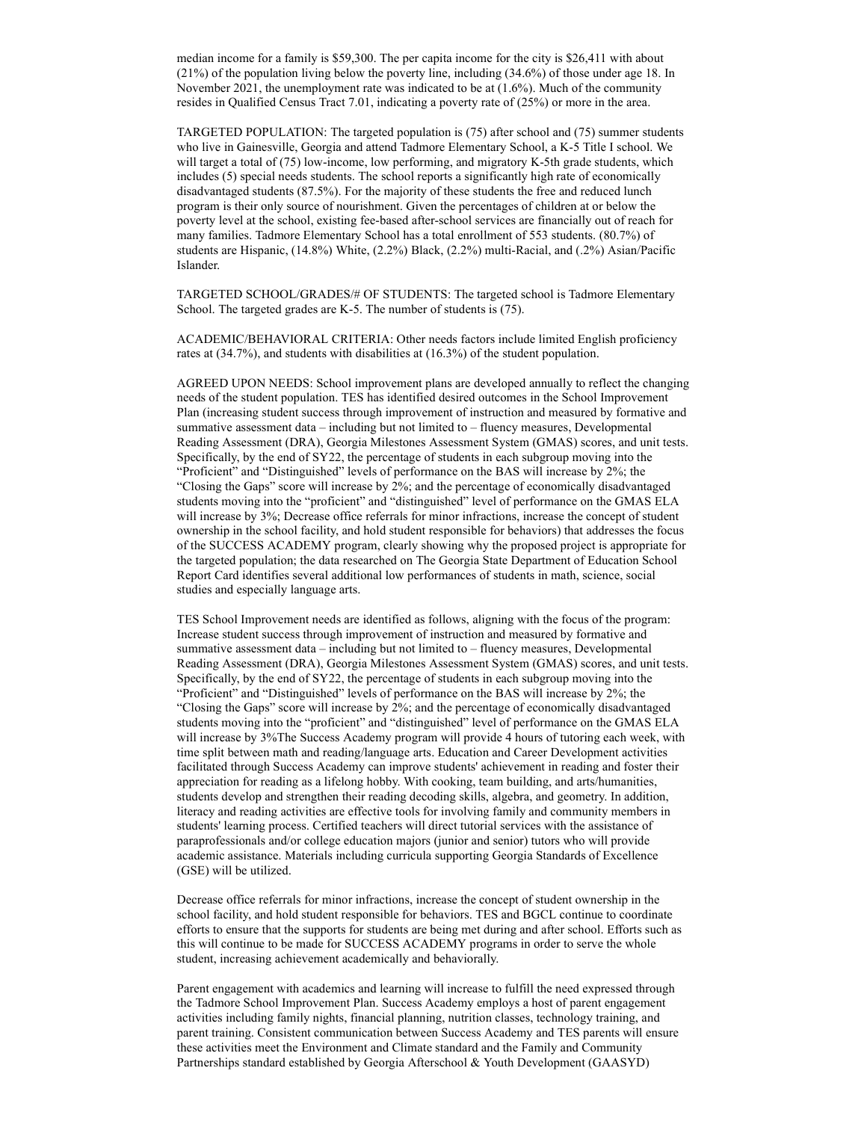median income for a family is \$59,300. The per capita income for the city is \$26,411 with about (21%) of the population living below the poverty line, including (34.6%) of those under age 18. In November 2021, the unemployment rate was indicated to be at (1.6%). Much of the community resides in Qualified Census Tract 7.01, indicating a poverty rate of (25%) or more in the area.

TARGETED POPULATION: The targeted population is (75) after school and (75) summer students who live in Gainesville, Georgia and attend Tadmore Elementary School, a K-5 Title I school. We will target a total of (75) low-income, low performing, and migratory K-5th grade students, which includes (5) special needs students. The school reports a significantly high rate of economically disadvantaged students (87.5%). For the majority of these students the free and reduced lunch program is their only source of nourishment. Given the percentages of children at or below the poverty level at the school, existing fee-based after-school services are financially out of reach for many families. Tadmore Elementary School has a total enrollment of 553 students. (80.7%) of students are Hispanic, (14.8%) White, (2.2%) Black, (2.2%) multi-Racial, and (.2%) Asian/Pacific Islander.

TARGETED SCHOOL/GRADES/# OF STUDENTS: The targeted school is Tadmore Elementary School. The targeted grades are K-5. The number of students is (75).

ACADEMIC/BEHAVIORAL CRITERIA: Other needs factors include limited English proficiency rates at (34.7%), and students with disabilities at (16.3%) of the student population.

AGREED UPON NEEDS: School improvement plans are developed annually to reflect the changing needs of the student population. TES has identified desired outcomes in the School Improvement Plan (increasing student success through improvement of instruction and measured by formative and summative assessment data – including but not limited to – fluency measures, Developmental Reading Assessment (DRA), Georgia Milestones Assessment System (GMAS) scores, and unit tests. Specifically, by the end of SY22, the percentage of students in each subgroup moving into the "Proficient" and "Distinguished" levels of performance on the BAS will increase by 2%; the "Closing the Gaps" score will increase by 2%; and the percentage of economically disadvantaged students moving into the "proficient" and "distinguished" level of performance on the GMAS ELA will increase by 3%; Decrease office referrals for minor infractions, increase the concept of student ownership in the school facility, and hold student responsible for behaviors) that addresses the focus of the SUCCESS ACADEMY program, clearly showing why the proposed project is appropriate for the targeted population; the data researched on The Georgia State Department of Education School Report Card identifies several additional low performances of students in math, science, social studies and especially language arts.

TES School Improvement needs are identified as follows, aligning with the focus of the program: Increase student success through improvement of instruction and measured by formative and summative assessment data – including but not limited to – fluency measures, Developmental Reading Assessment (DRA), Georgia Milestones Assessment System (GMAS) scores, and unit tests. Specifically, by the end of SY22, the percentage of students in each subgroup moving into the "Proficient" and "Distinguished" levels of performance on the BAS will increase by 2%; the "Closing the Gaps" score will increase by 2%; and the percentage of economically disadvantaged students moving into the "proficient" and "distinguished" level of performance on the GMAS ELA will increase by 3%The Success Academy program will provide 4 hours of tutoring each week, with time split between math and reading/language arts. Education and Career Development activities facilitated through Success Academy can improve students' achievement in reading and foster their appreciation for reading as a lifelong hobby. With cooking, team building, and arts/humanities, students develop and strengthen their reading decoding skills, algebra, and geometry. In addition, literacy and reading activities are effective tools for involving family and community members in students' learning process. Certified teachers will direct tutorial services with the assistance of paraprofessionals and/or college education majors (junior and senior) tutors who will provide academic assistance. Materials including curricula supporting Georgia Standards of Excellence (GSE) will be utilized.

Decrease office referrals for minor infractions, increase the concept of student ownership in the school facility, and hold student responsible for behaviors. TES and BGCL continue to coordinate efforts to ensure that the supports for students are being met during and after school. Efforts such as this will continue to be made for SUCCESS ACADEMY programs in order to serve the whole student, increasing achievement academically and behaviorally.

Parent engagement with academics and learning will increase to fulfill the need expressed through the Tadmore School Improvement Plan. Success Academy employs a host of parent engagement activities including family nights, financial planning, nutrition classes, technology training, and parent training. Consistent communication between Success Academy and TES parents will ensure these activities meet the Environment and Climate standard and the Family and Community Partnerships standard established by Georgia Afterschool & Youth Development (GAASYD)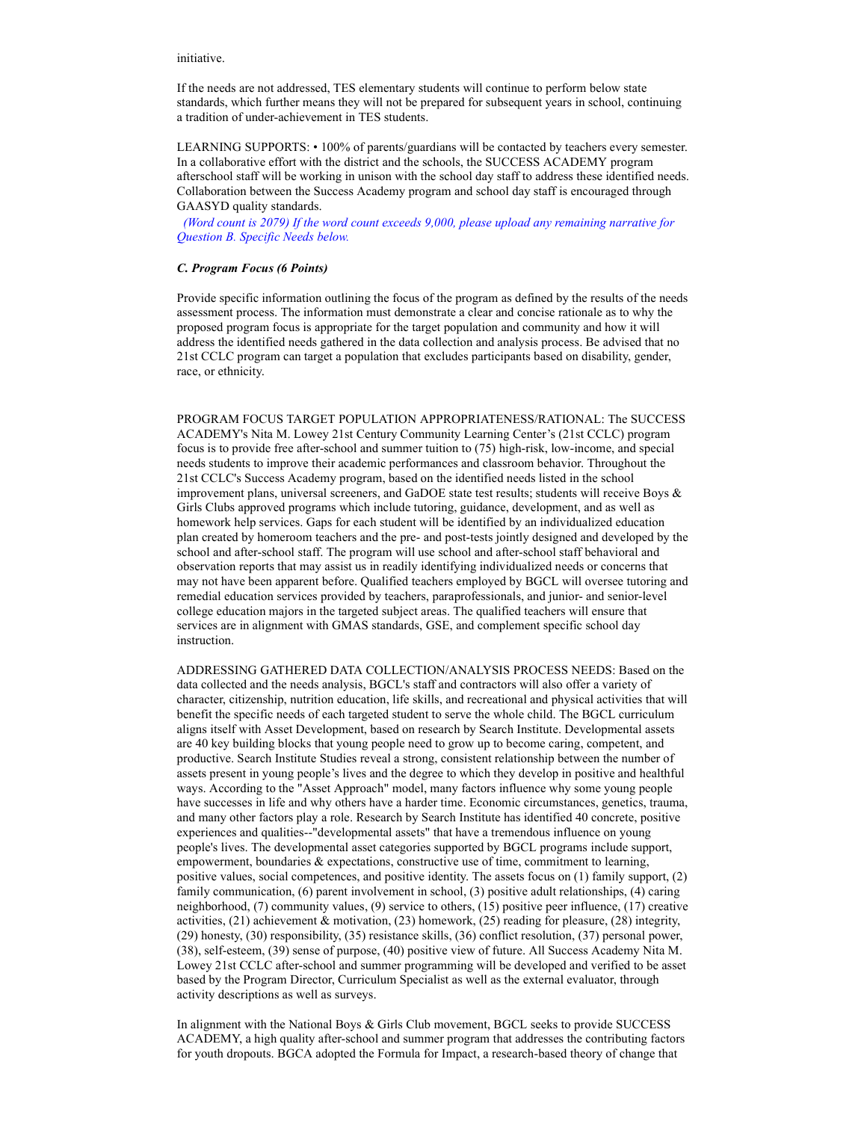initiative.

If the needs are not addressed, TES elementary students will continue to perform below state standards, which further means they will not be prepared for subsequent years in school, continuing a tradition of under-achievement in TES students.

LEARNING SUPPORTS: • 100% of parents/guardians will be contacted by teachers every semester. In a collaborative effort with the district and the schools, the SUCCESS ACADEMY program afterschool staff will be working in unison with the school day staff to address these identified needs. Collaboration between the Success Academy program and school day staff is encouraged through GAASYD quality standards.

 (Word count is 2079) If the word count exceeds 9,000, please upload any remaining narrative for Question B. Specific Needs below.

#### C. Program Focus (6 Points)

Provide specific information outlining the focus of the program as defined by the results of the needs assessment process. The information must demonstrate a clear and concise rationale as to why the proposed program focus is appropriate for the target population and community and how it will address the identified needs gathered in the data collection and analysis process. Be advised that no 21st CCLC program can target a population that excludes participants based on disability, gender, race, or ethnicity.

PROGRAM FOCUS TARGET POPULATION APPROPRIATENESS/RATIONAL: The SUCCESS ACADEMY's Nita M. Lowey 21st Century Community Learning Center's (21st CCLC) program focus is to provide free after-school and summer tuition to (75) high-risk, low-income, and special needs students to improve their academic performances and classroom behavior. Throughout the 21st CCLC's Success Academy program, based on the identified needs listed in the school improvement plans, universal screeners, and GaDOE state test results; students will receive Boys & Girls Clubs approved programs which include tutoring, guidance, development, and as well as homework help services. Gaps for each student will be identified by an individualized education plan created by homeroom teachers and the pre- and post-tests jointly designed and developed by the school and after-school staff. The program will use school and after-school staff behavioral and observation reports that may assist us in readily identifying individualized needs or concerns that may not have been apparent before. Qualified teachers employed by BGCL will oversee tutoring and remedial education services provided by teachers, paraprofessionals, and junior- and senior-level college education majors in the targeted subject areas. The qualified teachers will ensure that services are in alignment with GMAS standards, GSE, and complement specific school day instruction.

ADDRESSING GATHERED DATA COLLECTION/ANALYSIS PROCESS NEEDS: Based on the data collected and the needs analysis, BGCL's staff and contractors will also offer a variety of character, citizenship, nutrition education, life skills, and recreational and physical activities that will benefit the specific needs of each targeted student to serve the whole child. The BGCL curriculum aligns itself with Asset Development, based on research by Search Institute. Developmental assets are 40 key building blocks that young people need to grow up to become caring, competent, and productive. Search Institute Studies reveal a strong, consistent relationship between the number of assets present in young people's lives and the degree to which they develop in positive and healthful ways. According to the "Asset Approach" model, many factors influence why some young people have successes in life and why others have a harder time. Economic circumstances, genetics, trauma, and many other factors play a role. Research by Search Institute has identified 40 concrete, positive experiences and qualities--"developmental assets" that have a tremendous influence on young people's lives. The developmental asset categories supported by BGCL programs include support, empowerment, boundaries & expectations, constructive use of time, commitment to learning, positive values, social competences, and positive identity. The assets focus on (1) family support, (2) family communication, (6) parent involvement in school, (3) positive adult relationships, (4) caring neighborhood, (7) community values, (9) service to others, (15) positive peer influence, (17) creative activities, (21) achievement & motivation, (23) homework, (25) reading for pleasure, (28) integrity, (29) honesty, (30) responsibility, (35) resistance skills, (36) conflict resolution, (37) personal power, (38), self-esteem, (39) sense of purpose, (40) positive view of future. All Success Academy Nita M. Lowey 21st CCLC after-school and summer programming will be developed and verified to be asset based by the Program Director, Curriculum Specialist as well as the external evaluator, through activity descriptions as well as surveys.

In alignment with the National Boys & Girls Club movement, BGCL seeks to provide SUCCESS ACADEMY, a high quality after-school and summer program that addresses the contributing factors for youth dropouts. BGCA adopted the Formula for Impact, a research-based theory of change that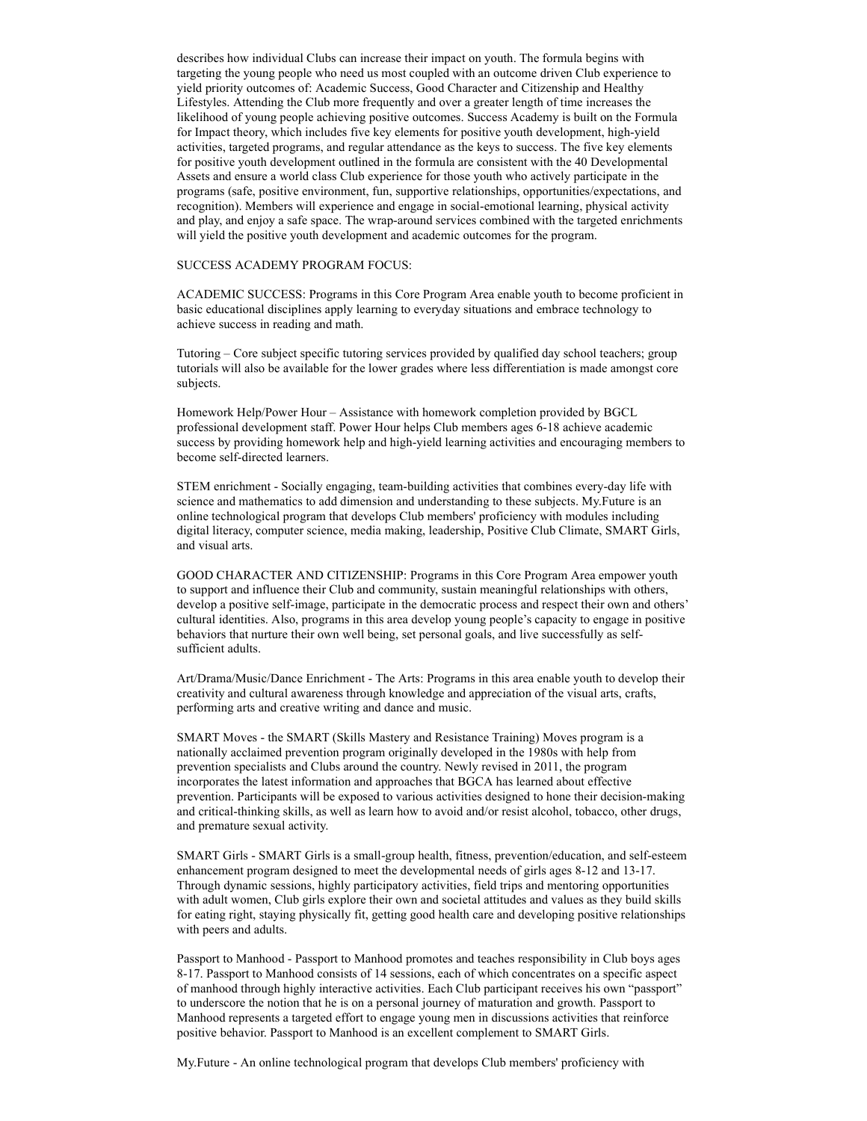describes how individual Clubs can increase their impact on youth. The formula begins with targeting the young people who need us most coupled with an outcome driven Club experience to yield priority outcomes of: Academic Success, Good Character and Citizenship and Healthy Lifestyles. Attending the Club more frequently and over a greater length of time increases the likelihood of young people achieving positive outcomes. Success Academy is built on the Formula for Impact theory, which includes five key elements for positive youth development, high-yield activities, targeted programs, and regular attendance as the keys to success. The five key elements for positive youth development outlined in the formula are consistent with the 40 Developmental Assets and ensure a world class Club experience for those youth who actively participate in the programs (safe, positive environment, fun, supportive relationships, opportunities/expectations, and recognition). Members will experience and engage in social-emotional learning, physical activity and play, and enjoy a safe space. The wrap-around services combined with the targeted enrichments will yield the positive youth development and academic outcomes for the program.

# SUCCESS ACADEMY PROGRAM FOCUS:

ACADEMIC SUCCESS: Programs in this Core Program Area enable youth to become proficient in basic educational disciplines apply learning to everyday situations and embrace technology to achieve success in reading and math.

Tutoring – Core subject specific tutoring services provided by qualified day school teachers; group tutorials will also be available for the lower grades where less differentiation is made amongst core subjects.

Homework Help/Power Hour – Assistance with homework completion provided by BGCL professional development staff. Power Hour helps Club members ages 6-18 achieve academic success by providing homework help and high-yield learning activities and encouraging members to become self-directed learners.

STEM enrichment - Socially engaging, team-building activities that combines every-day life with science and mathematics to add dimension and understanding to these subjects. My.Future is an online technological program that develops Club members' proficiency with modules including digital literacy, computer science, media making, leadership, Positive Club Climate, SMART Girls, and visual arts.

GOOD CHARACTER AND CITIZENSHIP: Programs in this Core Program Area empower youth to support and influence their Club and community, sustain meaningful relationships with others, develop a positive self-image, participate in the democratic process and respect their own and others' cultural identities. Also, programs in this area develop young people's capacity to engage in positive behaviors that nurture their own well being, set personal goals, and live successfully as selfsufficient adults.

Art/Drama/Music/Dance Enrichment - The Arts: Programs in this area enable youth to develop their creativity and cultural awareness through knowledge and appreciation of the visual arts, crafts, performing arts and creative writing and dance and music.

SMART Moves - the SMART (Skills Mastery and Resistance Training) Moves program is a nationally acclaimed prevention program originally developed in the 1980s with help from prevention specialists and Clubs around the country. Newly revised in 2011, the program incorporates the latest information and approaches that BGCA has learned about effective prevention. Participants will be exposed to various activities designed to hone their decision-making and critical-thinking skills, as well as learn how to avoid and/or resist alcohol, tobacco, other drugs, and premature sexual activity.

SMART Girls - SMART Girls is a small-group health, fitness, prevention/education, and self-esteem enhancement program designed to meet the developmental needs of girls ages 8-12 and 13-17. Through dynamic sessions, highly participatory activities, field trips and mentoring opportunities with adult women, Club girls explore their own and societal attitudes and values as they build skills for eating right, staying physically fit, getting good health care and developing positive relationships with peers and adults.

Passport to Manhood - Passport to Manhood promotes and teaches responsibility in Club boys ages 8-17. Passport to Manhood consists of 14 sessions, each of which concentrates on a specific aspect of manhood through highly interactive activities. Each Club participant receives his own "passport" to underscore the notion that he is on a personal journey of maturation and growth. Passport to Manhood represents a targeted effort to engage young men in discussions activities that reinforce positive behavior. Passport to Manhood is an excellent complement to SMART Girls.

My.Future - An online technological program that develops Club members' proficiency with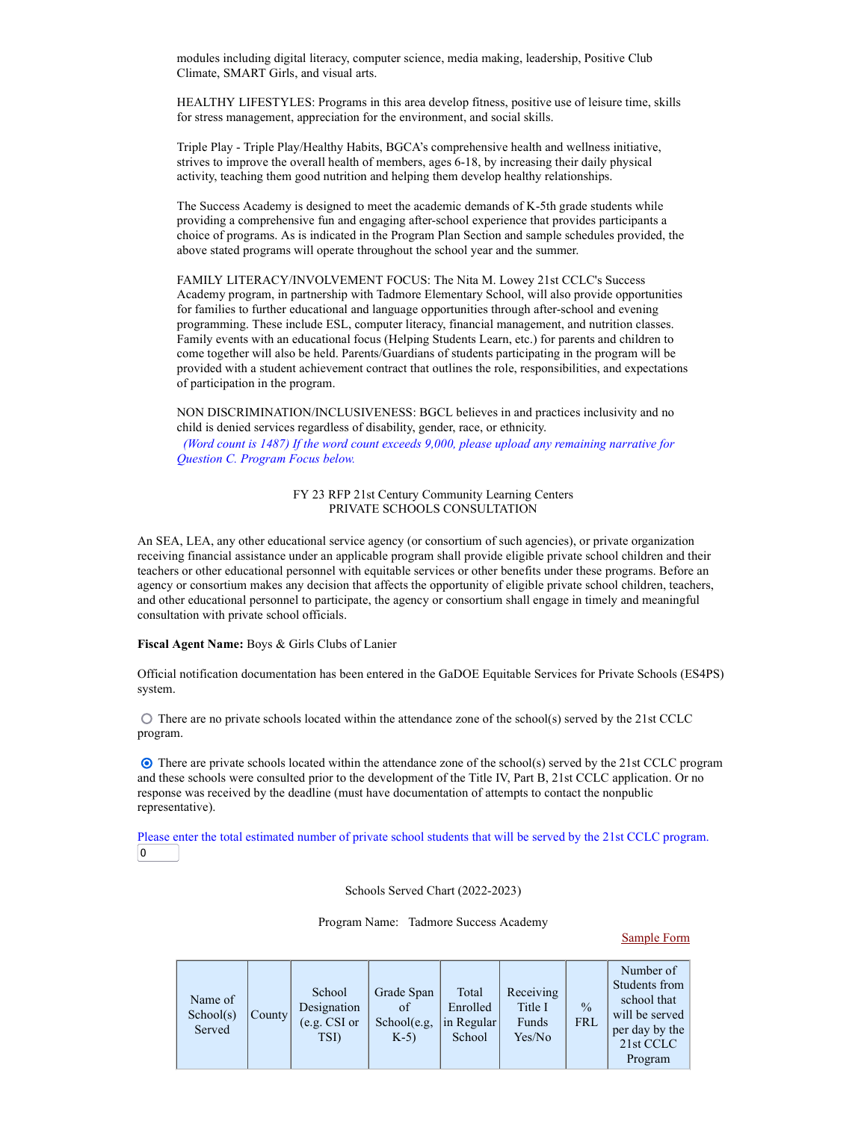modules including digital literacy, computer science, media making, leadership, Positive Club Climate, SMART Girls, and visual arts.

HEALTHY LIFESTYLES: Programs in this area develop fitness, positive use of leisure time, skills for stress management, appreciation for the environment, and social skills.

Triple Play - Triple Play/Healthy Habits, BGCA's comprehensive health and wellness initiative, strives to improve the overall health of members, ages 6-18, by increasing their daily physical activity, teaching them good nutrition and helping them develop healthy relationships.

The Success Academy is designed to meet the academic demands of K-5th grade students while providing a comprehensive fun and engaging after-school experience that provides participants a choice of programs. As is indicated in the Program Plan Section and sample schedules provided, the above stated programs will operate throughout the school year and the summer.

FAMILY LITERACY/INVOLVEMENT FOCUS: The Nita M. Lowey 21st CCLC's Success Academy program, in partnership with Tadmore Elementary School, will also provide opportunities for families to further educational and language opportunities through after-school and evening programming. These include ESL, computer literacy, financial management, and nutrition classes. Family events with an educational focus (Helping Students Learn, etc.) for parents and children to come together will also be held. Parents/Guardians of students participating in the program will be provided with a student achievement contract that outlines the role, responsibilities, and expectations of participation in the program.

NON DISCRIMINATION/INCLUSIVENESS: BGCL believes in and practices inclusivity and no child is denied services regardless of disability, gender, race, or ethnicity. (Word count is 1487) If the word count exceeds 9,000, please upload any remaining narrative for Question C. Program Focus below.

## FY 23 RFP 21st Century Community Learning Centers PRIVATE SCHOOLS CONSULTATION

An SEA, LEA, any other educational service agency (or consortium of such agencies), or private organization receiving financial assistance under an applicable program shall provide eligible private school children and their teachers or other educational personnel with equitable services or other benefits under these programs. Before an agency or consortium makes any decision that affects the opportunity of eligible private school children, teachers, and other educational personnel to participate, the agency or consortium shall engage in timely and meaningful consultation with private school officials.

### Fiscal Agent Name: Boys & Girls Clubs of Lanier

Official notification documentation has been entered in the GaDOE Equitable Services for Private Schools (ES4PS) system.

 $\odot$  There are no private schools located within the attendance zone of the school(s) served by the 21st CCLC program.

 There are private schools located within the attendance zone of the school(s) served by the 21st CCLC program and these schools were consulted prior to the development of the Title IV, Part B, 21st CCLC application. Or no response was received by the deadline (must have documentation of attempts to contact the nonpublic representative).

Please enter the total estimated number of private school students that will be served by the 21st CCLC program.  $\overline{0}$ 

Schools Served Chart (2022-2023)

Program Name: Tadmore Success Academy

#### Sample Form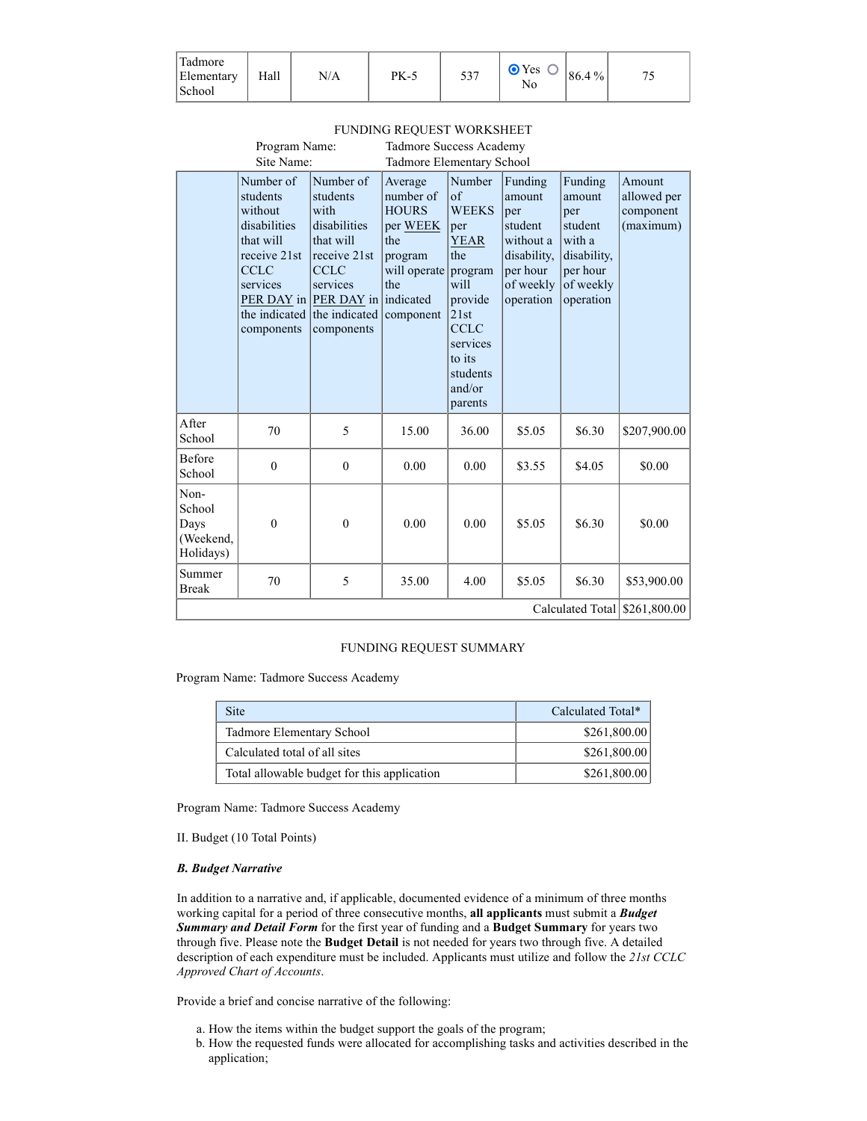| $\mathbf{r}$<br>ladmore<br>Elementary<br>School | Hall | N/A | <b>PK-5</b> | 537<br>. ب ب | <b>⊙</b> Yes<br>◡<br>No | 86.4% | コピ |
|-------------------------------------------------|------|-----|-------------|--------------|-------------------------|-------|----|
|-------------------------------------------------|------|-----|-------------|--------------|-------------------------|-------|----|

|                                                  | Program Name:                                                                                                                           |                                                                                                                                                                         | Tadmore Success Academy                                                                                |                                                                                                                                                                               |                                                                                                       |                                                                                                    |                                                 |
|--------------------------------------------------|-----------------------------------------------------------------------------------------------------------------------------------------|-------------------------------------------------------------------------------------------------------------------------------------------------------------------------|--------------------------------------------------------------------------------------------------------|-------------------------------------------------------------------------------------------------------------------------------------------------------------------------------|-------------------------------------------------------------------------------------------------------|----------------------------------------------------------------------------------------------------|-------------------------------------------------|
|                                                  | Site Name:                                                                                                                              |                                                                                                                                                                         | Tadmore Elementary School                                                                              |                                                                                                                                                                               |                                                                                                       |                                                                                                    |                                                 |
|                                                  | Number of<br>students<br>without<br>disabilities<br>that will<br>receive 21st<br><b>CCLC</b><br>services<br>the indicated<br>components | Number of<br>students<br>with<br>disabilities<br>that will<br>receive 21st<br><b>CCLC</b><br>services<br>PER DAY in PER DAY in indicated<br>the indicated<br>components | Average<br>number of<br><b>HOURS</b><br>per WEEK<br>the<br>program<br>will operate<br>the<br>component | Number<br>$\sigma$ f<br><b>WEEKS</b><br>per<br><b>YEAR</b><br>the<br>program<br>will<br>provide<br>21st<br><b>CCLC</b><br>services<br>to its<br>students<br>and/or<br>parents | Funding<br>amount<br>per<br>student<br>without a<br>disability,<br>per hour<br>of weekly<br>operation | Funding<br>amount<br>per<br>student<br>with a<br>disability,<br>per hour<br>of weekly<br>operation | Amount<br>allowed per<br>component<br>(maximum) |
| After<br>School                                  | 70                                                                                                                                      | 5                                                                                                                                                                       | 15.00                                                                                                  | 36.00                                                                                                                                                                         | \$5.05                                                                                                | \$6.30                                                                                             | \$207,900.00                                    |
| Before<br>School                                 | $\mathbf{0}$                                                                                                                            | $\mathbf{0}$                                                                                                                                                            | 0.00                                                                                                   | 0.00                                                                                                                                                                          | \$3.55                                                                                                | \$4.05                                                                                             | \$0.00                                          |
| Non-<br>School<br>Days<br>(Weekend,<br>Holidays) | $\mathbf{0}$                                                                                                                            | $\mathbf{0}$                                                                                                                                                            | 0.00                                                                                                   | 0.00                                                                                                                                                                          | \$5.05                                                                                                | \$6.30                                                                                             | \$0.00                                          |
| Summer<br><b>Break</b>                           | 70                                                                                                                                      | 5                                                                                                                                                                       | 35.00                                                                                                  | 4.00                                                                                                                                                                          | \$5.05                                                                                                | \$6.30                                                                                             | \$53,900.00                                     |
|                                                  |                                                                                                                                         |                                                                                                                                                                         |                                                                                                        |                                                                                                                                                                               |                                                                                                       | Calculated Total                                                                                   | \$261,800.00                                    |

# FUNDING REQUEST WORKSHEET

# FUNDING REQUEST SUMMARY

Program Name: Tadmore Success Academy

| <b>Site</b>                                 | Calculated Total* |
|---------------------------------------------|-------------------|
| Tadmore Elementary School                   | \$261,800.00      |
| Calculated total of all sites               | \$261,800.00      |
| Total allowable budget for this application | \$261,800.00      |

Program Name: Tadmore Success Academy

II. Budget (10 Total Points)

# B. Budget Narrative

In addition to a narrative and, if applicable, documented evidence of a minimum of three months working capital for a period of three consecutive months, all applicants must submit a **Budget** Summary and Detail Form for the first year of funding and a Budget Summary for years two through five. Please note the Budget Detail is not needed for years two through five. A detailed description of each expenditure must be included. Applicants must utilize and follow the 21st CCLC Approved Chart of Accounts.

Provide a brief and concise narrative of the following:

- a. How the items within the budget support the goals of the program;
- b. How the requested funds were allocated for accomplishing tasks and activities described in the application;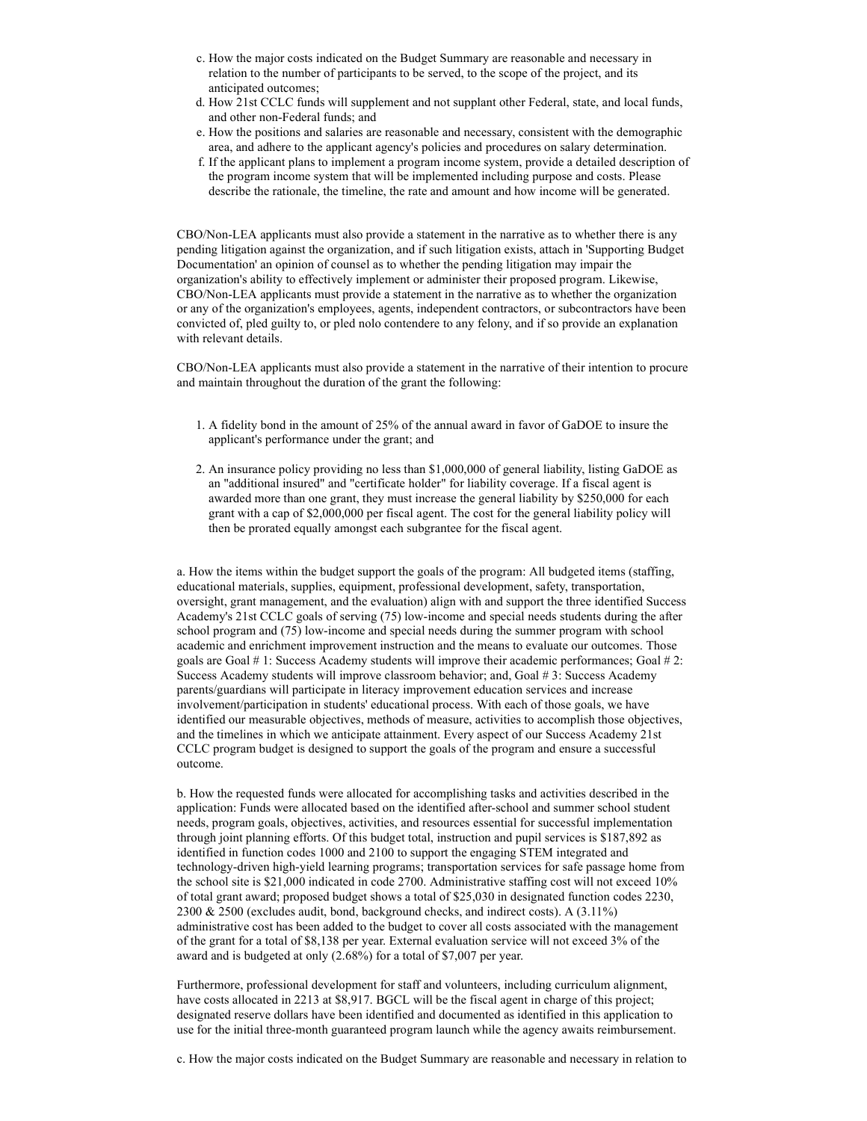- c. How the major costs indicated on the Budget Summary are reasonable and necessary in relation to the number of participants to be served, to the scope of the project, and its anticipated outcomes;
- d. How 21st CCLC funds will supplement and not supplant other Federal, state, and local funds, and other non-Federal funds; and
- e. How the positions and salaries are reasonable and necessary, consistent with the demographic area, and adhere to the applicant agency's policies and procedures on salary determination.
- f. If the applicant plans to implement a program income system, provide a detailed description of the program income system that will be implemented including purpose and costs. Please describe the rationale, the timeline, the rate and amount and how income will be generated.

CBO/Non-LEA applicants must also provide a statement in the narrative as to whether there is any pending litigation against the organization, and if such litigation exists, attach in 'Supporting Budget Documentation' an opinion of counsel as to whether the pending litigation may impair the organization's ability to effectively implement or administer their proposed program. Likewise, CBO/Non-LEA applicants must provide a statement in the narrative as to whether the organization or any of the organization's employees, agents, independent contractors, or subcontractors have been convicted of, pled guilty to, or pled nolo contendere to any felony, and if so provide an explanation with relevant details.

CBO/Non-LEA applicants must also provide a statement in the narrative of their intention to procure and maintain throughout the duration of the grant the following:

- 1. A fidelity bond in the amount of 25% of the annual award in favor of GaDOE to insure the applicant's performance under the grant; and
- 2. An insurance policy providing no less than \$1,000,000 of general liability, listing GaDOE as an "additional insured" and "certificate holder" for liability coverage. If a fiscal agent is awarded more than one grant, they must increase the general liability by \$250,000 for each grant with a cap of \$2,000,000 per fiscal agent. The cost for the general liability policy will then be prorated equally amongst each subgrantee for the fiscal agent.

a. How the items within the budget support the goals of the program: All budgeted items (staffing, educational materials, supplies, equipment, professional development, safety, transportation, oversight, grant management, and the evaluation) align with and support the three identified Success Academy's 21st CCLC goals of serving (75) low-income and special needs students during the after school program and (75) low-income and special needs during the summer program with school academic and enrichment improvement instruction and the means to evaluate our outcomes. Those goals are Goal # 1: Success Academy students will improve their academic performances; Goal # 2: Success Academy students will improve classroom behavior; and, Goal # 3: Success Academy parents/guardians will participate in literacy improvement education services and increase involvement/participation in students' educational process. With each of those goals, we have identified our measurable objectives, methods of measure, activities to accomplish those objectives, and the timelines in which we anticipate attainment. Every aspect of our Success Academy 21st CCLC program budget is designed to support the goals of the program and ensure a successful outcome.

b. How the requested funds were allocated for accomplishing tasks and activities described in the application: Funds were allocated based on the identified after-school and summer school student needs, program goals, objectives, activities, and resources essential for successful implementation through joint planning efforts. Of this budget total, instruction and pupil services is \$187,892 as identified in function codes 1000 and 2100 to support the engaging STEM integrated and technology-driven high-yield learning programs; transportation services for safe passage home from the school site is \$21,000 indicated in code 2700. Administrative staffing cost will not exceed 10% of total grant award; proposed budget shows a total of \$25,030 in designated function codes 2230, 2300 & 2500 (excludes audit, bond, background checks, and indirect costs). A (3.11%) administrative cost has been added to the budget to cover all costs associated with the management of the grant for a total of \$8,138 per year. External evaluation service will not exceed 3% of the award and is budgeted at only (2.68%) for a total of \$7,007 per year.

Furthermore, professional development for staff and volunteers, including curriculum alignment, have costs allocated in 2213 at \$8,917. BGCL will be the fiscal agent in charge of this project; designated reserve dollars have been identified and documented as identified in this application to use for the initial three-month guaranteed program launch while the agency awaits reimbursement.

c. How the major costs indicated on the Budget Summary are reasonable and necessary in relation to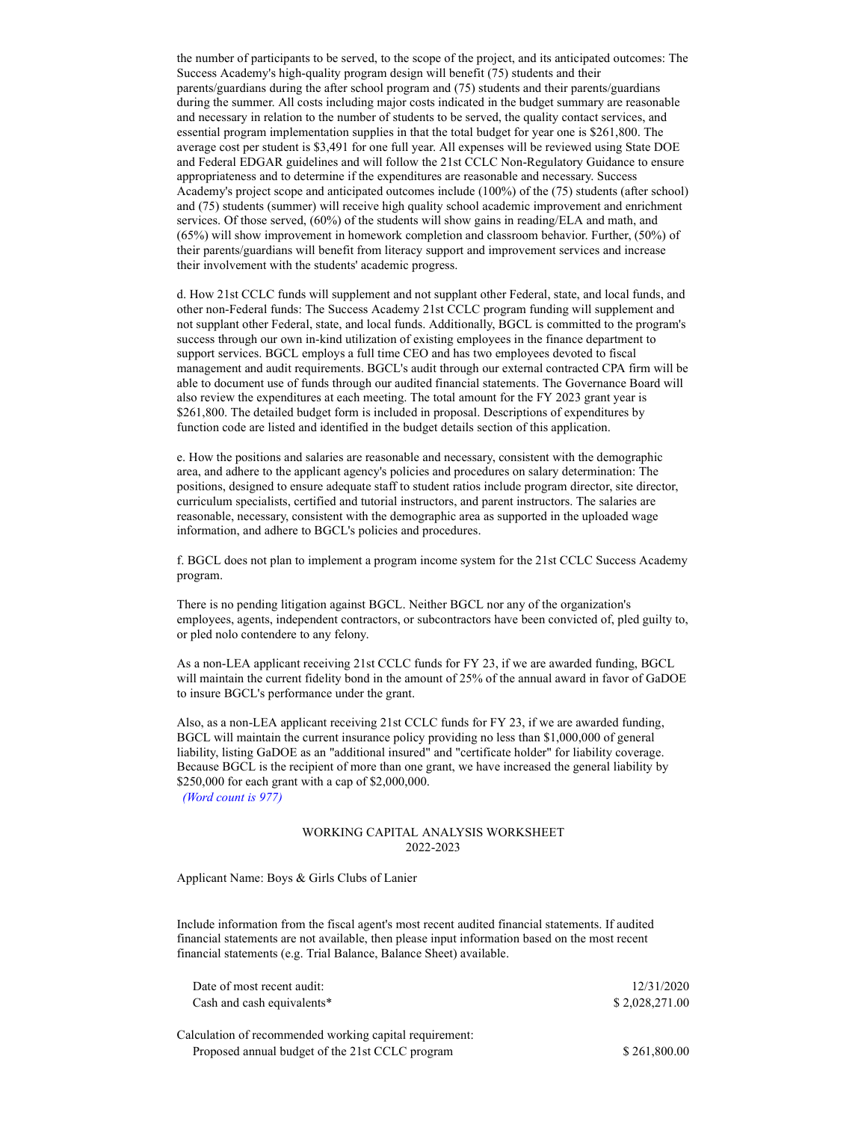the number of participants to be served, to the scope of the project, and its anticipated outcomes: The Success Academy's high-quality program design will benefit (75) students and their parents/guardians during the after school program and (75) students and their parents/guardians during the summer. All costs including major costs indicated in the budget summary are reasonable and necessary in relation to the number of students to be served, the quality contact services, and essential program implementation supplies in that the total budget for year one is \$261,800. The average cost per student is \$3,491 for one full year. All expenses will be reviewed using State DOE and Federal EDGAR guidelines and will follow the 21st CCLC Non-Regulatory Guidance to ensure appropriateness and to determine if the expenditures are reasonable and necessary. Success Academy's project scope and anticipated outcomes include (100%) of the (75) students (after school) and (75) students (summer) will receive high quality school academic improvement and enrichment services. Of those served, (60%) of the students will show gains in reading/ELA and math, and (65%) will show improvement in homework completion and classroom behavior. Further, (50%) of their parents/guardians will benefit from literacy support and improvement services and increase their involvement with the students' academic progress.

d. How 21st CCLC funds will supplement and not supplant other Federal, state, and local funds, and other non-Federal funds: The Success Academy 21st CCLC program funding will supplement and not supplant other Federal, state, and local funds. Additionally, BGCL is committed to the program's success through our own in-kind utilization of existing employees in the finance department to support services. BGCL employs a full time CEO and has two employees devoted to fiscal management and audit requirements. BGCL's audit through our external contracted CPA firm will be able to document use of funds through our audited financial statements. The Governance Board will also review the expenditures at each meeting. The total amount for the FY 2023 grant year is \$261,800. The detailed budget form is included in proposal. Descriptions of expenditures by function code are listed and identified in the budget details section of this application.

e. How the positions and salaries are reasonable and necessary, consistent with the demographic area, and adhere to the applicant agency's policies and procedures on salary determination: The positions, designed to ensure adequate staff to student ratios include program director, site director, curriculum specialists, certified and tutorial instructors, and parent instructors. The salaries are reasonable, necessary, consistent with the demographic area as supported in the uploaded wage information, and adhere to BGCL's policies and procedures.

f. BGCL does not plan to implement a program income system for the 21st CCLC Success Academy program.

There is no pending litigation against BGCL. Neither BGCL nor any of the organization's employees, agents, independent contractors, or subcontractors have been convicted of, pled guilty to, or pled nolo contendere to any felony.

As a non-LEA applicant receiving 21st CCLC funds for FY 23, if we are awarded funding, BGCL will maintain the current fidelity bond in the amount of 25% of the annual award in favor of GaDOE to insure BGCL's performance under the grant.

Also, as a non-LEA applicant receiving 21st CCLC funds for FY 23, if we are awarded funding, BGCL will maintain the current insurance policy providing no less than \$1,000,000 of general liability, listing GaDOE as an "additional insured" and "certificate holder" for liability coverage. Because BGCL is the recipient of more than one grant, we have increased the general liability by \$250,000 for each grant with a cap of \$2,000,000.

(Word count is 977)

# WORKING CAPITAL ANALYSIS WORKSHEET 2022-2023

Applicant Name: Boys & Girls Clubs of Lanier

Include information from the fiscal agent's most recent audited financial statements. If audited financial statements are not available, then please input information based on the most recent financial statements (e.g. Trial Balance, Balance Sheet) available.

| Date of most recent audit:                              | 12/31/2020     |
|---------------------------------------------------------|----------------|
| Cash and cash equivalents*                              | \$2,028,271.00 |
| Calculation of recommended working capital requirement: |                |
| Proposed annual budget of the 21st CCLC program         | \$261,800.00   |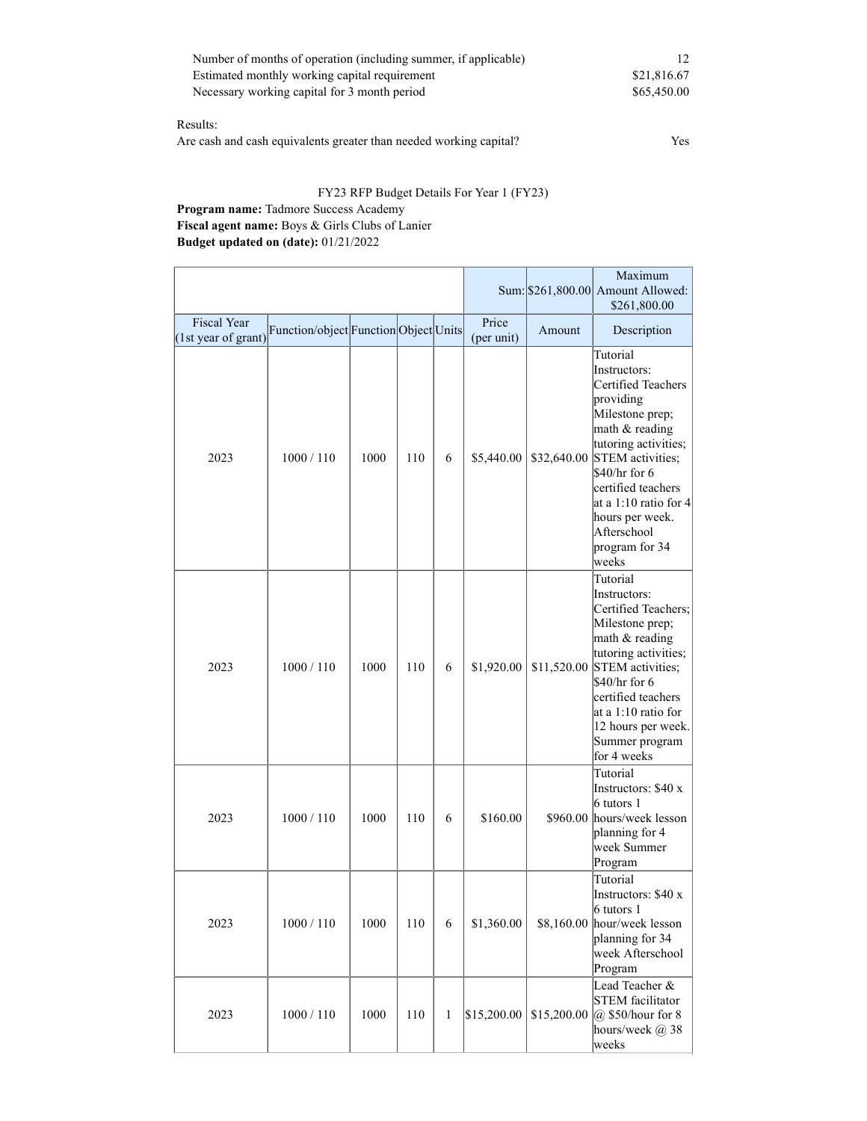| Number of months of operation (including summer, if applicable) |             |
|-----------------------------------------------------------------|-------------|
| Estimated monthly working capital requirement                   | \$21,816.67 |
| Necessary working capital for 3 month period                    | \$65,450.00 |

# Results:

Are cash and cash equivalents greater than needed working capital? Yes

# FY23 RFP Budget Details For Year 1 (FY23)

# Program name: Tadmore Success Academy

Fiscal agent name: Boys & Girls Clubs of Lanier Budget updated on (date): 01/21/2022

|                                           |                                       |      |     |              |                     |             | Maximum<br>Sum: \$261,800.00 Amount Allowed:<br>\$261,800.00                                                                                                                                                                                                                      |
|-------------------------------------------|---------------------------------------|------|-----|--------------|---------------------|-------------|-----------------------------------------------------------------------------------------------------------------------------------------------------------------------------------------------------------------------------------------------------------------------------------|
| <b>Fiscal Year</b><br>(1st year of grant) | Function/object Function Object Units |      |     |              | Price<br>(per unit) | Amount      | Description                                                                                                                                                                                                                                                                       |
| 2023                                      | 1000 / 110                            | 1000 | 110 | 6            | \$5,440.00          | \$32,640.00 | Tutorial<br>Instructors:<br><b>Certified Teachers</b><br>providing<br>Milestone prep;<br>math & reading<br>tutoring activities;<br>STEM activities;<br>$$40/hr$ for 6<br>certified teachers<br>at a 1:10 ratio for 4<br>hours per week.<br>Afterschool<br>program for 34<br>weeks |
| 2023                                      | 1000 / 110                            | 1000 | 110 | 6            | \$1,920.00          |             | Tutorial<br>Instructors:<br>Certified Teachers;<br>Milestone prep;<br>math & reading<br>tutoring activities;<br>\$11,520.00 STEM activities;<br>$$40/hr$ for 6<br>certified teachers<br>at a 1:10 ratio for<br>12 hours per week.<br>Summer program<br>for 4 weeks                |
| 2023                                      | 1000 / 110                            | 1000 | 110 | 6            | \$160.00            |             | Tutorial<br>Instructors: \$40 x<br>6 tutors 1<br>\$960.00 hours/week lesson<br>planning for 4<br>week Summer<br>Program                                                                                                                                                           |
| 2023                                      | 1000 / 110                            | 1000 | 110 | 6            | \$1,360.00          |             | Tutorial<br>Instructors: \$40 x<br>6 tutors 1<br>\$8,160.00 hour/week lesson<br>planning for 34<br>week Afterschool<br>Program                                                                                                                                                    |
| 2023                                      | 1000 / 110                            | 1000 | 110 | $\mathbf{1}$ | \$15,200.00         | \$15,200.00 | Lead Teacher &<br><b>STEM</b> facilitator<br>$  \widehat{a} \rangle$ \$50/hour for 8<br>hours/week @ 38<br>weeks                                                                                                                                                                  |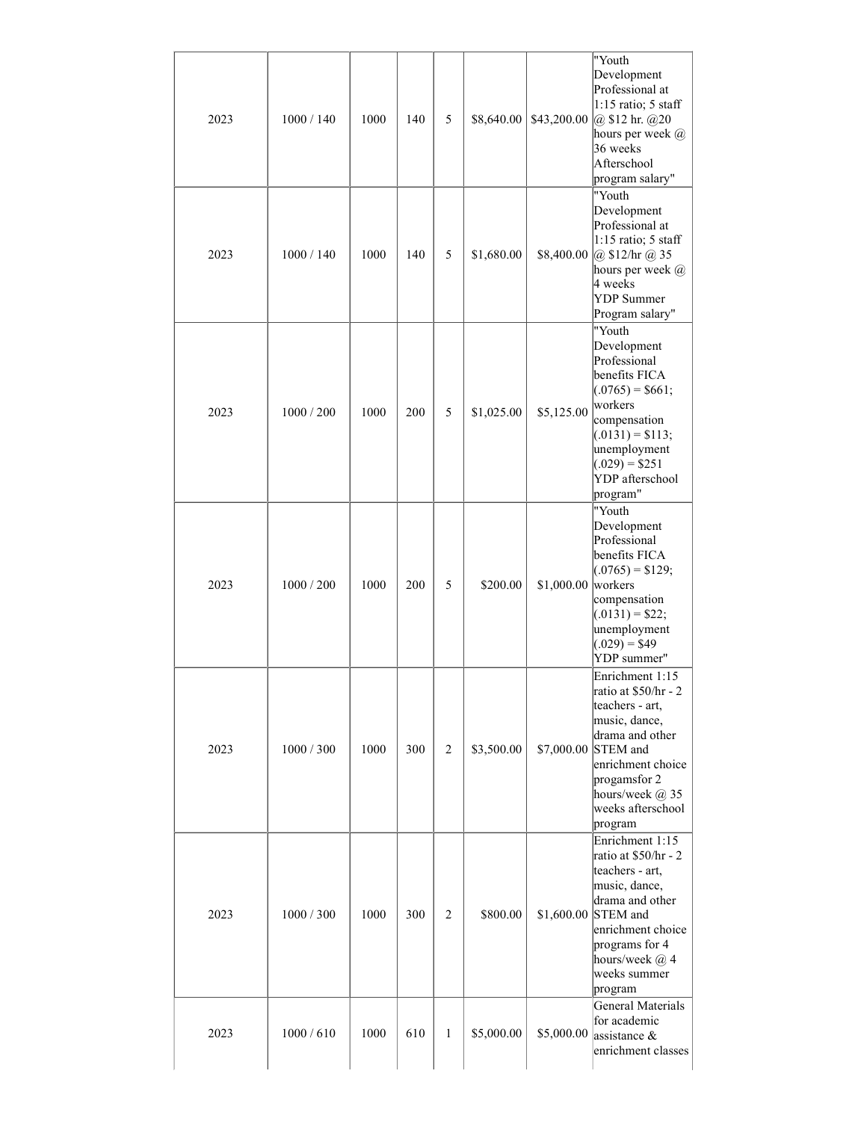| 2023 | 1000 / 140 | 1000 | 140 | 5              | \$8,640.00 | \$43,200.00 | "Youth<br>Development<br>Professional at<br>$1:15$ ratio; 5 staff<br>$ @$ \$12 hr. $@$ 20<br>hours per week $@$<br>36 weeks<br>Afterschool<br>program salary"                                                 |
|------|------------|------|-----|----------------|------------|-------------|---------------------------------------------------------------------------------------------------------------------------------------------------------------------------------------------------------------|
| 2023 | 1000 / 140 | 1000 | 140 | 5              | \$1,680.00 | \$8,400.00  | "Youth<br>Development<br>Professional at<br>$1:15$ ratio; 5 staff<br>$\omega$ \$12/hr $\omega$ 35<br>hours per week $@$<br>4 weeks<br><b>YDP</b> Summer<br>Program salary"                                    |
| 2023 | 1000 / 200 | 1000 | 200 | 5              | \$1,025.00 | \$5,125.00  | "Youth<br>Development<br>Professional<br>benefits FICA<br>$(0.0765) = $661;$<br>workers<br>compensation<br>$(.0131) = $113;$<br>unemployment<br>$(0.029) = $251$<br>YDP afterschool<br>program"               |
| 2023 | 1000 / 200 | 1000 | 200 | 5              | \$200.00   | \$1,000.00  | "Youth<br>Development<br>Professional<br>benefits FICA<br>$(0.0765) = $129;$<br>workers<br>compensation<br>$(0.0131) = $22;$<br>unemployment<br>$(0.029) = $49$<br>YDP summer"                                |
| 2023 | 1000 / 300 | 1000 | 300 | $\mathbf{2}$   | \$3,500.00 |             | Enrichment 1:15<br>ratio at \$50/hr - 2<br>teachers - art,<br>music, dance,<br>drama and other<br>\$7,000.00 STEM and<br>enrichment choice<br>progamsfor 2<br>hours/week @ 35<br>weeks afterschool<br>program |
| 2023 | 1000 / 300 | 1000 | 300 | $\overline{c}$ | \$800.00   |             | Enrichment 1:15<br>ratio at \$50/hr - 2<br>teachers - art,<br>music, dance,<br>drama and other<br>\$1,600.00 STEM and<br>enrichment choice<br>programs for 4<br>hours/week @ 4<br>weeks summer<br>program     |
| 2023 | 1000/610   | 1000 | 610 | $\mathbf{1}$   | \$5,000.00 | \$5,000.00  | General Materials<br>for academic<br>assistance &<br>enrichment classes                                                                                                                                       |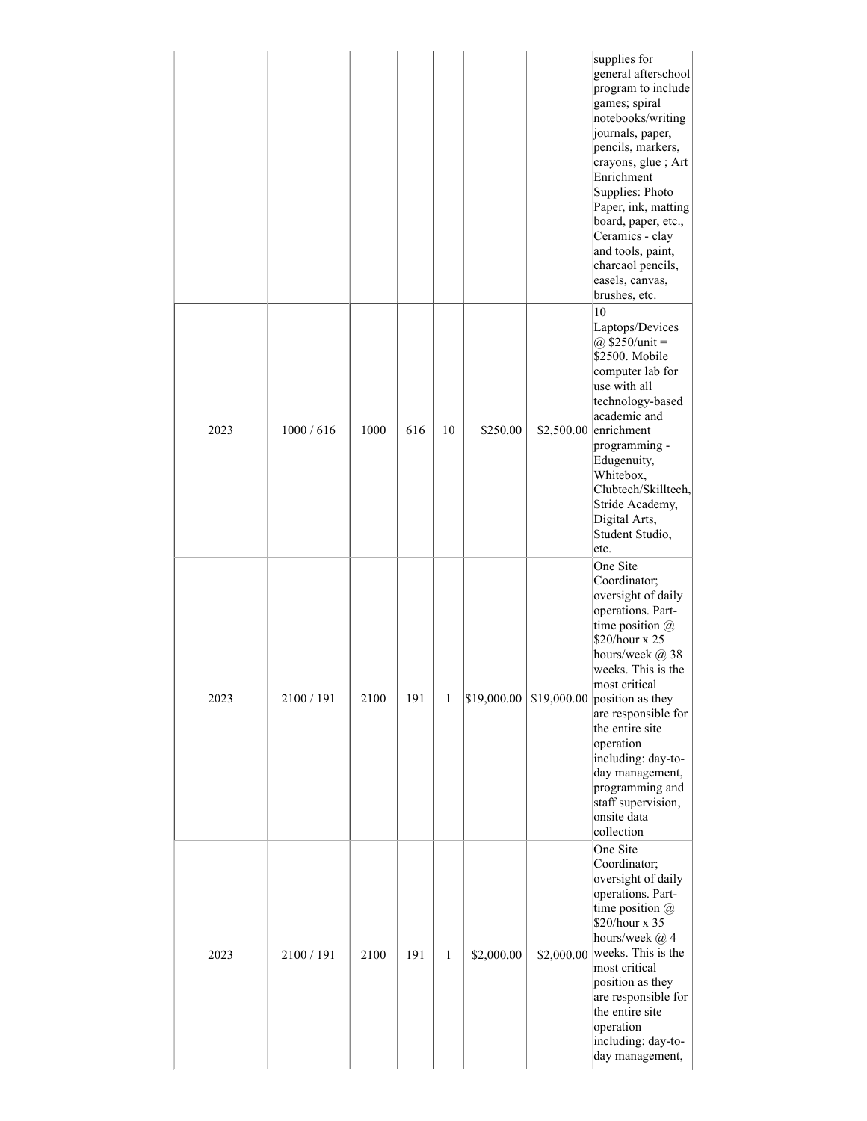|      |            |      |     |              |             |            | supplies for<br>general afterschool<br>program to include<br>games; spiral<br>notebooks/writing<br>journals, paper,<br>pencils, markers,<br>crayons, glue; Art<br>Enrichment<br>Supplies: Photo<br>Paper, ink, matting<br>board, paper, etc.,<br>Ceramics - clay<br>and tools, paint,<br>charcaol pencils,<br>easels, canvas,<br>brushes, etc.                              |
|------|------------|------|-----|--------------|-------------|------------|-----------------------------------------------------------------------------------------------------------------------------------------------------------------------------------------------------------------------------------------------------------------------------------------------------------------------------------------------------------------------------|
| 2023 | 1000/616   | 1000 | 616 | 10           | \$250.00    |            | 10<br>Laptops/Devices<br>@ $$250/unit =$<br>\$2500. Mobile<br>computer lab for<br>use with all<br>technology-based<br>academic and<br>$$2,500.00$ enrichment<br>programming -<br>Edugenuity,<br>Whitebox,<br>Clubtech/Skilltech,<br>Stride Academy,<br>Digital Arts,<br>Student Studio,<br>etc.                                                                             |
| 2023 | 2100 / 191 | 2100 | 191 | 1            | \$19,000.00 |            | One Site<br>Coordinator;<br>oversight of daily<br>operations. Part-<br>time position $@$<br>\$20/hour x 25<br>hours/week @ 38<br>weeks. This is the<br>most critical<br>$$19,000.00$ position as they<br>are responsible for<br>the entire site<br>operation<br>including: day-to-<br>day management,<br>programming and<br>staff supervision,<br>onsite data<br>collection |
| 2023 | 2100 / 191 | 2100 | 191 | $\mathbf{1}$ | \$2,000.00  | \$2,000.00 | One Site<br>Coordinator;<br>oversight of daily<br>operations. Part-<br>time position $@$<br>\$20/hour x 35<br>hours/week @ 4<br>weeks. This is the<br>most critical<br>position as they<br>are responsible for<br>the entire site<br>operation<br>including: day-to-<br>day management,                                                                                     |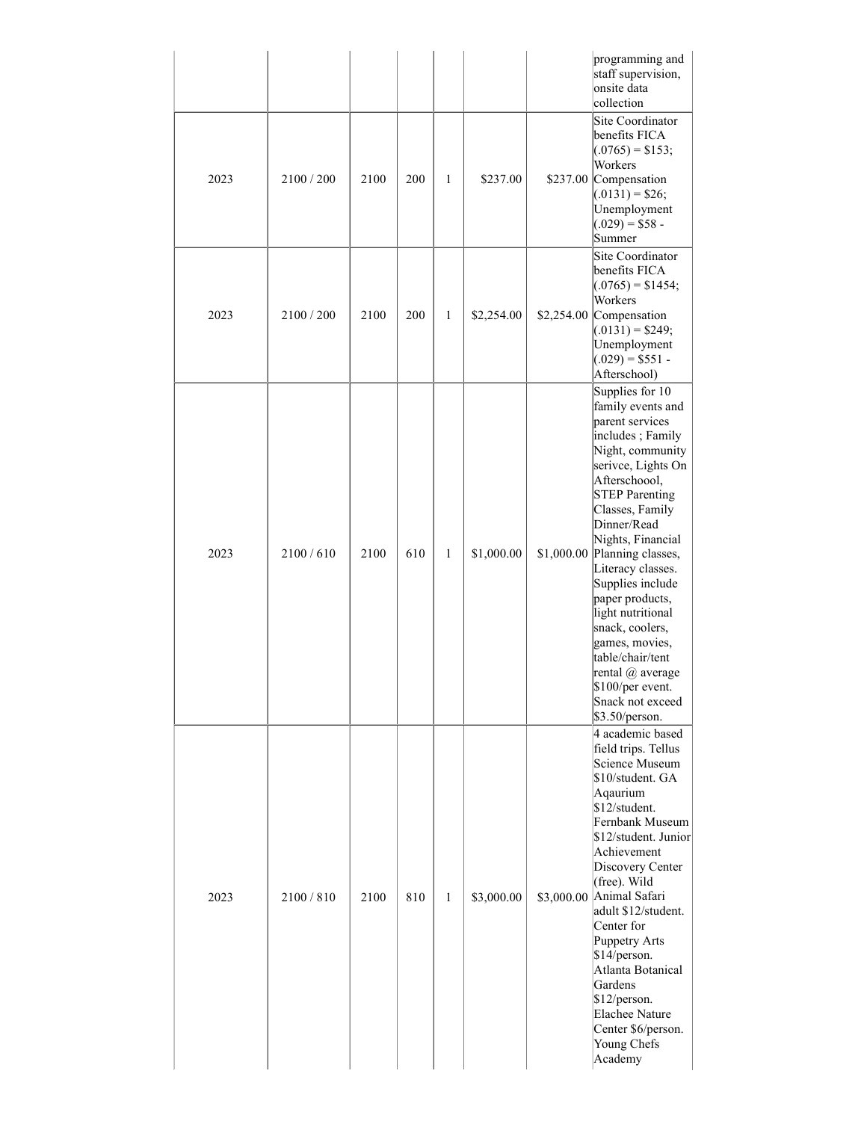|      |            |      |     |              |            |            | programming and<br>staff supervision,<br>onsite data<br>collection                                                                                                                                                                                                                                                                                                                                                                                                  |
|------|------------|------|-----|--------------|------------|------------|---------------------------------------------------------------------------------------------------------------------------------------------------------------------------------------------------------------------------------------------------------------------------------------------------------------------------------------------------------------------------------------------------------------------------------------------------------------------|
| 2023 | 2100 / 200 | 2100 | 200 | 1            | \$237.00   |            | Site Coordinator<br>benefits FICA<br>$(.0765) = $153;$<br>Workers<br>\$237.00 Compensation<br>$(.0131) = $26;$<br>Unemployment<br>$(.029) = $58$<br>Summer                                                                                                                                                                                                                                                                                                          |
| 2023 | 2100 / 200 | 2100 | 200 | $\mathbf{1}$ | \$2,254.00 |            | Site Coordinator<br>benefits FICA<br>$(.0765) = $1454;$<br>Workers<br>\$2,254.00 Compensation<br>$(.0131) = $249;$<br>Unemployment<br>$(.029) = $551$<br>Afterschool)                                                                                                                                                                                                                                                                                               |
| 2023 | 2100/610   | 2100 | 610 | 1            | \$1,000.00 | \$1,000.00 | Supplies for 10<br>family events and<br>parent services<br>includes; Family<br>Night, community<br>serivce, Lights On<br>Afterschoool,<br><b>STEP Parenting</b><br>Classes, Family<br>Dinner/Read<br>Nights, Financial<br>Planning classes,<br>Literacy classes.<br>Supplies include<br>paper products,<br>light nutritional<br>snack, coolers,<br>games, movies,<br>table/chair/tent<br>rental @ average<br>\$100/per event.<br>Snack not exceed<br>\$3.50/person. |
| 2023 | 2100 / 810 | 2100 | 810 | $\mathbf{1}$ | \$3,000.00 |            | 4 academic based<br>field trips. Tellus<br>Science Museum<br>\$10/student. GA<br>Aqaurium<br>\$12/student.<br>Fernbank Museum<br>\$12/student. Junior<br>Achievement<br>Discovery Center<br>(free). Wild<br>$\$3,\!000.00$  Animal Safari<br>adult \$12/student.<br>Center for<br><b>Puppetry Arts</b><br>\$14/person.<br>Atlanta Botanical<br>Gardens<br>\$12/person.<br>Elachee Nature<br>Center \$6/person.<br>Young Chefs<br>Academy                            |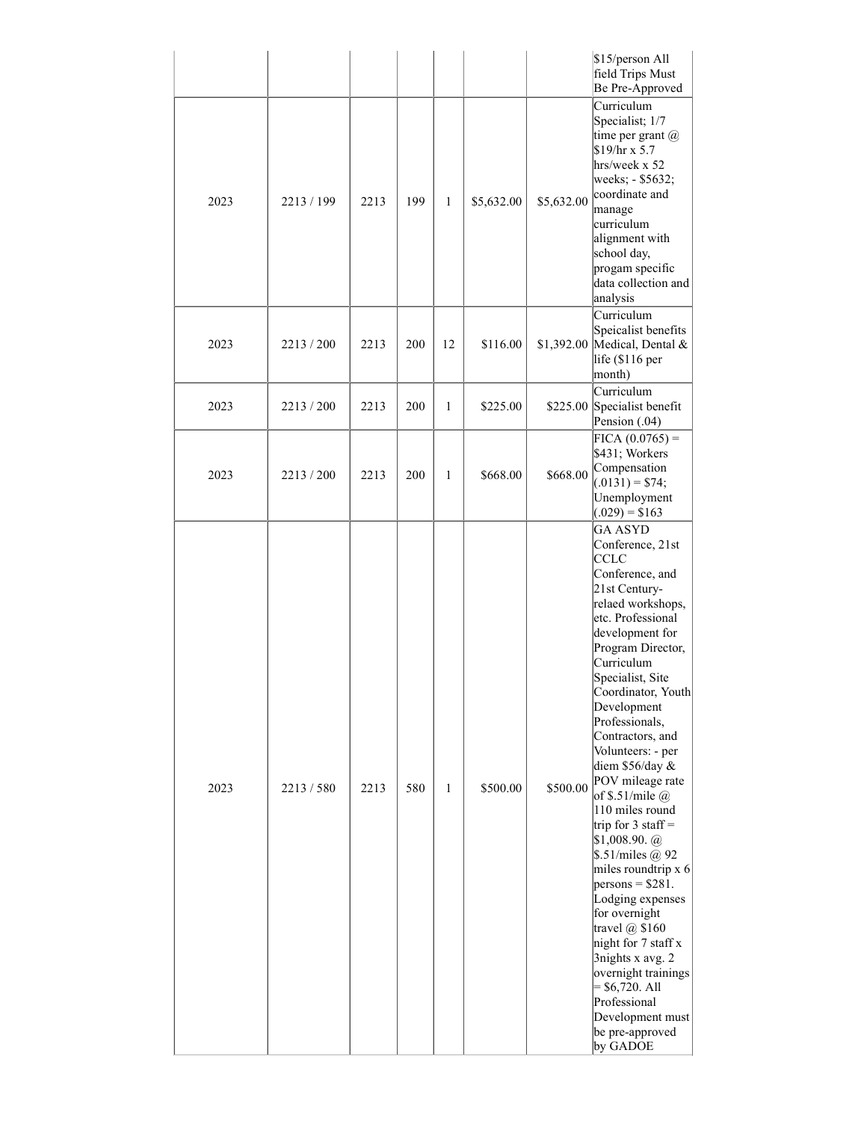|      |            |      |     |              |            |            | \$15/person All<br>field Trips Must<br>Be Pre-Approved                                                                                                                                                                                                                                                                                                                                                                                                                                                                                                                                                                                                                                                                       |
|------|------------|------|-----|--------------|------------|------------|------------------------------------------------------------------------------------------------------------------------------------------------------------------------------------------------------------------------------------------------------------------------------------------------------------------------------------------------------------------------------------------------------------------------------------------------------------------------------------------------------------------------------------------------------------------------------------------------------------------------------------------------------------------------------------------------------------------------------|
| 2023 | 2213/199   | 2213 | 199 | $\mathbf{1}$ | \$5,632.00 | \$5,632.00 | Curriculum<br>Specialist; 1/7<br>time per grant $(a)$<br>$$19/hr \times 5.7$<br>hrs/week x 52<br>weeks; - \$5632;<br>coordinate and<br>manage<br>curriculum<br>alignment with<br>school day,<br>progam specific<br>data collection and<br>analysis                                                                                                                                                                                                                                                                                                                                                                                                                                                                           |
| 2023 | 2213/200   | 2213 | 200 | 12           | \$116.00   |            | Curriculum<br>Speicalist benefits<br>\$1,392.00 Medical, Dental &<br>life (\$116 per<br>month)                                                                                                                                                                                                                                                                                                                                                                                                                                                                                                                                                                                                                               |
| 2023 | 2213/200   | 2213 | 200 | $\mathbf{1}$ | \$225.00   |            | Curriculum<br>\$225.00 Specialist benefit<br>Pension $(.04)$                                                                                                                                                                                                                                                                                                                                                                                                                                                                                                                                                                                                                                                                 |
| 2023 | 2213/200   | 2213 | 200 | 1            | \$668.00   | \$668.00   | $FIGA (0.0765) =$<br>\$431; Workers<br>Compensation<br>$(0.0131) = $74;$<br>Unemployment<br>$(0.029) = $163$                                                                                                                                                                                                                                                                                                                                                                                                                                                                                                                                                                                                                 |
| 2023 | 2213 / 580 | 2213 | 580 | $\mathbf{1}$ | \$500.00   | \$500.00   | GA ASYD<br>Conference, 21st<br><b>CCLC</b><br>Conference, and<br>21st Century-<br>relaed workshops,<br>etc. Professional<br>development for<br>Program Director,<br>Curriculum<br>Specialist, Site<br>Coordinator, Youth<br>Development<br>Professionals,<br>Contractors, and<br>Volunteers: - per<br>diem \$56/day &<br>POV mileage rate<br>of \$.51/mile $\omega$<br>110 miles round<br>trip for 3 staff =<br>$$1,008.90.\ (a)$<br>$\frac{\sin 92}{\sin 10}$<br>miles roundtrip x 6<br>$persons = $281.$<br>Lodging expenses<br>for overnight<br>travel $@$ \$160<br>night for 7 staff x<br>3nights x avg. 2<br>overnight trainings<br>$=$ \$6,720. All<br>Professional<br>Development must<br>be pre-approved<br>by GADOE |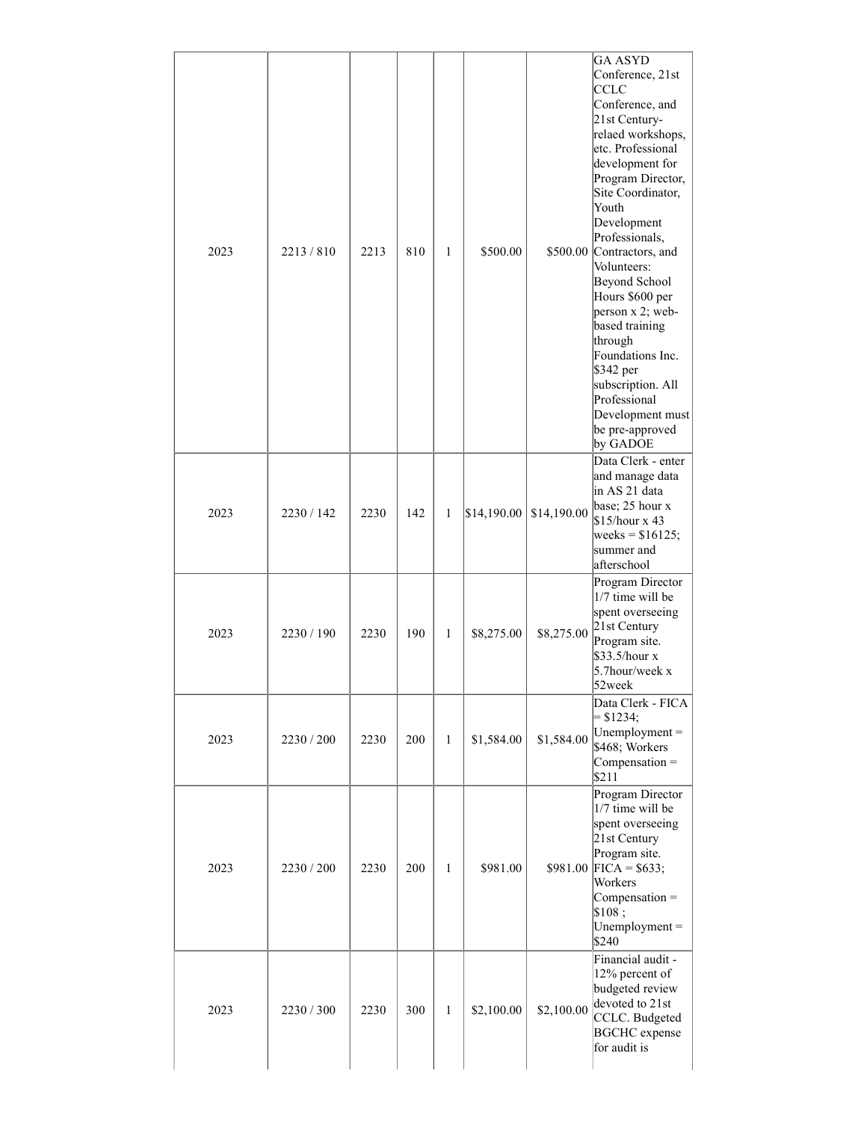| 2023 | 2213/810   | 2213 | 810 | $\mathbf{1}$ | \$500.00    |             | <b>GA ASYD</b><br>Conference, 21st<br><b>CCLC</b><br>Conference, and<br>21st Century-<br>relaed workshops,<br>etc. Professional<br>development for<br>Program Director,<br>Site Coordinator,<br>Youth<br>Development<br>Professionals,<br>\$500.00 Contractors, and<br>Volunteers:<br>Beyond School<br>Hours \$600 per<br>person x 2; web-<br>based training<br>through<br>Foundations Inc.<br>\$342 per<br>subscription. All<br>Professional<br>Development must<br>be pre-approved<br>by GADOE |  |
|------|------------|------|-----|--------------|-------------|-------------|--------------------------------------------------------------------------------------------------------------------------------------------------------------------------------------------------------------------------------------------------------------------------------------------------------------------------------------------------------------------------------------------------------------------------------------------------------------------------------------------------|--|
| 2023 | 2230 / 142 | 2230 | 142 | 1            | \$14,190.00 | \$14,190.00 | Data Clerk - enter<br>and manage data<br>in AS 21 data<br>base; 25 hour x<br>\$15/hour x 43<br>weeks = $$16125;$<br>summer and<br>afterschool                                                                                                                                                                                                                                                                                                                                                    |  |
| 2023 | 2230/190   | 2230 | 190 | $\mathbf{1}$ | \$8,275.00  | \$8,275.00  | Program Director<br>1/7 time will be<br>spent overseeing<br>21st Century<br>Program site.<br>\$33.5/hour x<br>5.7hour/week x<br>52week                                                                                                                                                                                                                                                                                                                                                           |  |
| 2023 | 2230 / 200 | 2230 | 200 | $\mathbf{1}$ | \$1,584.00  | \$1,584.00  | Data Clerk - FICA<br>$= $1234;$<br>Unemployment $=$<br>\$468; Workers<br>$Compensation =$<br>\$211                                                                                                                                                                                                                                                                                                                                                                                               |  |
| 2023 | 2230 / 200 | 2230 | 200 | $\mathbf{1}$ | \$981.00    |             | Program Director<br>1/7 time will be<br>spent overseeing<br>21st Century<br>Program site.<br>$$981.00$ FICA = \$633;<br>Workers<br>$Compensation =$<br>\$108;<br>Unemployment $=$<br>\$240                                                                                                                                                                                                                                                                                                       |  |
| 2023 | 2230 / 300 | 2230 | 300 | $\mathbf{1}$ | \$2,100.00  | \$2,100.00  | Financial audit -<br>12% percent of<br>budgeted review<br>devoted to 21st<br>CCLC. Budgeted<br><b>BGCHC</b> expense<br>for audit is                                                                                                                                                                                                                                                                                                                                                              |  |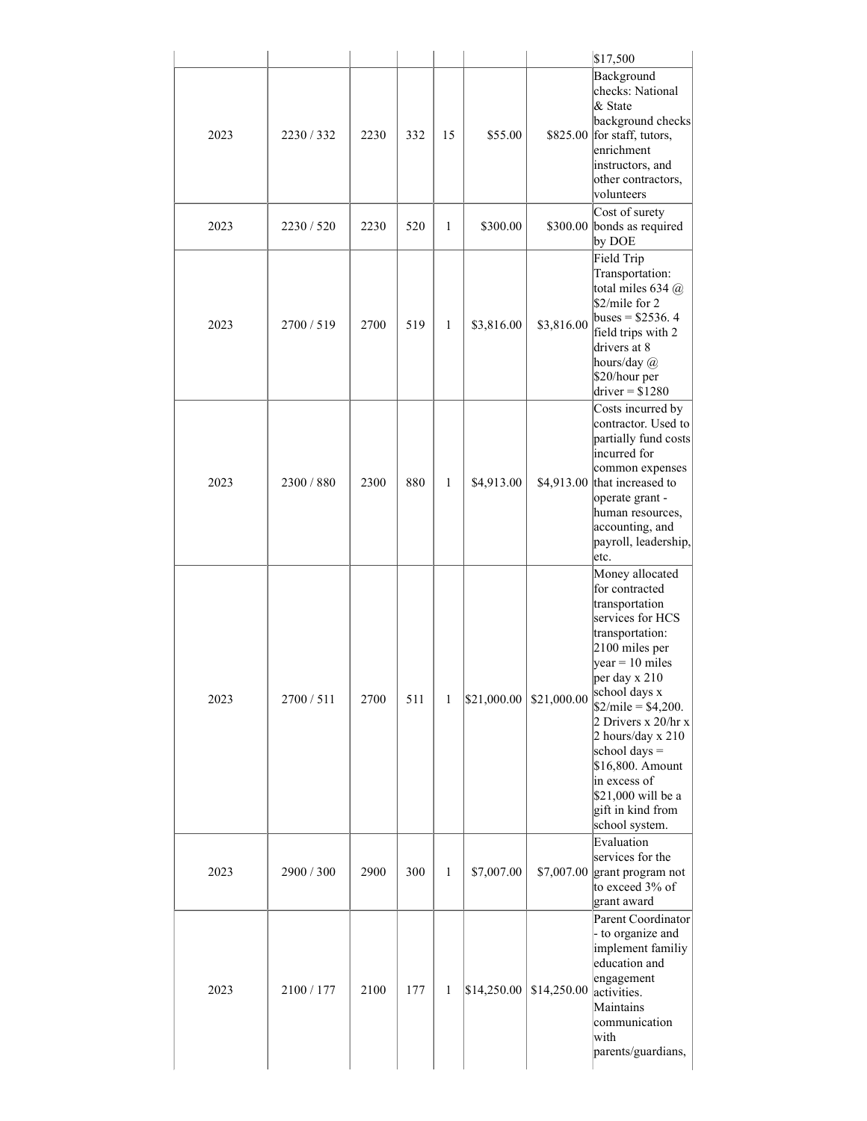|      |            |      |     |              |             |             | \$17,500                                                                                                                                                                                                                                                                                                                                                                  |
|------|------------|------|-----|--------------|-------------|-------------|---------------------------------------------------------------------------------------------------------------------------------------------------------------------------------------------------------------------------------------------------------------------------------------------------------------------------------------------------------------------------|
| 2023 | 2230/332   | 2230 | 332 | 15           | \$55.00     | \$825.00    | Background<br>checks: National<br>& State<br>background checks<br>for staff, tutors,<br>enrichment<br>instructors, and<br>other contractors,<br>volunteers                                                                                                                                                                                                                |
| 2023 | 2230 / 520 | 2230 | 520 | $\mathbf{1}$ | \$300.00    |             | Cost of surety<br>\$300.00 bonds as required<br>by DOE                                                                                                                                                                                                                                                                                                                    |
| 2023 | 2700/519   | 2700 | 519 | $\mathbf{1}$ | \$3,816.00  | \$3,816.00  | Field Trip<br>Transportation:<br>total miles 634 @<br>\$2/mile for 2<br>buses = $$2536.4$<br>field trips with 2<br>drivers at 8<br>hours/day @<br>\$20/hour per<br>$\text{driver} = $1280$                                                                                                                                                                                |
| 2023 | 2300/880   | 2300 | 880 | $\mathbf{1}$ | \$4,913.00  | \$4,913.00  | Costs incurred by<br>contractor. Used to<br>partially fund costs<br>incurred for<br>common expenses<br>that increased to<br>operate grant -<br>human resources,<br>accounting, and<br>payroll, leadership,<br>etc.                                                                                                                                                        |
| 2023 | 2700/511   | 2700 | 511 | $\mathbf{1}$ | \$21,000.00 | \$21,000.00 | Money allocated<br>for contracted<br>transportation<br>services for HCS<br>transportation:<br>2100 miles per<br>$\sqrt{year} = 10 \text{ miles}$<br>per day x 210<br>school days x<br>$$2/mile = $4,200.$<br>2 Drivers x 20/hr x<br>2 hours/day x 210<br>school days $=$<br>\$16,800. Amount<br>in excess of<br>\$21,000 will be a<br>gift in kind from<br>school system. |
| 2023 | 2900 / 300 | 2900 | 300 | $\mathbf{1}$ | \$7,007.00  | \$7,007.00  | Evaluation<br>services for the<br>grant program not<br>to exceed 3% of<br>grant award                                                                                                                                                                                                                                                                                     |
| 2023 | 2100 / 177 | 2100 | 177 | 1            | \$14,250.00 | \$14,250.00 | Parent Coordinator<br>- to organize and<br>implement familiy<br>education and<br>engagement<br>activities.<br>Maintains<br>communication<br>with<br>parents/guardians,                                                                                                                                                                                                    |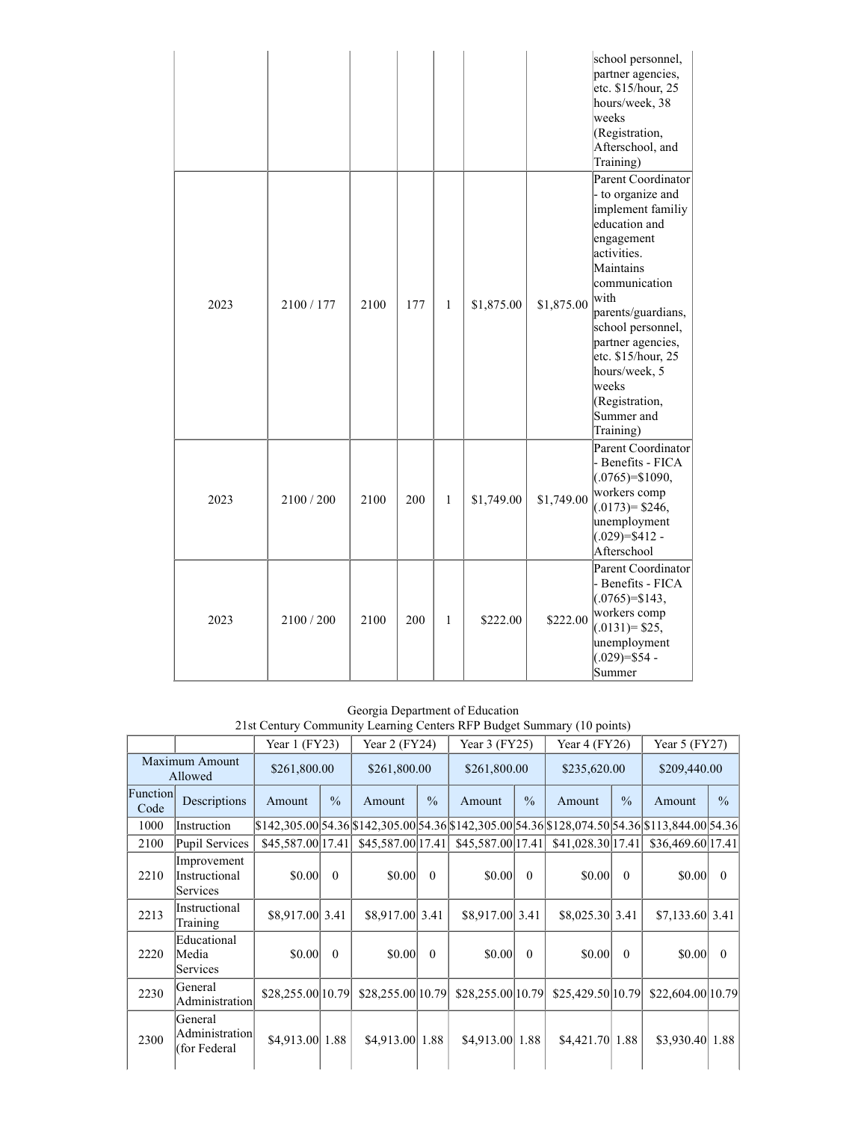|      |            |      |     |              |            |            | school personnel,<br>partner agencies,<br>etc. \$15/hour, 25<br>hours/week, 38<br>weeks<br>(Registration,<br>Afterschool, and<br>Training)                                                                                                                                                                    |
|------|------------|------|-----|--------------|------------|------------|---------------------------------------------------------------------------------------------------------------------------------------------------------------------------------------------------------------------------------------------------------------------------------------------------------------|
| 2023 | 2100/177   | 2100 | 177 | 1            | \$1,875.00 | \$1,875.00 | Parent Coordinator<br>- to organize and<br>implement familiy<br>education and<br>engagement<br>activities.<br>Maintains<br>communication<br>with<br>parents/guardians,<br>school personnel,<br>partner agencies,<br>etc. \$15/hour, 25<br>hours/week, 5<br>weeks<br>(Registration,<br>Summer and<br>Training) |
| 2023 | 2100 / 200 | 2100 | 200 | $\mathbf{1}$ | \$1,749.00 | \$1,749.00 | Parent Coordinator<br>- Benefits - FICA<br>$(.0765)=\$1090,$<br>workers comp<br>$(.0173) = $246,$<br>unemployment<br>$(.029)=\$412$ -<br>Afterschool                                                                                                                                                          |
| 2023 | 2100/200   | 2100 | 200 | 1            | \$222.00   | \$222.00   | <b>Parent Coordinator</b><br>- Benefits - FICA<br>$(.0765)=\$143,$<br>workers comp<br>$(.0131)=$ \$25,<br>unemployment<br>$(.029)=\$54$ -<br>Summer                                                                                                                                                           |

Georgia Department of Education 21st Century Community Learning Centers RFP Budget Summary (10 points)

|                  |                                           | Year $1$ (FY23)   |               | Year $2$ (FY24)                                                                                                                                                                                                                |               | Year $3$ (FY25)                                             |          | Year $4$ (FY26)   |               | Year $5$ (FY27)    |               |
|------------------|-------------------------------------------|-------------------|---------------|--------------------------------------------------------------------------------------------------------------------------------------------------------------------------------------------------------------------------------|---------------|-------------------------------------------------------------|----------|-------------------|---------------|--------------------|---------------|
|                  | Maximum Amount<br>Allowed                 | \$261,800.00      |               | \$261,800.00                                                                                                                                                                                                                   |               | \$261,800.00                                                |          | \$235,620.00      |               | \$209,440.00       |               |
| Function<br>Code | Descriptions                              | Amount            | $\frac{0}{0}$ | Amount                                                                                                                                                                                                                         | $\frac{0}{0}$ | $\frac{0}{0}$<br>Amount                                     |          | Amount            | $\frac{0}{0}$ | Amount             | $\frac{0}{0}$ |
| 1000             | Instruction                               |                   |               | $$142,305.00 54.36 $142,305.00 54.36 $142,305.00 54.36 $128,074.50 54.36 $113,844.00 54.36 $142,305.00 54.36 $142,305.00 54.36 $142,305.00 54.36 $142,305.00 54.36 $142,305.00 54.36 $142,305.00 54.36 $142,305.00 54.36 $142$ |               |                                                             |          |                   |               |                    |               |
| 2100             | <b>Pupil Services</b>                     | \$45,587.00 17.41 |               |                                                                                                                                                                                                                                |               | $$45,587.00 17.41 $ $$45,587.00 17.41 $ $$41,028.30 17.41 $ |          |                   |               | \$36,469.60 17.41] |               |
| 2210             | Improvement<br>Instructional<br>Services  | \$0.00            | $\Omega$      | \$0.00                                                                                                                                                                                                                         | $\theta$      | \$0.00                                                      | $\Omega$ | \$0.00            | $\Omega$      | \$0.00             | $\Omega$      |
| 2213             | Instructional<br>Training                 | \$8,917.00 3.41   |               | \$8,917.00 3.41                                                                                                                                                                                                                |               | \$8,917.00 3.41                                             |          | \$8,025.30 3.41   |               | \$7,133.60 3.41    |               |
| 2220             | Educational<br>Media<br>Services          | \$0.00            | $\Omega$      | \$0.00                                                                                                                                                                                                                         | $\theta$      | \$0.00                                                      | $\Omega$ | \$0.00            | $\theta$      | \$0.00             | $\Omega$      |
| 2230             | General<br>Administration                 | \$28,255.00 10.79 |               | \$28,255.00 10.79                                                                                                                                                                                                              |               | \$28,255.00   10.79                                         |          | \$25,429.50 10.79 |               | \$22,604.00 10.79  |               |
| 2300             | General<br>Administration<br>(for Federal | \$4,913.00 1.88   |               | \$4,913.00 1.88                                                                                                                                                                                                                |               | \$4,913.00 1.88                                             |          | $$4,421.70$ 1.88  |               | \$3,930.40 1.88    |               |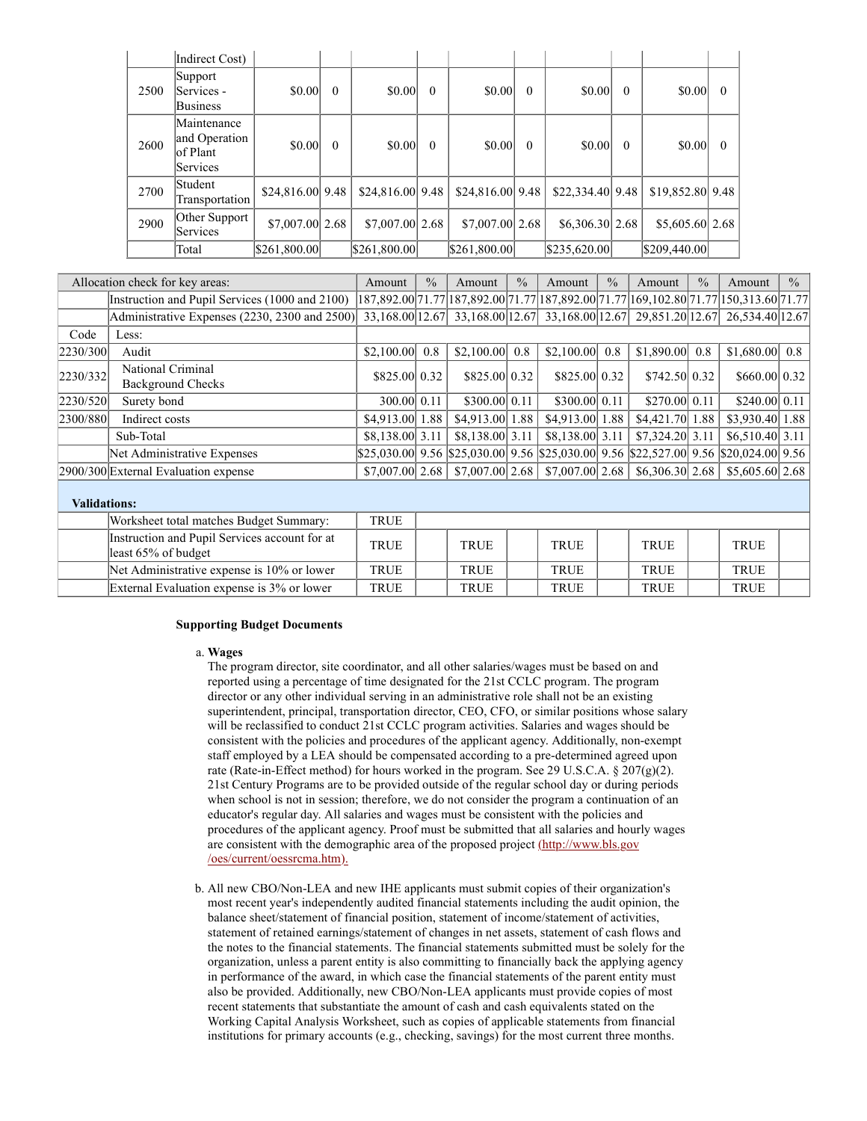|      | Indirect Cost)                                        |                   |          |                    |          |                   |          |                  |          |                           |          |
|------|-------------------------------------------------------|-------------------|----------|--------------------|----------|-------------------|----------|------------------|----------|---------------------------|----------|
| 2500 | Support<br> Services -<br><b>Business</b>             | \$0.00            | $\theta$ | \$0.00             | $\theta$ | \$0.00            | $\theta$ | \$0.00           | $\theta$ | \$0.00                    | $\Omega$ |
| 2600 | Maintenance<br>and Operation<br>lof Plant<br>Services | \$0.00            | $\theta$ | \$0.00             | $\theta$ | \$0.00            | $\theta$ | \$0.00           | $\theta$ | \$0.00                    | $\theta$ |
| 2700 | Student<br>Transportation                             | \$24,816.00 9.48] |          | $$24,816.00]$ 9.48 |          | \$24,816.00 9.48  |          | \$22,334.40 9.48 |          | $$19,852.80 \,   \, 9.48$ |          |
| 2900 | Other Support<br>Services                             | \$7,007.00 2.68   |          | $$7,007.00$   2.68 |          | $$7,007.00 $ 2.68 |          | \$6,306.30 2.68  |          | \$5,605.60 2.68           |          |
|      | Total                                                 | \$261,800.00      |          | \$261,800.00       |          | \$261,800.00      |          | \$235,620.00     |          | \$209,440.00              |          |

| Allocation check for key areas: | Amount                                         | $\frac{0}{0}$      | Amount | $\frac{0}{0}$                                                                                        | Amount | $\frac{0}{0}$       | Amount | $\frac{0}{0}$      | Amount | $\frac{0}{0}$       |  |
|---------------------------------|------------------------------------------------|--------------------|--------|------------------------------------------------------------------------------------------------------|--------|---------------------|--------|--------------------|--------|---------------------|--|
|                                 | Instruction and Pupil Services (1000 and 2100) |                    |        | 187,892.00 71.77   187,892.00   71.77   187,892.00   71.77   169,102.80   71.77   150,313.60   71.77 |        |                     |        |                    |        |                     |  |
|                                 | Administrative Expenses (2230, 2300 and 2500)  |                    |        | 33,168.00 12.67 33,168.00 12.67 33,168.00 12.67 29,851.20 12.67 26,534.40 12.67                      |        |                     |        |                    |        |                     |  |
| Code                            | Less:                                          |                    |        |                                                                                                      |        |                     |        |                    |        |                     |  |
| 2230/300                        | Audit                                          | $$2,100.00$ 0.8    |        | $$2,100.00$ 0.8                                                                                      |        | $$2,100.00$ 0.8     |        | $$1,890.00$ 0.8    |        | $$1,680.00$ 0.8     |  |
| 2230/332                        | National Criminal<br>Background Checks         | \$825.00 0.32      |        | \$825,00 0.32                                                                                        |        | \$825,00 0.32       |        | \$742.50 0.32      |        | \$660.00 0.32]      |  |
| 2230/520                        | Surety bond                                    | 300.00 0.11        |        | \$300.00 0.11                                                                                        |        | \$300.00 0.11       |        | \$270.00 0.11      |        | \$240.00 0.11       |  |
| 2300/880                        | Indirect costs                                 | \$4,913,00 1.88    |        | \$4,913,00 1.88                                                                                      |        | $$4.913.00 \, 1.88$ |        | $$4,421,70$   1.88 |        | \$3.930.40 1.88     |  |
|                                 | Sub-Total                                      | \$8,138,00 3.11    |        | \$8,138,00 3.11                                                                                      |        | \$8,138,00 3.11     |        | $$7,324.20$ 3.11   |        | $$6,510.40 \, 3.11$ |  |
|                                 | Net Administrative Expenses                    |                    |        | $$25,030.00]$ 9.56 $$25,030.00]$ 9.56 $$25,030.00]$ 9.56 $$22,527.00]$ 9.56 $$20,024.00]$ 9.56       |        |                     |        |                    |        |                     |  |
|                                 | [2900/300] External Evaluation expense         | $$7,007,00$   2.68 |        | $$7,007,00$   2.68                                                                                   |        | \$7,007.00 2.68     |        | \$6,306,30 2.68]   |        | \$5,605,60 2.68     |  |
|                                 |                                                |                    |        |                                                                                                      |        |                     |        |                    |        |                     |  |

| <b>Validations:</b> |                                                                      |             |  |             |  |             |  |             |  |             |  |  |
|---------------------|----------------------------------------------------------------------|-------------|--|-------------|--|-------------|--|-------------|--|-------------|--|--|
|                     | Worksheet total matches Budget Summary:                              | <b>TRUE</b> |  |             |  |             |  |             |  |             |  |  |
|                     | Instruction and Pupil Services account for at<br>least 65% of budget | <b>TRUE</b> |  | <b>TRUE</b> |  | TRUE        |  | <b>TRUE</b> |  | <b>TRUE</b> |  |  |
|                     | Net Administrative expense is 10% or lower                           | <b>TRUE</b> |  | <b>TRUE</b> |  | <b>TRUE</b> |  | <b>TRUE</b> |  | <b>TRUE</b> |  |  |
|                     | External Evaluation expense is 3% or lower                           | <b>TRUE</b> |  | TRUE        |  | TRUE        |  | <b>TRUE</b> |  | <b>TRUE</b> |  |  |

# Supporting Budget Documents

#### a. Wages

The program director, site coordinator, and all other salaries/wages must be based on and reported using a percentage of time designated for the 21st CCLC program. The program director or any other individual serving in an administrative role shall not be an existing superintendent, principal, transportation director, CEO, CFO, or similar positions whose salary will be reclassified to conduct 21st CCLC program activities. Salaries and wages should be consistent with the policies and procedures of the applicant agency. Additionally, non-exempt staff employed by a LEA should be compensated according to a pre-determined agreed upon rate (Rate-in-Effect method) for hours worked in the program. See 29 U.S.C.A.  $\S 207(g)(2)$ . 21st Century Programs are to be provided outside of the regular school day or during periods when school is not in session; therefore, we do not consider the program a continuation of an educator's regular day. All salaries and wages must be consistent with the policies and procedures of the applicant agency. Proof must be submitted that all salaries and hourly wages are consistent with the demographic area of the proposed project (http://www.bls.gov /oes/current/oessrcma.htm).

b. All new CBO/Non-LEA and new IHE applicants must submit copies of their organization's most recent year's independently audited financial statements including the audit opinion, the balance sheet/statement of financial position, statement of income/statement of activities, statement of retained earnings/statement of changes in net assets, statement of cash flows and the notes to the financial statements. The financial statements submitted must be solely for the organization, unless a parent entity is also committing to financially back the applying agency in performance of the award, in which case the financial statements of the parent entity must also be provided. Additionally, new CBO/Non-LEA applicants must provide copies of most recent statements that substantiate the amount of cash and cash equivalents stated on the Working Capital Analysis Worksheet, such as copies of applicable statements from financial institutions for primary accounts (e.g., checking, savings) for the most current three months.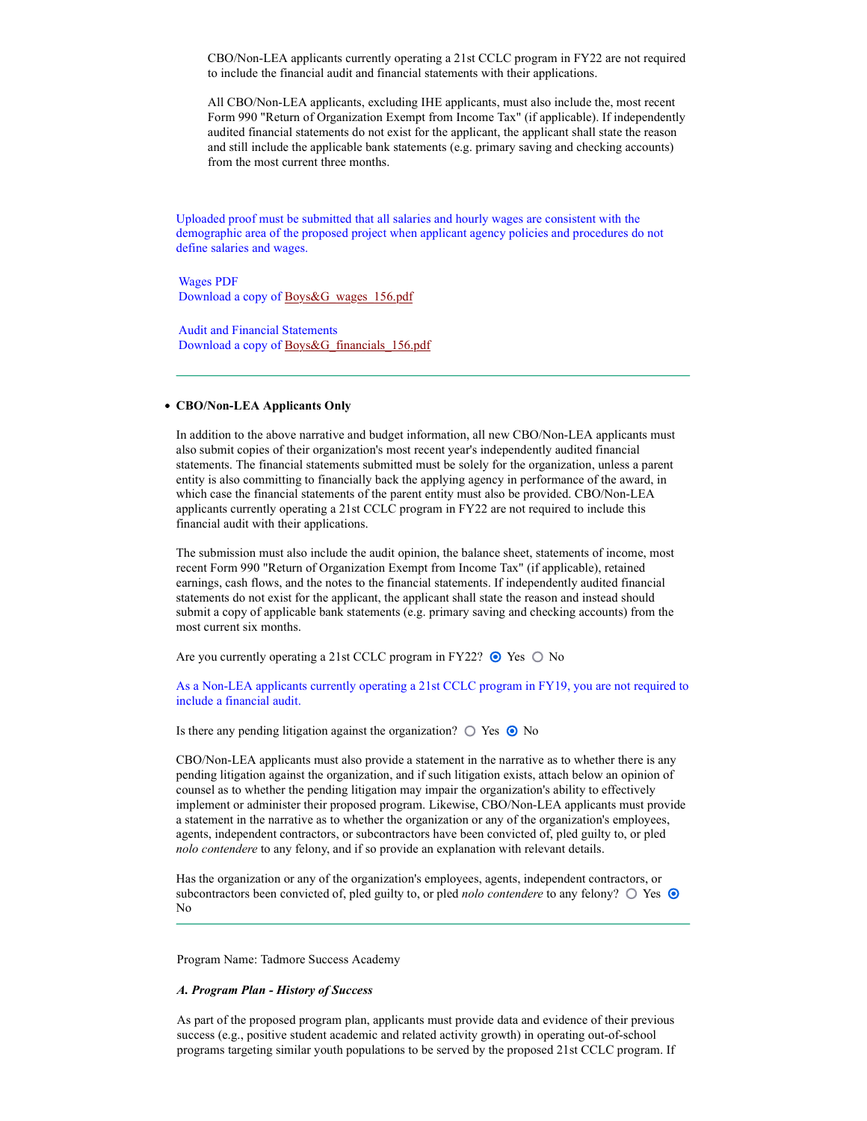CBO/Non-LEA applicants currently operating a 21st CCLC program in FY22 are not required to include the financial audit and financial statements with their applications.

All CBO/Non-LEA applicants, excluding IHE applicants, must also include the, most recent Form 990 "Return of Organization Exempt from Income Tax" (if applicable). If independently audited financial statements do not exist for the applicant, the applicant shall state the reason and still include the applicable bank statements (e.g. primary saving and checking accounts) from the most current three months.

Uploaded proof must be submitted that all salaries and hourly wages are consistent with the demographic area of the proposed project when applicant agency policies and procedures do not define salaries and wages.

Wages PDF Download a copy of Boys&G\_wages\_156.pdf

Audit and Financial Statements Download a copy of Boys&G\_financials\_156.pdf

## CBO/Non-LEA Applicants Only

In addition to the above narrative and budget information, all new CBO/Non-LEA applicants must also submit copies of their organization's most recent year's independently audited financial statements. The financial statements submitted must be solely for the organization, unless a parent entity is also committing to financially back the applying agency in performance of the award, in which case the financial statements of the parent entity must also be provided. CBO/Non-LEA applicants currently operating a 21st CCLC program in FY22 are not required to include this financial audit with their applications.

The submission must also include the audit opinion, the balance sheet, statements of income, most recent Form 990 "Return of Organization Exempt from Income Tax" (if applicable), retained earnings, cash flows, and the notes to the financial statements. If independently audited financial statements do not exist for the applicant, the applicant shall state the reason and instead should submit a copy of applicable bank statements (e.g. primary saving and checking accounts) from the most current six months.

Are you currently operating a 21st CCLC program in FY22?  $\odot$  Yes  $\odot$  No

As a Non-LEA applicants currently operating a 21st CCLC program in FY19, you are not required to include a financial audit.

Is there any pending litigation against the organization?  $\bigcirc$  Yes  $\bigcirc$  No

CBO/Non-LEA applicants must also provide a statement in the narrative as to whether there is any pending litigation against the organization, and if such litigation exists, attach below an opinion of counsel as to whether the pending litigation may impair the organization's ability to effectively implement or administer their proposed program. Likewise, CBO/Non-LEA applicants must provide a statement in the narrative as to whether the organization or any of the organization's employees, agents, independent contractors, or subcontractors have been convicted of, pled guilty to, or pled nolo contendere to any felony, and if so provide an explanation with relevant details.

Has the organization or any of the organization's employees, agents, independent contractors, or subcontractors been convicted of, pled guilty to, or pled *nolo contendere* to any felony?  $\bigcirc$  Yes  $\bigcirc$ No

Program Name: Tadmore Success Academy

#### A. Program Plan - History of Success

As part of the proposed program plan, applicants must provide data and evidence of their previous success (e.g., positive student academic and related activity growth) in operating out-of-school programs targeting similar youth populations to be served by the proposed 21st CCLC program. If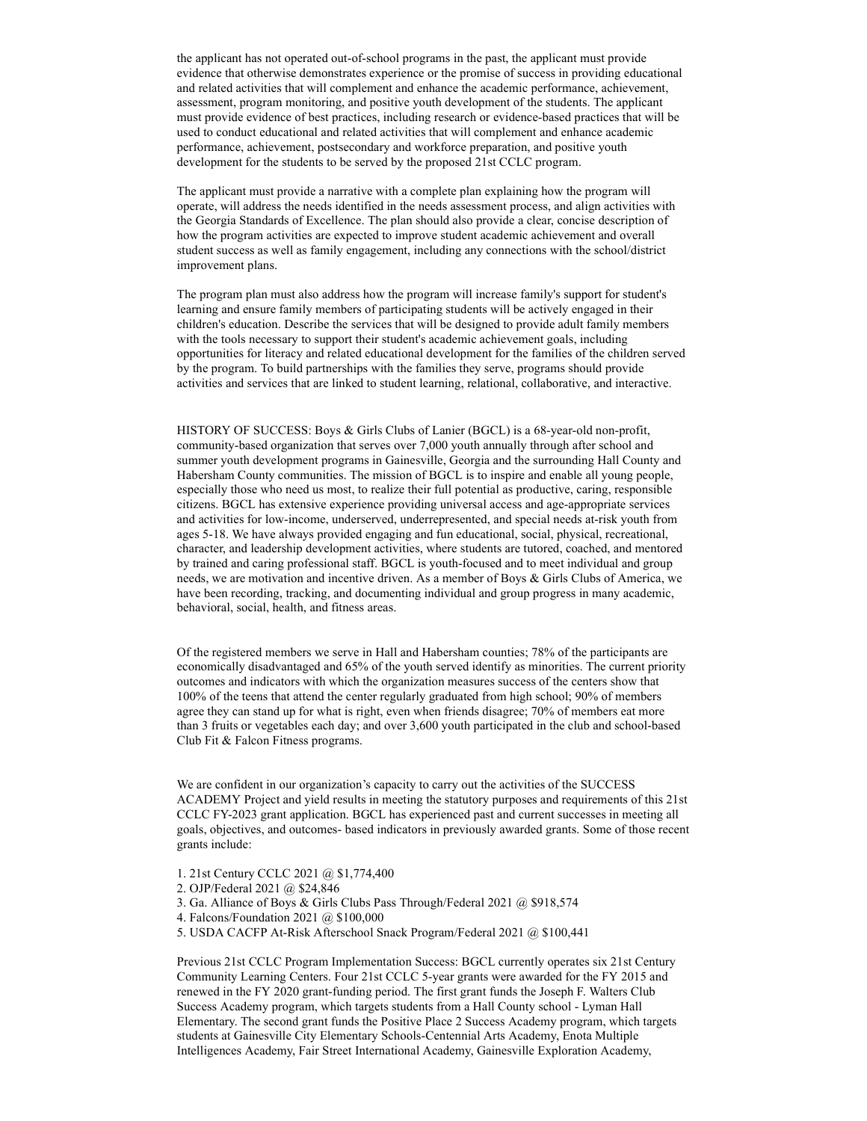the applicant has not operated out-of-school programs in the past, the applicant must provide evidence that otherwise demonstrates experience or the promise of success in providing educational and related activities that will complement and enhance the academic performance, achievement, assessment, program monitoring, and positive youth development of the students. The applicant must provide evidence of best practices, including research or evidence-based practices that will be used to conduct educational and related activities that will complement and enhance academic performance, achievement, postsecondary and workforce preparation, and positive youth development for the students to be served by the proposed 21st CCLC program.

The applicant must provide a narrative with a complete plan explaining how the program will operate, will address the needs identified in the needs assessment process, and align activities with the Georgia Standards of Excellence. The plan should also provide a clear, concise description of how the program activities are expected to improve student academic achievement and overall student success as well as family engagement, including any connections with the school/district improvement plans.

The program plan must also address how the program will increase family's support for student's learning and ensure family members of participating students will be actively engaged in their children's education. Describe the services that will be designed to provide adult family members with the tools necessary to support their student's academic achievement goals, including opportunities for literacy and related educational development for the families of the children served by the program. To build partnerships with the families they serve, programs should provide activities and services that are linked to student learning, relational, collaborative, and interactive.

HISTORY OF SUCCESS: Boys & Girls Clubs of Lanier (BGCL) is a 68-year-old non-profit, community-based organization that serves over 7,000 youth annually through after school and summer youth development programs in Gainesville, Georgia and the surrounding Hall County and Habersham County communities. The mission of BGCL is to inspire and enable all young people, especially those who need us most, to realize their full potential as productive, caring, responsible citizens. BGCL has extensive experience providing universal access and age-appropriate services and activities for low-income, underserved, underrepresented, and special needs at-risk youth from ages 5-18. We have always provided engaging and fun educational, social, physical, recreational, character, and leadership development activities, where students are tutored, coached, and mentored by trained and caring professional staff. BGCL is youth-focused and to meet individual and group needs, we are motivation and incentive driven. As a member of Boys & Girls Clubs of America, we have been recording, tracking, and documenting individual and group progress in many academic, behavioral, social, health, and fitness areas.

Of the registered members we serve in Hall and Habersham counties; 78% of the participants are economically disadvantaged and 65% of the youth served identify as minorities. The current priority outcomes and indicators with which the organization measures success of the centers show that 100% of the teens that attend the center regularly graduated from high school; 90% of members agree they can stand up for what is right, even when friends disagree; 70% of members eat more than 3 fruits or vegetables each day; and over 3,600 youth participated in the club and school-based Club Fit & Falcon Fitness programs.

We are confident in our organization's capacity to carry out the activities of the SUCCESS ACADEMY Project and yield results in meeting the statutory purposes and requirements of this 21st CCLC FY-2023 grant application. BGCL has experienced past and current successes in meeting all goals, objectives, and outcomes- based indicators in previously awarded grants. Some of those recent grants include:

- 1. 21st Century CCLC 2021 @ \$1,774,400
- 2. OJP/Federal 2021 @ \$24,846
- 3. Ga. Alliance of Boys & Girls Clubs Pass Through/Federal 2021 @ \$918,574
- 4. Falcons/Foundation 2021 @ \$100,000
- 5. USDA CACFP At-Risk Afterschool Snack Program/Federal 2021 @ \$100,441

Previous 21st CCLC Program Implementation Success: BGCL currently operates six 21st Century Community Learning Centers. Four 21st CCLC 5-year grants were awarded for the FY 2015 and renewed in the FY 2020 grant-funding period. The first grant funds the Joseph F. Walters Club Success Academy program, which targets students from a Hall County school - Lyman Hall Elementary. The second grant funds the Positive Place 2 Success Academy program, which targets students at Gainesville City Elementary Schools-Centennial Arts Academy, Enota Multiple Intelligences Academy, Fair Street International Academy, Gainesville Exploration Academy,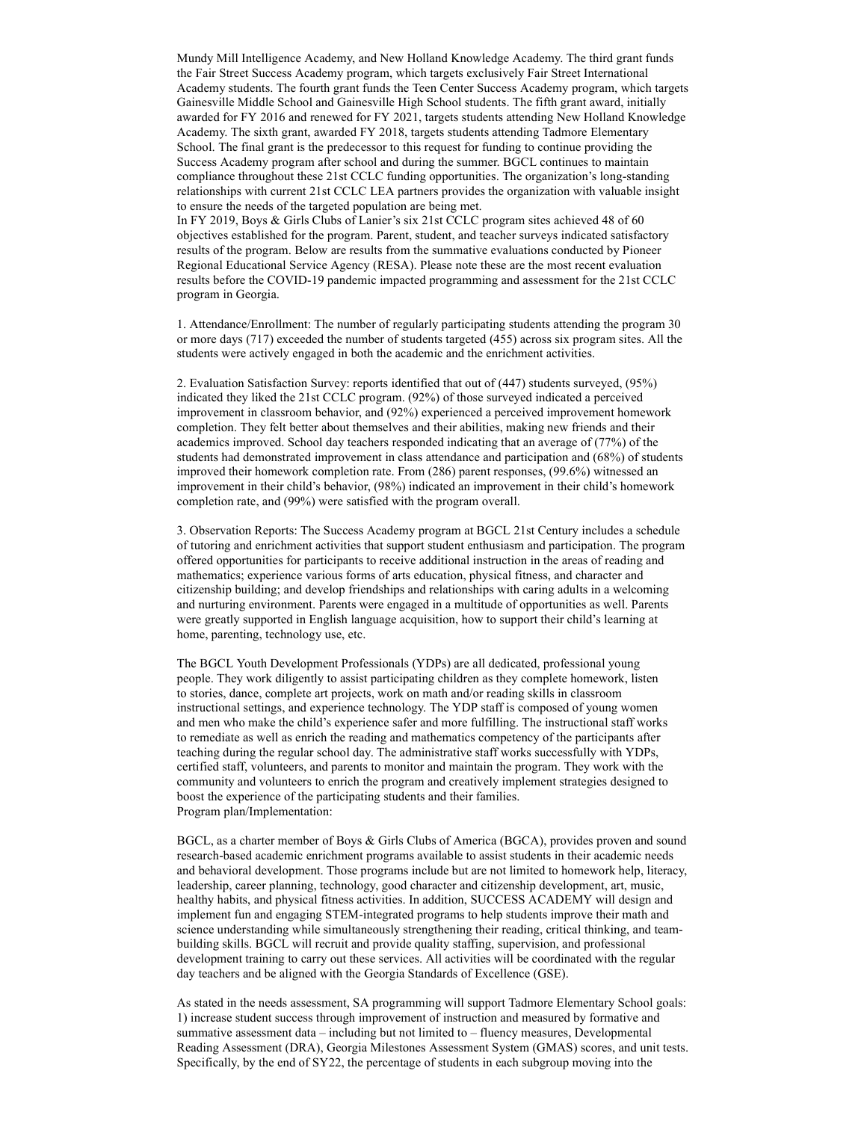Mundy Mill Intelligence Academy, and New Holland Knowledge Academy. The third grant funds the Fair Street Success Academy program, which targets exclusively Fair Street International Academy students. The fourth grant funds the Teen Center Success Academy program, which targets Gainesville Middle School and Gainesville High School students. The fifth grant award, initially awarded for FY 2016 and renewed for FY 2021, targets students attending New Holland Knowledge Academy. The sixth grant, awarded FY 2018, targets students attending Tadmore Elementary School. The final grant is the predecessor to this request for funding to continue providing the Success Academy program after school and during the summer. BGCL continues to maintain compliance throughout these 21st CCLC funding opportunities. The organization's long-standing relationships with current 21st CCLC LEA partners provides the organization with valuable insight to ensure the needs of the targeted population are being met.

In FY 2019, Boys & Girls Clubs of Lanier's six 21st CCLC program sites achieved 48 of 60 objectives established for the program. Parent, student, and teacher surveys indicated satisfactory results of the program. Below are results from the summative evaluations conducted by Pioneer Regional Educational Service Agency (RESA). Please note these are the most recent evaluation results before the COVID-19 pandemic impacted programming and assessment for the 21st CCLC program in Georgia.

1. Attendance/Enrollment: The number of regularly participating students attending the program 30 or more days (717) exceeded the number of students targeted (455) across six program sites. All the students were actively engaged in both the academic and the enrichment activities.

2. Evaluation Satisfaction Survey: reports identified that out of (447) students surveyed, (95%) indicated they liked the 21st CCLC program. (92%) of those surveyed indicated a perceived improvement in classroom behavior, and (92%) experienced a perceived improvement homework completion. They felt better about themselves and their abilities, making new friends and their academics improved. School day teachers responded indicating that an average of (77%) of the students had demonstrated improvement in class attendance and participation and (68%) of students improved their homework completion rate. From (286) parent responses, (99.6%) witnessed an improvement in their child's behavior, (98%) indicated an improvement in their child's homework completion rate, and (99%) were satisfied with the program overall.

3. Observation Reports: The Success Academy program at BGCL 21st Century includes a schedule of tutoring and enrichment activities that support student enthusiasm and participation. The program offered opportunities for participants to receive additional instruction in the areas of reading and mathematics; experience various forms of arts education, physical fitness, and character and citizenship building; and develop friendships and relationships with caring adults in a welcoming and nurturing environment. Parents were engaged in a multitude of opportunities as well. Parents were greatly supported in English language acquisition, how to support their child's learning at home, parenting, technology use, etc.

The BGCL Youth Development Professionals (YDPs) are all dedicated, professional young people. They work diligently to assist participating children as they complete homework, listen to stories, dance, complete art projects, work on math and/or reading skills in classroom instructional settings, and experience technology. The YDP staff is composed of young women and men who make the child's experience safer and more fulfilling. The instructional staff works to remediate as well as enrich the reading and mathematics competency of the participants after teaching during the regular school day. The administrative staff works successfully with YDPs, certified staff, volunteers, and parents to monitor and maintain the program. They work with the community and volunteers to enrich the program and creatively implement strategies designed to boost the experience of the participating students and their families. Program plan/Implementation:

BGCL, as a charter member of Boys & Girls Clubs of America (BGCA), provides proven and sound research-based academic enrichment programs available to assist students in their academic needs and behavioral development. Those programs include but are not limited to homework help, literacy, leadership, career planning, technology, good character and citizenship development, art, music, healthy habits, and physical fitness activities. In addition, SUCCESS ACADEMY will design and implement fun and engaging STEM-integrated programs to help students improve their math and science understanding while simultaneously strengthening their reading, critical thinking, and teambuilding skills. BGCL will recruit and provide quality staffing, supervision, and professional development training to carry out these services. All activities will be coordinated with the regular day teachers and be aligned with the Georgia Standards of Excellence (GSE).

As stated in the needs assessment, SA programming will support Tadmore Elementary School goals: 1) increase student success through improvement of instruction and measured by formative and summative assessment data – including but not limited to – fluency measures, Developmental Reading Assessment (DRA), Georgia Milestones Assessment System (GMAS) scores, and unit tests. Specifically, by the end of SY22, the percentage of students in each subgroup moving into the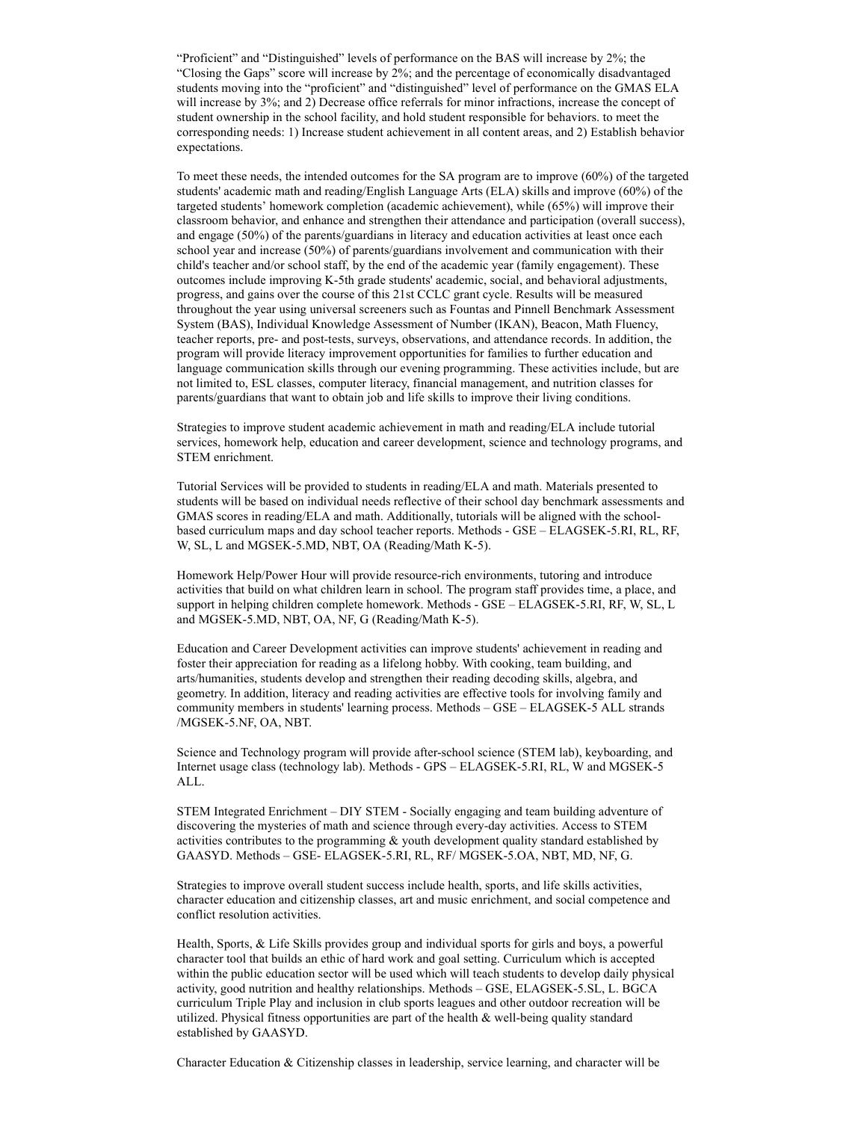"Proficient" and "Distinguished" levels of performance on the BAS will increase by 2%; the "Closing the Gaps" score will increase by 2%; and the percentage of economically disadvantaged students moving into the "proficient" and "distinguished" level of performance on the GMAS ELA will increase by 3%; and 2) Decrease office referrals for minor infractions, increase the concept of student ownership in the school facility, and hold student responsible for behaviors. to meet the corresponding needs: 1) Increase student achievement in all content areas, and 2) Establish behavior expectations.

To meet these needs, the intended outcomes for the SA program are to improve (60%) of the targeted students' academic math and reading/English Language Arts (ELA) skills and improve (60%) of the targeted students' homework completion (academic achievement), while (65%) will improve their classroom behavior, and enhance and strengthen their attendance and participation (overall success), and engage (50%) of the parents/guardians in literacy and education activities at least once each school year and increase (50%) of parents/guardians involvement and communication with their child's teacher and/or school staff, by the end of the academic year (family engagement). These outcomes include improving K-5th grade students' academic, social, and behavioral adjustments, progress, and gains over the course of this 21st CCLC grant cycle. Results will be measured throughout the year using universal screeners such as Fountas and Pinnell Benchmark Assessment System (BAS), Individual Knowledge Assessment of Number (IKAN), Beacon, Math Fluency, teacher reports, pre- and post-tests, surveys, observations, and attendance records. In addition, the program will provide literacy improvement opportunities for families to further education and language communication skills through our evening programming. These activities include, but are not limited to, ESL classes, computer literacy, financial management, and nutrition classes for parents/guardians that want to obtain job and life skills to improve their living conditions.

Strategies to improve student academic achievement in math and reading/ELA include tutorial services, homework help, education and career development, science and technology programs, and STEM enrichment.

Tutorial Services will be provided to students in reading/ELA and math. Materials presented to students will be based on individual needs reflective of their school day benchmark assessments and GMAS scores in reading/ELA and math. Additionally, tutorials will be aligned with the schoolbased curriculum maps and day school teacher reports. Methods - GSE – ELAGSEK-5.RI, RL, RF, W, SL, L and MGSEK-5.MD, NBT, OA (Reading/Math K-5).

Homework Help/Power Hour will provide resource-rich environments, tutoring and introduce activities that build on what children learn in school. The program staff provides time, a place, and support in helping children complete homework. Methods - GSE – ELAGSEK-5.RI, RF, W, SL, L and MGSEK-5.MD, NBT, OA, NF, G (Reading/Math K-5).

Education and Career Development activities can improve students' achievement in reading and foster their appreciation for reading as a lifelong hobby. With cooking, team building, and arts/humanities, students develop and strengthen their reading decoding skills, algebra, and geometry. In addition, literacy and reading activities are effective tools for involving family and community members in students' learning process. Methods – GSE – ELAGSEK-5 ALL strands /MGSEK-5.NF, OA, NBT.

Science and Technology program will provide after-school science (STEM lab), keyboarding, and Internet usage class (technology lab). Methods - GPS – ELAGSEK-5.RI, RL, W and MGSEK-5 ALL.

STEM Integrated Enrichment – DIY STEM - Socially engaging and team building adventure of discovering the mysteries of math and science through every-day activities. Access to STEM activities contributes to the programming & youth development quality standard established by GAASYD. Methods – GSE- ELAGSEK-5.RI, RL, RF/ MGSEK-5.OA, NBT, MD, NF, G.

Strategies to improve overall student success include health, sports, and life skills activities, character education and citizenship classes, art and music enrichment, and social competence and conflict resolution activities.

Health, Sports, & Life Skills provides group and individual sports for girls and boys, a powerful character tool that builds an ethic of hard work and goal setting. Curriculum which is accepted within the public education sector will be used which will teach students to develop daily physical activity, good nutrition and healthy relationships. Methods – GSE, ELAGSEK-5.SL, L. BGCA curriculum Triple Play and inclusion in club sports leagues and other outdoor recreation will be utilized. Physical fitness opportunities are part of the health & well-being quality standard established by GAASYD.

Character Education & Citizenship classes in leadership, service learning, and character will be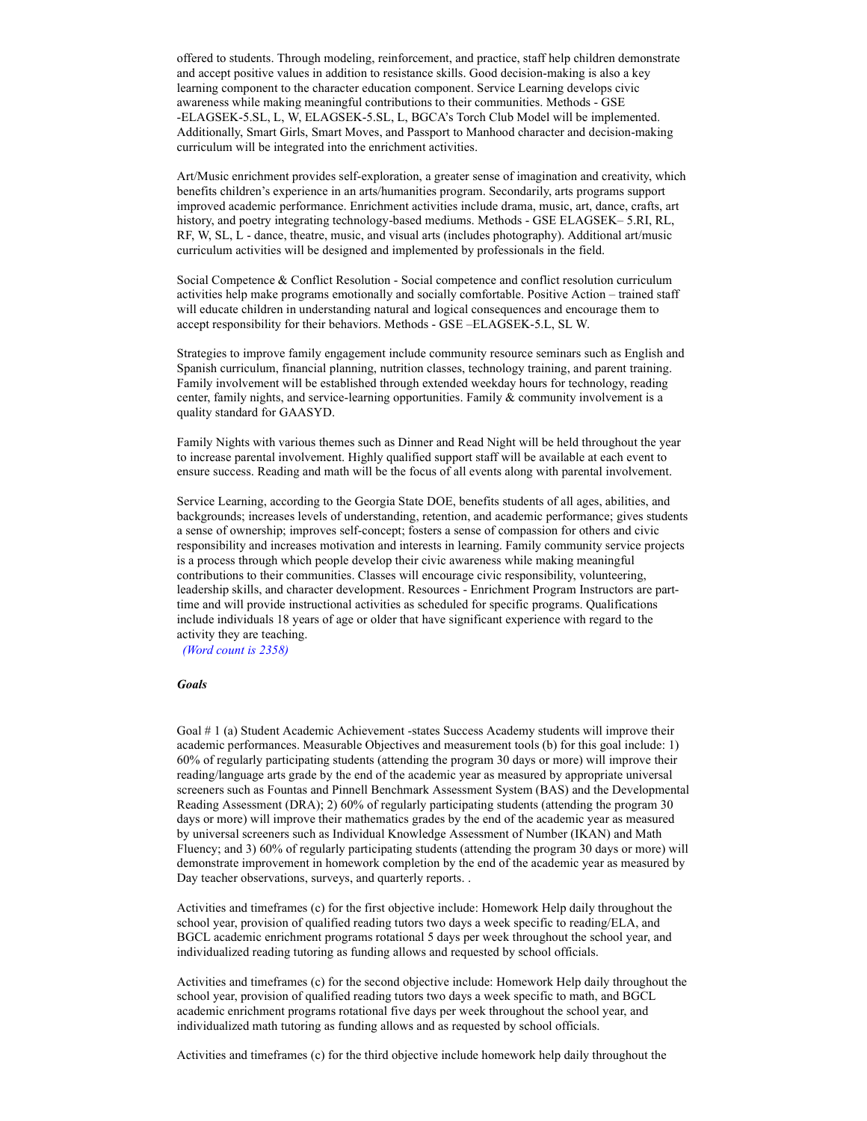offered to students. Through modeling, reinforcement, and practice, staff help children demonstrate and accept positive values in addition to resistance skills. Good decision-making is also a key learning component to the character education component. Service Learning develops civic awareness while making meaningful contributions to their communities. Methods - GSE -ELAGSEK-5.SL, L, W, ELAGSEK-5.SL, L, BGCA's Torch Club Model will be implemented. Additionally, Smart Girls, Smart Moves, and Passport to Manhood character and decision-making curriculum will be integrated into the enrichment activities.

Art/Music enrichment provides self-exploration, a greater sense of imagination and creativity, which benefits children's experience in an arts/humanities program. Secondarily, arts programs support improved academic performance. Enrichment activities include drama, music, art, dance, crafts, art history, and poetry integrating technology-based mediums. Methods - GSE ELAGSEK– 5.RI, RL, RF, W, SL, L - dance, theatre, music, and visual arts (includes photography). Additional art/music curriculum activities will be designed and implemented by professionals in the field.

Social Competence & Conflict Resolution - Social competence and conflict resolution curriculum activities help make programs emotionally and socially comfortable. Positive Action – trained staff will educate children in understanding natural and logical consequences and encourage them to accept responsibility for their behaviors. Methods - GSE –ELAGSEK-5.L, SL W.

Strategies to improve family engagement include community resource seminars such as English and Spanish curriculum, financial planning, nutrition classes, technology training, and parent training. Family involvement will be established through extended weekday hours for technology, reading center, family nights, and service-learning opportunities. Family & community involvement is a quality standard for GAASYD.

Family Nights with various themes such as Dinner and Read Night will be held throughout the year to increase parental involvement. Highly qualified support staff will be available at each event to ensure success. Reading and math will be the focus of all events along with parental involvement.

Service Learning, according to the Georgia State DOE, benefits students of all ages, abilities, and backgrounds; increases levels of understanding, retention, and academic performance; gives students a sense of ownership; improves self-concept; fosters a sense of compassion for others and civic responsibility and increases motivation and interests in learning. Family community service projects is a process through which people develop their civic awareness while making meaningful contributions to their communities. Classes will encourage civic responsibility, volunteering, leadership skills, and character development. Resources - Enrichment Program Instructors are parttime and will provide instructional activities as scheduled for specific programs. Qualifications include individuals 18 years of age or older that have significant experience with regard to the activity they are teaching.

(Word count is 2358)

# **Goals**

Goal # 1 (a) Student Academic Achievement -states Success Academy students will improve their academic performances. Measurable Objectives and measurement tools (b) for this goal include: 1) 60% of regularly participating students (attending the program 30 days or more) will improve their reading/language arts grade by the end of the academic year as measured by appropriate universal screeners such as Fountas and Pinnell Benchmark Assessment System (BAS) and the Developmental Reading Assessment (DRA); 2) 60% of regularly participating students (attending the program 30 days or more) will improve their mathematics grades by the end of the academic year as measured by universal screeners such as Individual Knowledge Assessment of Number (IKAN) and Math Fluency; and 3) 60% of regularly participating students (attending the program 30 days or more) will demonstrate improvement in homework completion by the end of the academic year as measured by Day teacher observations, surveys, and quarterly reports. .

Activities and timeframes (c) for the first objective include: Homework Help daily throughout the school year, provision of qualified reading tutors two days a week specific to reading/ELA, and BGCL academic enrichment programs rotational 5 days per week throughout the school year, and individualized reading tutoring as funding allows and requested by school officials.

Activities and timeframes (c) for the second objective include: Homework Help daily throughout the school year, provision of qualified reading tutors two days a week specific to math, and BGCL academic enrichment programs rotational five days per week throughout the school year, and individualized math tutoring as funding allows and as requested by school officials.

Activities and timeframes (c) for the third objective include homework help daily throughout the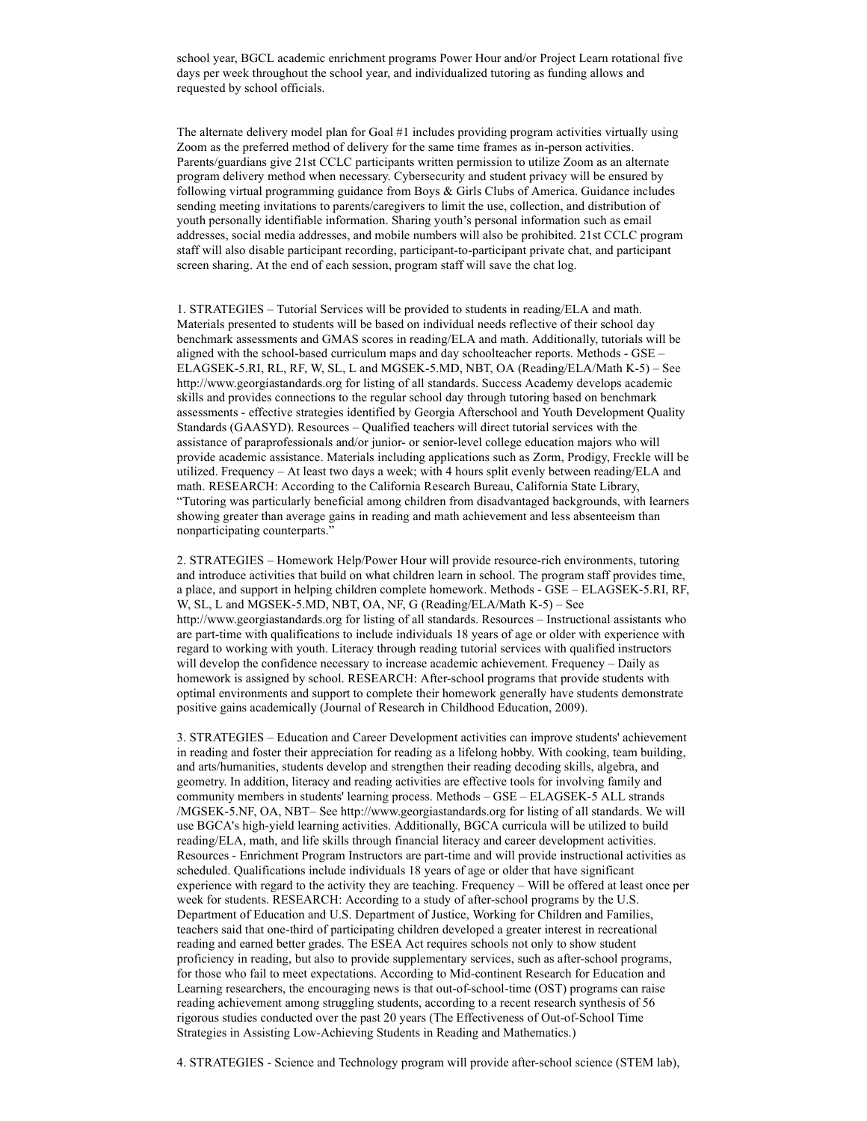school year, BGCL academic enrichment programs Power Hour and/or Project Learn rotational five days per week throughout the school year, and individualized tutoring as funding allows and requested by school officials.

The alternate delivery model plan for Goal #1 includes providing program activities virtually using Zoom as the preferred method of delivery for the same time frames as in-person activities. Parents/guardians give 21st CCLC participants written permission to utilize Zoom as an alternate program delivery method when necessary. Cybersecurity and student privacy will be ensured by following virtual programming guidance from Boys & Girls Clubs of America. Guidance includes sending meeting invitations to parents/caregivers to limit the use, collection, and distribution of youth personally identifiable information. Sharing youth's personal information such as email addresses, social media addresses, and mobile numbers will also be prohibited. 21st CCLC program staff will also disable participant recording, participant-to-participant private chat, and participant screen sharing. At the end of each session, program staff will save the chat log.

1. STRATEGIES – Tutorial Services will be provided to students in reading/ELA and math. Materials presented to students will be based on individual needs reflective of their school day benchmark assessments and GMAS scores in reading/ELA and math. Additionally, tutorials will be aligned with the school-based curriculum maps and day schoolteacher reports. Methods - GSE – ELAGSEK-5.RI, RL, RF, W, SL, L and MGSEK-5.MD, NBT, OA (Reading/ELA/Math K-5) – See http://www.georgiastandards.org for listing of all standards. Success Academy develops academic skills and provides connections to the regular school day through tutoring based on benchmark assessments - effective strategies identified by Georgia Afterschool and Youth Development Quality Standards (GAASYD). Resources – Qualified teachers will direct tutorial services with the assistance of paraprofessionals and/or junior- or senior-level college education majors who will provide academic assistance. Materials including applications such as Zorm, Prodigy, Freckle will be utilized. Frequency – At least two days a week; with 4 hours split evenly between reading/ELA and math. RESEARCH: According to the California Research Bureau, California State Library, "Tutoring was particularly beneficial among children from disadvantaged backgrounds, with learners showing greater than average gains in reading and math achievement and less absenteeism than nonparticipating counterparts."

2. STRATEGIES – Homework Help/Power Hour will provide resource-rich environments, tutoring and introduce activities that build on what children learn in school. The program staff provides time, a place, and support in helping children complete homework. Methods - GSE – ELAGSEK-5.RI, RF, W, SL, L and MGSEK-5.MD, NBT, OA, NF, G (Reading/ELA/Math K-5) – See http://www.georgiastandards.org for listing of all standards. Resources – Instructional assistants who are part-time with qualifications to include individuals 18 years of age or older with experience with regard to working with youth. Literacy through reading tutorial services with qualified instructors will develop the confidence necessary to increase academic achievement. Frequency – Daily as homework is assigned by school. RESEARCH: After-school programs that provide students with optimal environments and support to complete their homework generally have students demonstrate positive gains academically (Journal of Research in Childhood Education, 2009).

3. STRATEGIES – Education and Career Development activities can improve students' achievement in reading and foster their appreciation for reading as a lifelong hobby. With cooking, team building, and arts/humanities, students develop and strengthen their reading decoding skills, algebra, and geometry. In addition, literacy and reading activities are effective tools for involving family and community members in students' learning process. Methods – GSE – ELAGSEK-5 ALL strands /MGSEK-5.NF, OA, NBT– See http://www.georgiastandards.org for listing of all standards. We will use BGCA's high-yield learning activities. Additionally, BGCA curricula will be utilized to build reading/ELA, math, and life skills through financial literacy and career development activities. Resources - Enrichment Program Instructors are part-time and will provide instructional activities as scheduled. Qualifications include individuals 18 years of age or older that have significant experience with regard to the activity they are teaching. Frequency – Will be offered at least once per week for students. RESEARCH: According to a study of after-school programs by the U.S. Department of Education and U.S. Department of Justice, Working for Children and Families, teachers said that one-third of participating children developed a greater interest in recreational reading and earned better grades. The ESEA Act requires schools not only to show student proficiency in reading, but also to provide supplementary services, such as after-school programs, for those who fail to meet expectations. According to Mid-continent Research for Education and Learning researchers, the encouraging news is that out-of-school-time (OST) programs can raise reading achievement among struggling students, according to a recent research synthesis of 56 rigorous studies conducted over the past 20 years (The Effectiveness of Out-of-School Time Strategies in Assisting Low-Achieving Students in Reading and Mathematics.)

4. STRATEGIES - Science and Technology program will provide after-school science (STEM lab),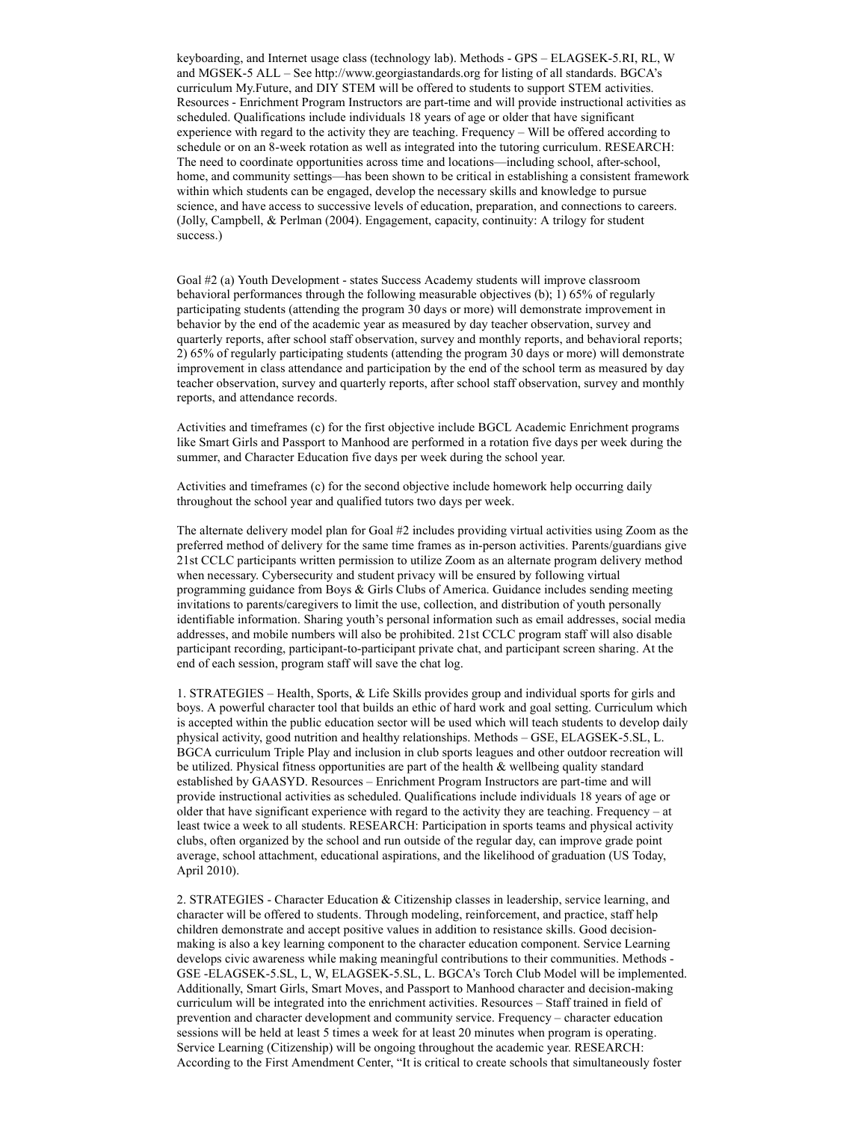keyboarding, and Internet usage class (technology lab). Methods - GPS – ELAGSEK-5.RI, RL, W and MGSEK-5 ALL – See http://www.georgiastandards.org for listing of all standards. BGCA's curriculum My.Future, and DIY STEM will be offered to students to support STEM activities. Resources - Enrichment Program Instructors are part-time and will provide instructional activities as scheduled. Qualifications include individuals 18 years of age or older that have significant experience with regard to the activity they are teaching. Frequency – Will be offered according to schedule or on an 8-week rotation as well as integrated into the tutoring curriculum. RESEARCH: The need to coordinate opportunities across time and locations—including school, after-school, home, and community settings—has been shown to be critical in establishing a consistent framework within which students can be engaged, develop the necessary skills and knowledge to pursue science, and have access to successive levels of education, preparation, and connections to careers. (Jolly, Campbell, & Perlman (2004). Engagement, capacity, continuity: A trilogy for student success.)

Goal #2 (a) Youth Development - states Success Academy students will improve classroom behavioral performances through the following measurable objectives (b); 1) 65% of regularly participating students (attending the program 30 days or more) will demonstrate improvement in behavior by the end of the academic year as measured by day teacher observation, survey and quarterly reports, after school staff observation, survey and monthly reports, and behavioral reports; 2) 65% of regularly participating students (attending the program 30 days or more) will demonstrate improvement in class attendance and participation by the end of the school term as measured by day teacher observation, survey and quarterly reports, after school staff observation, survey and monthly reports, and attendance records.

Activities and timeframes (c) for the first objective include BGCL Academic Enrichment programs like Smart Girls and Passport to Manhood are performed in a rotation five days per week during the summer, and Character Education five days per week during the school year.

Activities and timeframes (c) for the second objective include homework help occurring daily throughout the school year and qualified tutors two days per week.

The alternate delivery model plan for Goal #2 includes providing virtual activities using Zoom as the preferred method of delivery for the same time frames as in-person activities. Parents/guardians give 21st CCLC participants written permission to utilize Zoom as an alternate program delivery method when necessary. Cybersecurity and student privacy will be ensured by following virtual programming guidance from Boys & Girls Clubs of America. Guidance includes sending meeting invitations to parents/caregivers to limit the use, collection, and distribution of youth personally identifiable information. Sharing youth's personal information such as email addresses, social media addresses, and mobile numbers will also be prohibited. 21st CCLC program staff will also disable participant recording, participant-to-participant private chat, and participant screen sharing. At the end of each session, program staff will save the chat log.

1. STRATEGIES – Health, Sports, & Life Skills provides group and individual sports for girls and boys. A powerful character tool that builds an ethic of hard work and goal setting. Curriculum which is accepted within the public education sector will be used which will teach students to develop daily physical activity, good nutrition and healthy relationships. Methods – GSE, ELAGSEK-5.SL, L. BGCA curriculum Triple Play and inclusion in club sports leagues and other outdoor recreation will be utilized. Physical fitness opportunities are part of the health & wellbeing quality standard established by GAASYD. Resources – Enrichment Program Instructors are part-time and will provide instructional activities as scheduled. Qualifications include individuals 18 years of age or older that have significant experience with regard to the activity they are teaching. Frequency – at least twice a week to all students. RESEARCH: Participation in sports teams and physical activity clubs, often organized by the school and run outside of the regular day, can improve grade point average, school attachment, educational aspirations, and the likelihood of graduation (US Today, April 2010).

2. STRATEGIES - Character Education & Citizenship classes in leadership, service learning, and character will be offered to students. Through modeling, reinforcement, and practice, staff help children demonstrate and accept positive values in addition to resistance skills. Good decisionmaking is also a key learning component to the character education component. Service Learning develops civic awareness while making meaningful contributions to their communities. Methods - GSE -ELAGSEK-5.SL, L, W, ELAGSEK-5.SL, L. BGCA's Torch Club Model will be implemented. Additionally, Smart Girls, Smart Moves, and Passport to Manhood character and decision-making curriculum will be integrated into the enrichment activities. Resources – Staff trained in field of prevention and character development and community service. Frequency – character education sessions will be held at least 5 times a week for at least 20 minutes when program is operating. Service Learning (Citizenship) will be ongoing throughout the academic year. RESEARCH: According to the First Amendment Center, "It is critical to create schools that simultaneously foster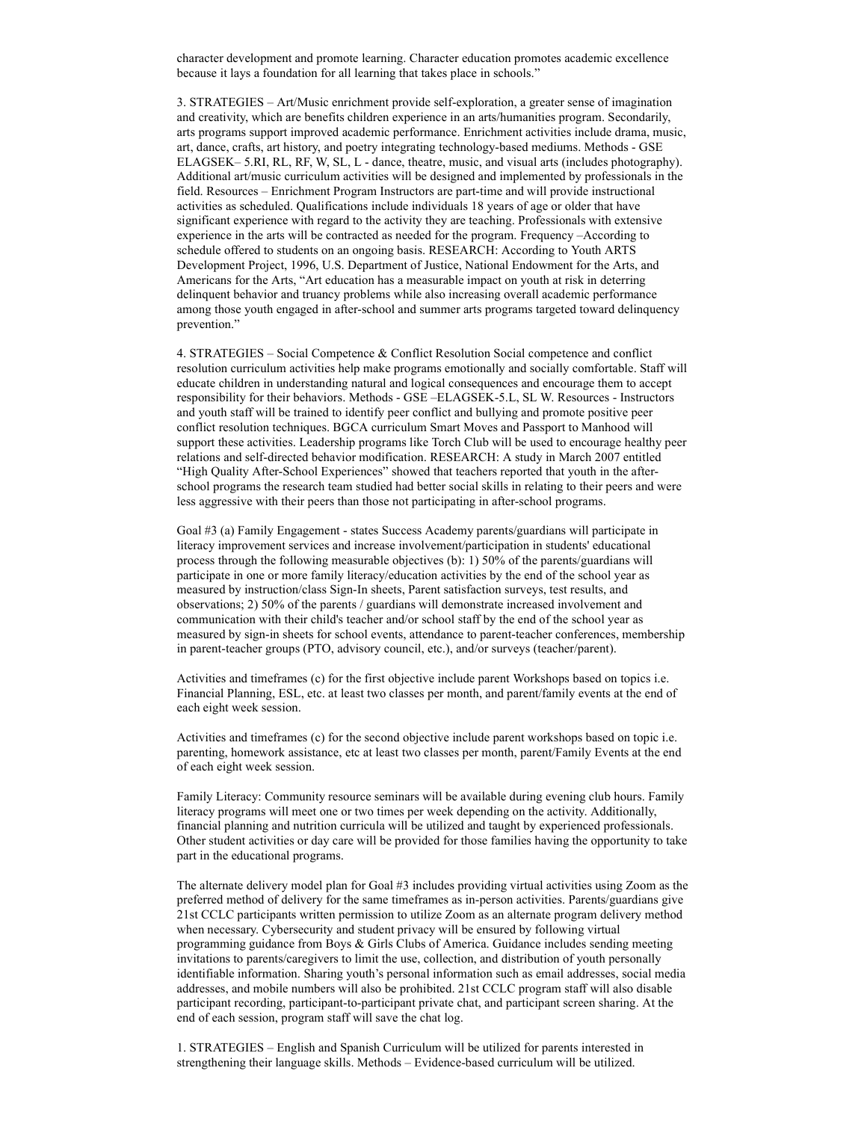character development and promote learning. Character education promotes academic excellence because it lays a foundation for all learning that takes place in schools."

3. STRATEGIES – Art/Music enrichment provide self-exploration, a greater sense of imagination and creativity, which are benefits children experience in an arts/humanities program. Secondarily, arts programs support improved academic performance. Enrichment activities include drama, music, art, dance, crafts, art history, and poetry integrating technology-based mediums. Methods - GSE ELAGSEK– 5.RI, RL, RF, W, SL, L - dance, theatre, music, and visual arts (includes photography). Additional art/music curriculum activities will be designed and implemented by professionals in the field. Resources – Enrichment Program Instructors are part-time and will provide instructional activities as scheduled. Qualifications include individuals 18 years of age or older that have significant experience with regard to the activity they are teaching. Professionals with extensive experience in the arts will be contracted as needed for the program. Frequency –According to schedule offered to students on an ongoing basis. RESEARCH: According to Youth ARTS Development Project, 1996, U.S. Department of Justice, National Endowment for the Arts, and Americans for the Arts, "Art education has a measurable impact on youth at risk in deterring delinquent behavior and truancy problems while also increasing overall academic performance among those youth engaged in after-school and summer arts programs targeted toward delinquency prevention."

4. STRATEGIES – Social Competence & Conflict Resolution Social competence and conflict resolution curriculum activities help make programs emotionally and socially comfortable. Staff will educate children in understanding natural and logical consequences and encourage them to accept responsibility for their behaviors. Methods - GSE –ELAGSEK-5.L, SL W. Resources - Instructors and youth staff will be trained to identify peer conflict and bullying and promote positive peer conflict resolution techniques. BGCA curriculum Smart Moves and Passport to Manhood will support these activities. Leadership programs like Torch Club will be used to encourage healthy peer relations and self-directed behavior modification. RESEARCH: A study in March 2007 entitled "High Quality After-School Experiences" showed that teachers reported that youth in the afterschool programs the research team studied had better social skills in relating to their peers and were less aggressive with their peers than those not participating in after-school programs.

Goal #3 (a) Family Engagement - states Success Academy parents/guardians will participate in literacy improvement services and increase involvement/participation in students' educational process through the following measurable objectives (b): 1) 50% of the parents/guardians will participate in one or more family literacy/education activities by the end of the school year as measured by instruction/class Sign-In sheets, Parent satisfaction surveys, test results, and observations; 2) 50% of the parents / guardians will demonstrate increased involvement and communication with their child's teacher and/or school staff by the end of the school year as measured by sign-in sheets for school events, attendance to parent-teacher conferences, membership in parent-teacher groups (PTO, advisory council, etc.), and/or surveys (teacher/parent).

Activities and timeframes (c) for the first objective include parent Workshops based on topics i.e. Financial Planning, ESL, etc. at least two classes per month, and parent/family events at the end of each eight week session.

Activities and timeframes (c) for the second objective include parent workshops based on topic i.e. parenting, homework assistance, etc at least two classes per month, parent/Family Events at the end of each eight week session.

Family Literacy: Community resource seminars will be available during evening club hours. Family literacy programs will meet one or two times per week depending on the activity. Additionally, financial planning and nutrition curricula will be utilized and taught by experienced professionals. Other student activities or day care will be provided for those families having the opportunity to take part in the educational programs.

The alternate delivery model plan for Goal #3 includes providing virtual activities using Zoom as the preferred method of delivery for the same timeframes as in-person activities. Parents/guardians give 21st CCLC participants written permission to utilize Zoom as an alternate program delivery method when necessary. Cybersecurity and student privacy will be ensured by following virtual programming guidance from Boys & Girls Clubs of America. Guidance includes sending meeting invitations to parents/caregivers to limit the use, collection, and distribution of youth personally identifiable information. Sharing youth's personal information such as email addresses, social media addresses, and mobile numbers will also be prohibited. 21st CCLC program staff will also disable participant recording, participant-to-participant private chat, and participant screen sharing. At the end of each session, program staff will save the chat log.

1. STRATEGIES – English and Spanish Curriculum will be utilized for parents interested in strengthening their language skills. Methods – Evidence-based curriculum will be utilized.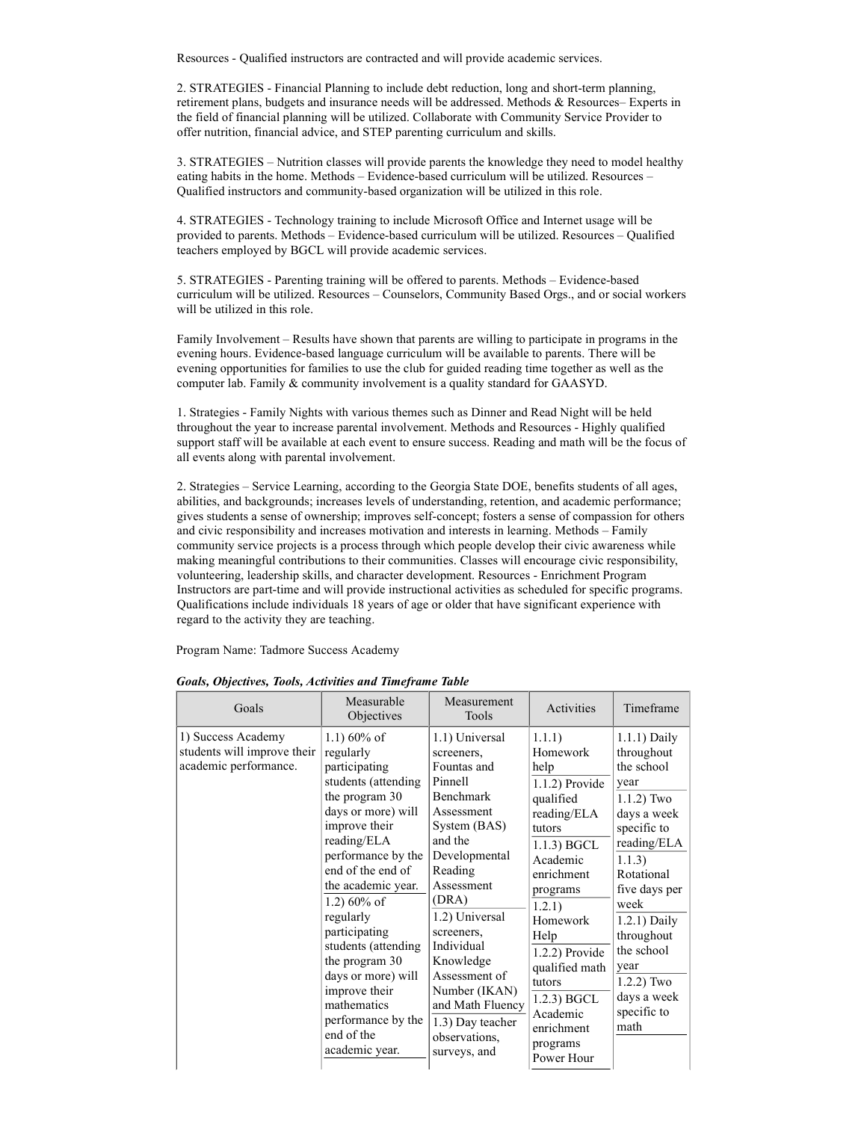Resources - Qualified instructors are contracted and will provide academic services.

2. STRATEGIES - Financial Planning to include debt reduction, long and short-term planning, retirement plans, budgets and insurance needs will be addressed. Methods & Resources– Experts in the field of financial planning will be utilized. Collaborate with Community Service Provider to offer nutrition, financial advice, and STEP parenting curriculum and skills.

3. STRATEGIES – Nutrition classes will provide parents the knowledge they need to model healthy eating habits in the home. Methods – Evidence-based curriculum will be utilized. Resources – Qualified instructors and community-based organization will be utilized in this role.

4. STRATEGIES - Technology training to include Microsoft Office and Internet usage will be provided to parents. Methods – Evidence-based curriculum will be utilized. Resources – Qualified teachers employed by BGCL will provide academic services.

5. STRATEGIES - Parenting training will be offered to parents. Methods – Evidence-based curriculum will be utilized. Resources – Counselors, Community Based Orgs., and or social workers will be utilized in this role.

Family Involvement – Results have shown that parents are willing to participate in programs in the evening hours. Evidence-based language curriculum will be available to parents. There will be evening opportunities for families to use the club for guided reading time together as well as the computer lab. Family & community involvement is a quality standard for GAASYD.

1. Strategies - Family Nights with various themes such as Dinner and Read Night will be held throughout the year to increase parental involvement. Methods and Resources - Highly qualified support staff will be available at each event to ensure success. Reading and math will be the focus of all events along with parental involvement.

2. Strategies – Service Learning, according to the Georgia State DOE, benefits students of all ages, abilities, and backgrounds; increases levels of understanding, retention, and academic performance; gives students a sense of ownership; improves self-concept; fosters a sense of compassion for others and civic responsibility and increases motivation and interests in learning. Methods – Family community service projects is a process through which people develop their civic awareness while making meaningful contributions to their communities. Classes will encourage civic responsibility, volunteering, leadership skills, and character development. Resources - Enrichment Program Instructors are part-time and will provide instructional activities as scheduled for specific programs. Qualifications include individuals 18 years of age or older that have significant experience with regard to the activity they are teaching.

Program Name: Tadmore Success Academy

| Goals                                                                      | Measurable<br>Objectives                                                                                                                                                                                                                                                                                                                                                                                         | Measurement<br>Tools                                                                                                                                                                                                                                                                                                                         | Activities                                                                                                                                                                                                                                                                                         | Timeframe                                                                                                                                                                                                                                                                    |
|----------------------------------------------------------------------------|------------------------------------------------------------------------------------------------------------------------------------------------------------------------------------------------------------------------------------------------------------------------------------------------------------------------------------------------------------------------------------------------------------------|----------------------------------------------------------------------------------------------------------------------------------------------------------------------------------------------------------------------------------------------------------------------------------------------------------------------------------------------|----------------------------------------------------------------------------------------------------------------------------------------------------------------------------------------------------------------------------------------------------------------------------------------------------|------------------------------------------------------------------------------------------------------------------------------------------------------------------------------------------------------------------------------------------------------------------------------|
| 1) Success Academy<br>students will improve their<br>academic performance. | $1.1)$ 60% of<br>regularly<br>participating<br>students (attending<br>the program 30<br>days or more) will<br>improve their<br>reading/ELA<br>performance by the<br>end of the end of<br>the academic year.<br>1.2) $60\%$ of<br>regularly<br>participating<br>students (attending<br>the program 30<br>days or more) will<br>improve their<br>mathematics<br>performance by the<br>end of the<br>academic year. | 1.1) Universal<br>screeners,<br>Fountas and<br>Pinnell<br><b>Benchmark</b><br>Assessment<br>System (BAS)<br>and the<br>Developmental<br>Reading<br>Assessment<br>(DRA)<br>1.2) Universal<br>screeners,<br>Individual<br>Knowledge<br>Assessment of<br>Number (IKAN)<br>and Math Fluency<br>1.3) Day teacher<br>observations.<br>surveys, and | 1.1.1)<br>Homework<br>help<br>$1.1.2$ ) Provide<br>qualified<br>reading/ELA<br>tutors<br>$1.1.3$ ) BGCL<br>Academic<br>enrichment<br>programs<br>1.2.1)<br>Homework<br>Help<br>$1.2.2$ ) Provide<br>qualified math<br>tutors<br>$1.2.3$ ) BGCL<br>Academic<br>enrichment<br>programs<br>Power Hour | $1.1.1$ ) Daily<br>throughout<br>the school<br>year<br>$1.1.2$ ) Two<br>days a week<br>specific to<br>reading/ELA<br>1.1.3)<br>Rotational<br>five days per<br>week<br>1.2.1) Daily<br>throughout<br>the school<br>year<br>$1.2.2)$ Two<br>days a week<br>specific to<br>math |

Goals, Objectives, Tools, Activities and Timeframe Table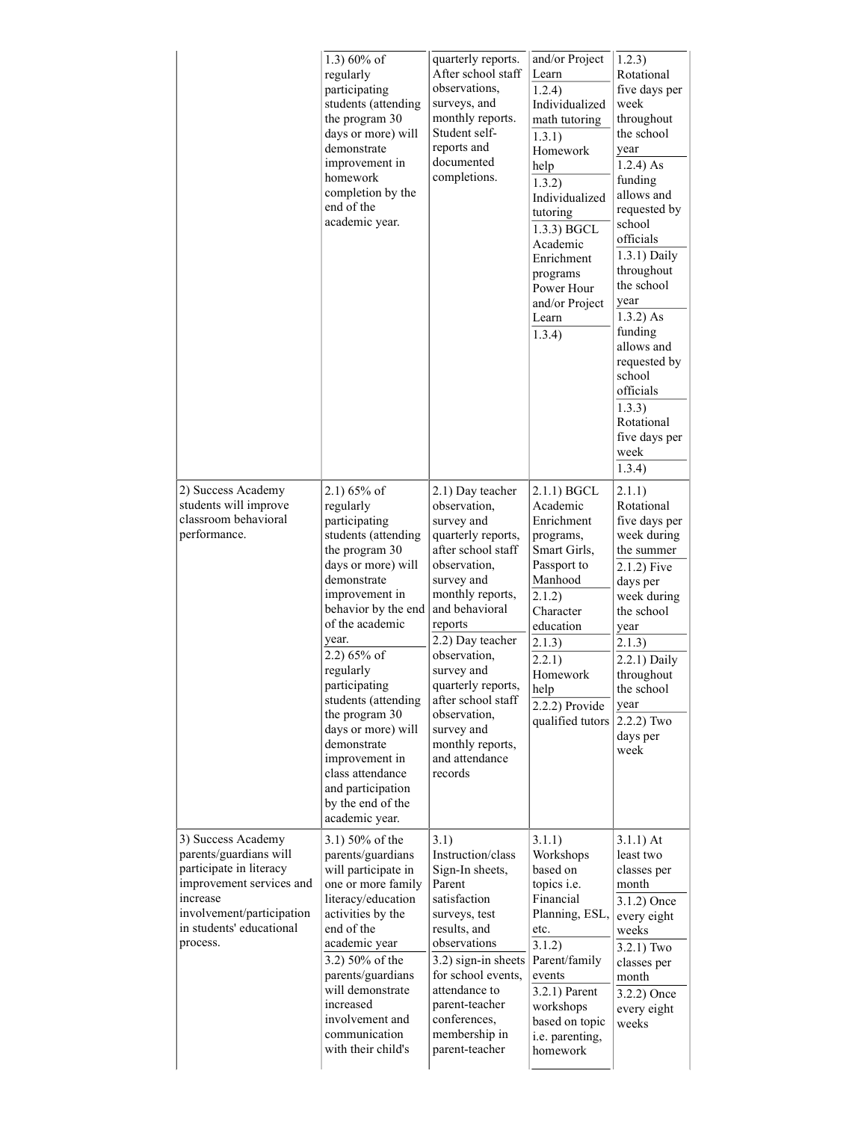|                                                                                                                                                                                      | 1.3) $60\%$ of<br>regularly<br>participating<br>students (attending<br>the program 30<br>days or more) will<br>demonstrate<br>improvement in<br>homework<br>completion by the<br>end of the<br>academic year.                                                                                                                                                                                                               | quarterly reports.<br>After school staff<br>observations,<br>surveys, and<br>monthly reports.<br>Student self-<br>reports and<br>documented<br>completions.                                                                                                                                                                                            | and/or Project<br>Learn<br>1.2.4)<br>Individualized<br>math tutoring<br>1.3.1)<br>Homework<br>help<br>1.3.2)<br>Individualized<br>tutoring<br>1.3.3) BGCL<br>Academic<br>Enrichment<br>programs<br>Power Hour<br>and/or Project<br>Learn<br>1.3.4) | 1.2.3)<br>Rotational<br>five days per<br>week<br>throughout<br>the school<br>year<br>$1.2.4$ ) As<br>funding<br>allows and<br>requested by<br>school<br>officials<br>1.3.1) Daily<br>throughout<br>the school<br>year<br>$1.3.2)$ As<br>funding<br>allows and<br>requested by<br>school<br>officials<br>1.3.3)<br>Rotational<br>five days per<br>week<br>1.3.4) |
|--------------------------------------------------------------------------------------------------------------------------------------------------------------------------------------|-----------------------------------------------------------------------------------------------------------------------------------------------------------------------------------------------------------------------------------------------------------------------------------------------------------------------------------------------------------------------------------------------------------------------------|--------------------------------------------------------------------------------------------------------------------------------------------------------------------------------------------------------------------------------------------------------------------------------------------------------------------------------------------------------|----------------------------------------------------------------------------------------------------------------------------------------------------------------------------------------------------------------------------------------------------|-----------------------------------------------------------------------------------------------------------------------------------------------------------------------------------------------------------------------------------------------------------------------------------------------------------------------------------------------------------------|
| 2) Success Academy<br>students will improve<br>classroom behavioral<br>performance.                                                                                                  | $2.1)$ 65% of<br>regularly<br>participating<br>students (attending<br>the program 30<br>days or more) will<br>demonstrate<br>improvement in<br>behavior by the end<br>of the academic<br>year.<br>2.2) 65% of<br>regularly<br>participating<br>students (attending<br>the program 30<br>days or more) will<br>demonstrate<br>improvement in<br>class attendance<br>and participation<br>by the end of the<br>academic year. | 2.1) Day teacher<br>observation,<br>survey and<br>quarterly reports,<br>after school staff<br>observation,<br>survey and<br>monthly reports,<br>and behavioral<br>reports<br>2.2) Day teacher<br>observation,<br>survey and<br>quarterly reports,<br>after school staff<br>observation,<br>survey and<br>monthly reports,<br>and attendance<br>records | $2.1.1)$ BGCL<br>Academic<br>Enrichment<br>programs,<br>Smart Girls,<br>Passport to<br>Manhood<br>2.1.2)<br>Character<br>education<br>2.1.3)<br>2.2.1)<br>Homework<br>help<br>2.2.2) Provide<br>qualified tutors                                   | 2.1.1)<br>Rotational<br>five days per<br>week during<br>the summer<br>$2.1.2$ ) Five<br>days per<br>week during<br>the school<br>year<br>2.1.3)<br>2.2.1) Daily<br>throughout<br>the school<br>year<br>$2.2.2)$ Two<br>days per<br>week                                                                                                                         |
| 3) Success Academy<br>parents/guardians will<br>participate in literacy<br>improvement services and<br>increase<br>involvement/participation<br>in students' educational<br>process. | 3.1) 50% of the<br>parents/guardians<br>will participate in<br>one or more family<br>literacy/education<br>activities by the<br>end of the<br>academic year<br>3.2) 50% of the<br>parents/guardians<br>will demonstrate<br>increased<br>involvement and<br>communication<br>with their child's                                                                                                                              | 3.1)<br>Instruction/class<br>Sign-In sheets,<br>Parent<br>satisfaction<br>surveys, test<br>results, and<br>observations<br>3.2) sign-in sheets<br>for school events,<br>attendance to<br>parent-teacher<br>conferences,<br>membership in<br>parent-teacher                                                                                             | 3.1.1)<br>Workshops<br>based on<br>topics i.e.<br>Financial<br>Planning, ESL,<br>etc.<br>3.1.2)<br>Parent/family<br>events<br>$3.2.1)$ Parent<br>workshops<br>based on topic<br>i.e. parenting,<br>homework                                        | $3.1.1)$ At<br>least two<br>classes per<br>month<br>3.1.2) Once<br>every eight<br>weeks<br>$3.2.1)$ Two<br>classes per<br>month<br>3.2.2) Once<br>every eight<br>weeks                                                                                                                                                                                          |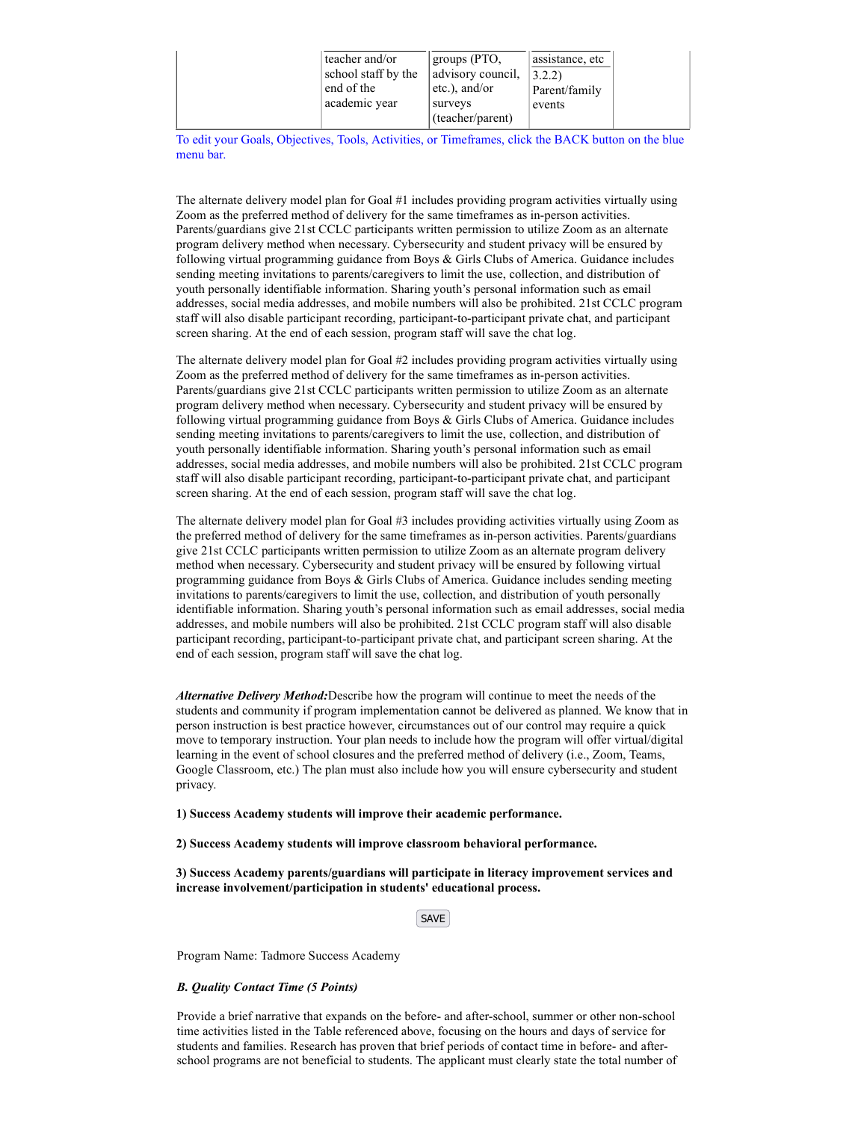To edit your Goals, Objectives, Tools, Activities, or Timeframes, click the BACK button on the blue menu bar.

The alternate delivery model plan for Goal #1 includes providing program activities virtually using Zoom as the preferred method of delivery for the same timeframes as in-person activities. Parents/guardians give 21st CCLC participants written permission to utilize Zoom as an alternate program delivery method when necessary. Cybersecurity and student privacy will be ensured by following virtual programming guidance from Boys & Girls Clubs of America. Guidance includes sending meeting invitations to parents/caregivers to limit the use, collection, and distribution of youth personally identifiable information. Sharing youth's personal information such as email addresses, social media addresses, and mobile numbers will also be prohibited. 21st CCLC program staff will also disable participant recording, participant-to-participant private chat, and participant screen sharing. At the end of each session, program staff will save the chat log.

The alternate delivery model plan for Goal #2 includes providing program activities virtually using Zoom as the preferred method of delivery for the same timeframes as in-person activities. Parents/guardians give 21st CCLC participants written permission to utilize Zoom as an alternate program delivery method when necessary. Cybersecurity and student privacy will be ensured by following virtual programming guidance from Boys & Girls Clubs of America. Guidance includes sending meeting invitations to parents/caregivers to limit the use, collection, and distribution of youth personally identifiable information. Sharing youth's personal information such as email addresses, social media addresses, and mobile numbers will also be prohibited. 21st CCLC program staff will also disable participant recording, participant-to-participant private chat, and participant screen sharing. At the end of each session, program staff will save the chat log.

The alternate delivery model plan for Goal #3 includes providing activities virtually using Zoom as the preferred method of delivery for the same timeframes as in-person activities. Parents/guardians give 21st CCLC participants written permission to utilize Zoom as an alternate program delivery method when necessary. Cybersecurity and student privacy will be ensured by following virtual programming guidance from Boys & Girls Clubs of America. Guidance includes sending meeting invitations to parents/caregivers to limit the use, collection, and distribution of youth personally identifiable information. Sharing youth's personal information such as email addresses, social media addresses, and mobile numbers will also be prohibited. 21st CCLC program staff will also disable participant recording, participant-to-participant private chat, and participant screen sharing. At the end of each session, program staff will save the chat log.

Alternative Delivery Method: Describe how the program will continue to meet the needs of the students and community if program implementation cannot be delivered as planned. We know that in person instruction is best practice however, circumstances out of our control may require a quick move to temporary instruction. Your plan needs to include how the program will offer virtual/digital learning in the event of school closures and the preferred method of delivery (i.e., Zoom, Teams, Google Classroom, etc.) The plan must also include how you will ensure cybersecurity and student privacy.

1) Success Academy students will improve their academic performance.

2) Success Academy students will improve classroom behavioral performance.

3) Success Academy parents/guardians will participate in literacy improvement services and increase involvement/participation in students' educational process.

**SAVE** 

Program Name: Tadmore Success Academy

# B. Quality Contact Time (5 Points)

Provide a brief narrative that expands on the before- and after-school, summer or other non-school time activities listed in the Table referenced above, focusing on the hours and days of service for students and families. Research has proven that brief periods of contact time in before- and afterschool programs are not beneficial to students. The applicant must clearly state the total number of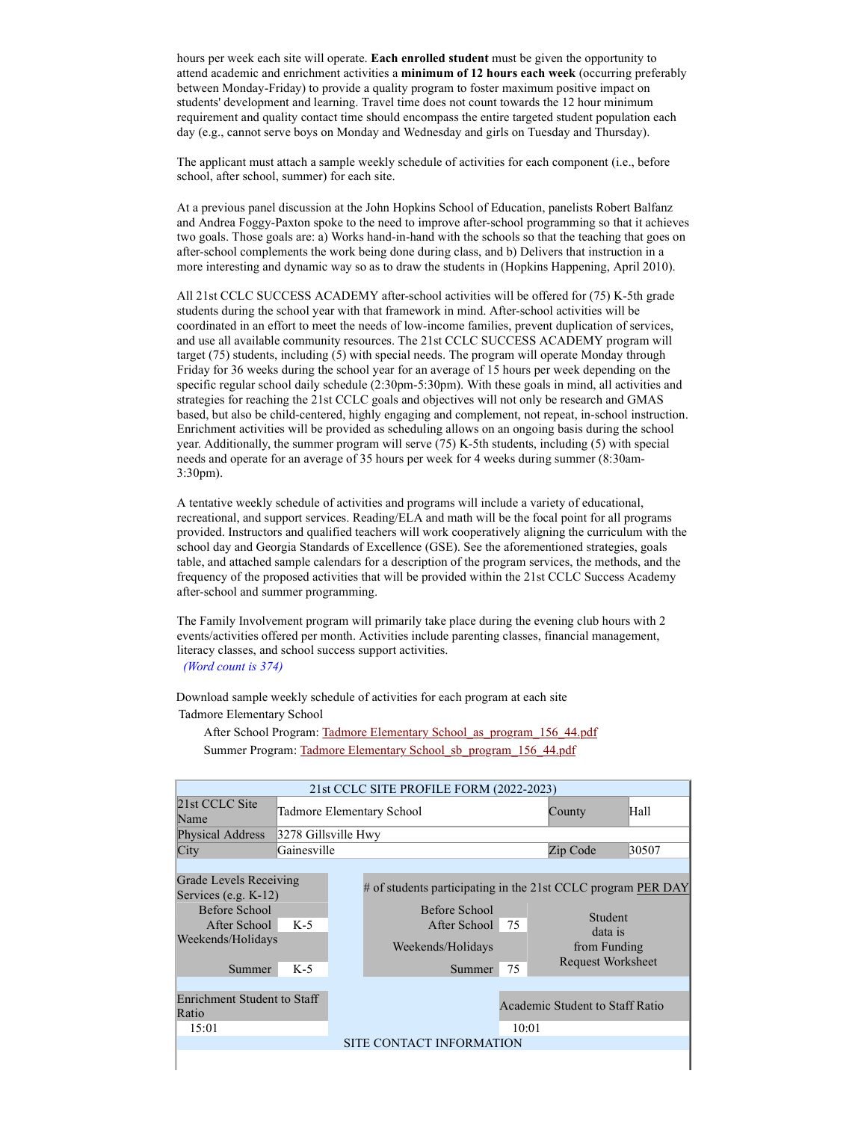hours per week each site will operate. **Each enrolled student** must be given the opportunity to attend academic and enrichment activities a minimum of 12 hours each week (occurring preferably between Monday-Friday) to provide a quality program to foster maximum positive impact on students' development and learning. Travel time does not count towards the 12 hour minimum requirement and quality contact time should encompass the entire targeted student population each day (e.g., cannot serve boys on Monday and Wednesday and girls on Tuesday and Thursday).

The applicant must attach a sample weekly schedule of activities for each component (i.e., before school, after school, summer) for each site.

At a previous panel discussion at the John Hopkins School of Education, panelists Robert Balfanz and Andrea Foggy-Paxton spoke to the need to improve after-school programming so that it achieves two goals. Those goals are: a) Works hand-in-hand with the schools so that the teaching that goes on after-school complements the work being done during class, and b) Delivers that instruction in a more interesting and dynamic way so as to draw the students in (Hopkins Happening, April 2010).

All 21st CCLC SUCCESS ACADEMY after-school activities will be offered for (75) K-5th grade students during the school year with that framework in mind. After-school activities will be coordinated in an effort to meet the needs of low-income families, prevent duplication of services, and use all available community resources. The 21st CCLC SUCCESS ACADEMY program will target (75) students, including (5) with special needs. The program will operate Monday through Friday for 36 weeks during the school year for an average of 15 hours per week depending on the specific regular school daily schedule (2:30pm-5:30pm). With these goals in mind, all activities and strategies for reaching the 21st CCLC goals and objectives will not only be research and GMAS based, but also be child-centered, highly engaging and complement, not repeat, in-school instruction. Enrichment activities will be provided as scheduling allows on an ongoing basis during the school year. Additionally, the summer program will serve (75) K-5th students, including (5) with special needs and operate for an average of 35 hours per week for 4 weeks during summer (8:30am-3:30pm).

A tentative weekly schedule of activities and programs will include a variety of educational, recreational, and support services. Reading/ELA and math will be the focal point for all programs provided. Instructors and qualified teachers will work cooperatively aligning the curriculum with the school day and Georgia Standards of Excellence (GSE). See the aforementioned strategies, goals table, and attached sample calendars for a description of the program services, the methods, and the frequency of the proposed activities that will be provided within the 21st CCLC Success Academy after-school and summer programming.

The Family Involvement program will primarily take place during the evening club hours with 2 events/activities offered per month. Activities include parenting classes, financial management, literacy classes, and school success support activities. (Word count is 374)

Download sample weekly schedule of activities for each program at each site Tadmore Elementary School

After School Program: Tadmore Elementary School\_as\_program\_156\_44.pdf Summer Program: Tadmore Elementary School sb program 156 44.pdf

|                                                                                                                   |                     | 21st CCLC SITE PROFILE FORM (2022-2023)                                                                                      |          |                                                         |       |
|-------------------------------------------------------------------------------------------------------------------|---------------------|------------------------------------------------------------------------------------------------------------------------------|----------|---------------------------------------------------------|-------|
| 21st CCLC Site<br>Name                                                                                            |                     | Tadmore Elementary School                                                                                                    | County   | Hall                                                    |       |
| <b>Physical Address</b>                                                                                           | 3278 Gillsville Hwy |                                                                                                                              |          |                                                         |       |
| City                                                                                                              | Gainesville         |                                                                                                                              |          | Zip Code                                                | 30507 |
|                                                                                                                   |                     |                                                                                                                              |          |                                                         |       |
| Grade Levels Receiving<br>Services (e.g. $K-12$ )<br>Before School<br>After School<br>Weekends/Holidays<br>Summer | $K-5$<br>$K-5$      | # of students participating in the 21st CCLC program PER DAY<br>Before School<br>After School<br>Weekends/Holidays<br>Summer | 75<br>75 | Student<br>data is<br>from Funding<br>Request Worksheet |       |
| Enrichment Student to Staff<br>Ratio<br>15:01                                                                     |                     | SITE CONTACT INFORMATION                                                                                                     | 10:01    | Academic Student to Staff Ratio                         |       |
|                                                                                                                   |                     |                                                                                                                              |          |                                                         |       |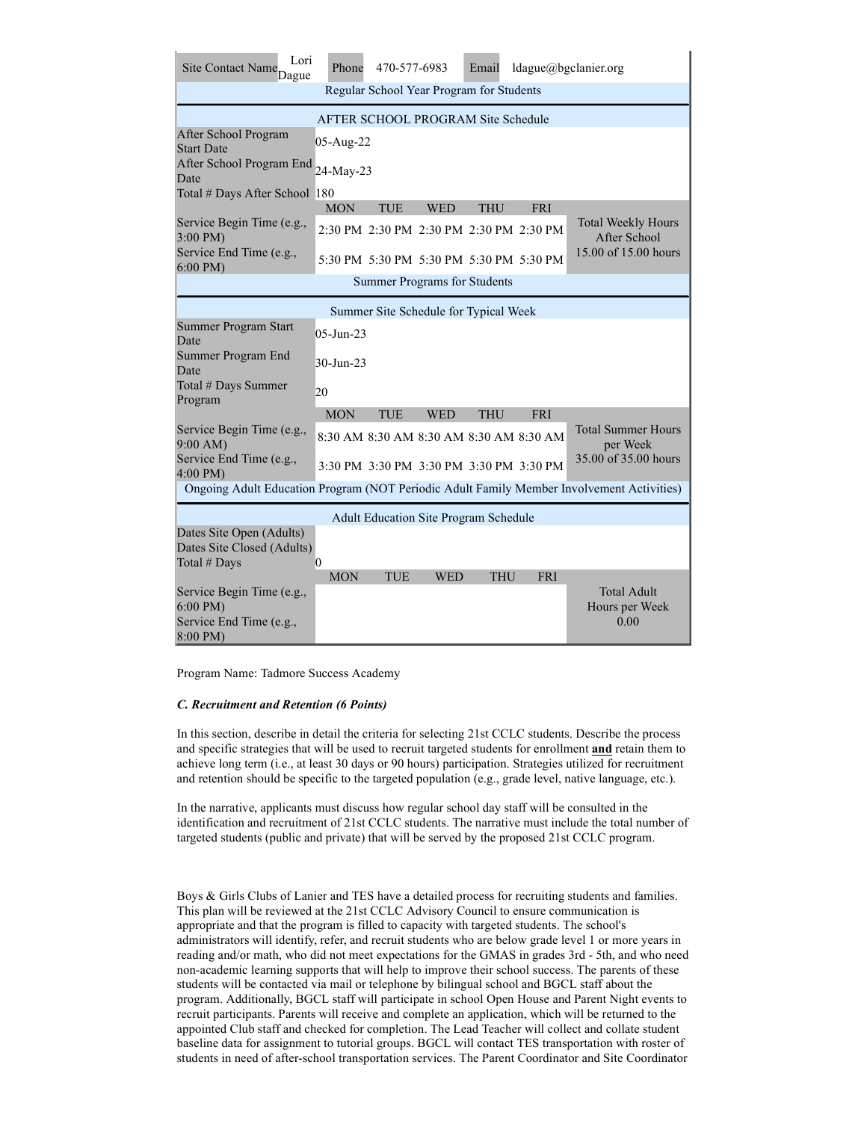| Lori<br>Site Contact Name <sub>Dague</sub>                                                | Phone           | 470-577-6983                             |            | Email      |            | ldague@bgclanier.org                         |
|-------------------------------------------------------------------------------------------|-----------------|------------------------------------------|------------|------------|------------|----------------------------------------------|
|                                                                                           |                 | Regular School Year Program for Students |            |            |            |                                              |
|                                                                                           |                 | AFTER SCHOOL PROGRAM Site Schedule       |            |            |            |                                              |
| After School Program<br><b>Start Date</b>                                                 | 05-Aug-22       |                                          |            |            |            |                                              |
| After School Program End<br>Date                                                          | 24-May-23       |                                          |            |            |            |                                              |
| Total # Days After School 180                                                             |                 |                                          |            |            |            |                                              |
|                                                                                           | <b>MON</b>      | <b>TUE</b>                               | <b>WED</b> | <b>THU</b> | <b>FRI</b> |                                              |
| Service Begin Time (e.g.,<br>3:00 PM)                                                     |                 | 2:30 PM 2:30 PM 2:30 PM 2:30 PM 2:30 PM  |            |            |            | <b>Total Weekly Hours</b><br>After School    |
| Service End Time (e.g.,<br>$6:00$ PM)                                                     |                 | 5:30 PM 5:30 PM 5:30 PM 5:30 PM 5:30 PM  |            |            |            | 15.00 of 15.00 hours                         |
|                                                                                           |                 | <b>Summer Programs for Students</b>      |            |            |            |                                              |
|                                                                                           |                 | Summer Site Schedule for Typical Week    |            |            |            |                                              |
| Summer Program Start<br>Date                                                              | $05 - Jun - 23$ |                                          |            |            |            |                                              |
| Summer Program End<br>Date                                                                | 30-Jun-23       |                                          |            |            |            |                                              |
| Total # Days Summer<br>Program                                                            | 20              |                                          |            |            |            |                                              |
|                                                                                           | <b>MON</b>      | <b>TUE</b>                               | <b>WED</b> | <b>THU</b> | FRI        |                                              |
| Service Begin Time (e.g.,<br>9:00 AM                                                      |                 | 8:30 AM 8:30 AM 8:30 AM 8:30 AM 8:30 AM  |            |            |            | <b>Total Summer Hours</b><br>per Week        |
| Service End Time (e.g.,<br>$4:00 \text{ PM}$                                              |                 | 3:30 PM 3:30 PM 3:30 PM 3:30 PM 3:30 PM  |            |            |            | 35,00 of 35,00 hours                         |
| Ongoing Adult Education Program (NOT Periodic Adult Family Member Involvement Activities) |                 |                                          |            |            |            |                                              |
| Adult Education Site Program Schedule                                                     |                 |                                          |            |            |            |                                              |
| Dates Site Open (Adults)<br>Dates Site Closed (Adults)<br>Total # Days                    | 0               |                                          |            |            |            |                                              |
| Service Begin Time (e.g.,<br>$6:00$ PM)<br>Service End Time (e.g.,<br>8:00 PM)            | <b>MON</b>      | <b>TUE</b>                               | <b>WED</b> | <b>THU</b> | <b>FRI</b> | <b>Total Adult</b><br>Hours per Week<br>0.00 |

Program Name: Tadmore Success Academy

# C. Recruitment and Retention (6 Points)

In this section, describe in detail the criteria for selecting 21st CCLC students. Describe the process and specific strategies that will be used to recruit targeted students for enrollment and retain them to achieve long term (i.e., at least 30 days or 90 hours) participation. Strategies utilized for recruitment and retention should be specific to the targeted population (e.g., grade level, native language, etc.).

In the narrative, applicants must discuss how regular school day staff will be consulted in the identification and recruitment of 21st CCLC students. The narrative must include the total number of targeted students (public and private) that will be served by the proposed 21st CCLC program.

Boys & Girls Clubs of Lanier and TES have a detailed process for recruiting students and families. This plan will be reviewed at the 21st CCLC Advisory Council to ensure communication is appropriate and that the program is filled to capacity with targeted students. The school's administrators will identify, refer, and recruit students who are below grade level 1 or more years in reading and/or math, who did not meet expectations for the GMAS in grades 3rd - 5th, and who need non-academic learning supports that will help to improve their school success. The parents of these students will be contacted via mail or telephone by bilingual school and BGCL staff about the program. Additionally, BGCL staff will participate in school Open House and Parent Night events to recruit participants. Parents will receive and complete an application, which will be returned to the appointed Club staff and checked for completion. The Lead Teacher will collect and collate student baseline data for assignment to tutorial groups. BGCL will contact TES transportation with roster of students in need of after-school transportation services. The Parent Coordinator and Site Coordinator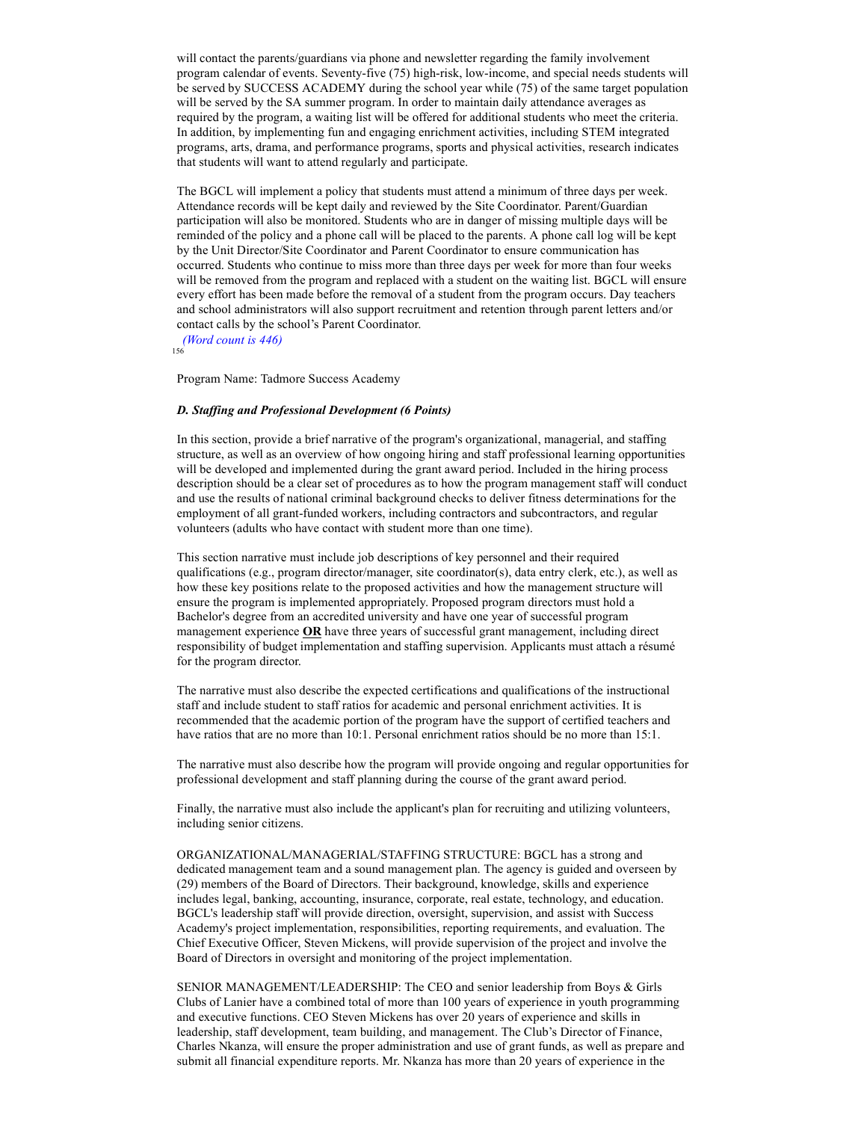will contact the parents/guardians via phone and newsletter regarding the family involvement program calendar of events. Seventy-five (75) high-risk, low-income, and special needs students will be served by SUCCESS ACADEMY during the school year while (75) of the same target population will be served by the SA summer program. In order to maintain daily attendance averages as required by the program, a waiting list will be offered for additional students who meet the criteria. In addition, by implementing fun and engaging enrichment activities, including STEM integrated programs, arts, drama, and performance programs, sports and physical activities, research indicates that students will want to attend regularly and participate.

The BGCL will implement a policy that students must attend a minimum of three days per week. Attendance records will be kept daily and reviewed by the Site Coordinator. Parent/Guardian participation will also be monitored. Students who are in danger of missing multiple days will be reminded of the policy and a phone call will be placed to the parents. A phone call log will be kept by the Unit Director/Site Coordinator and Parent Coordinator to ensure communication has occurred. Students who continue to miss more than three days per week for more than four weeks will be removed from the program and replaced with a student on the waiting list. BGCL will ensure every effort has been made before the removal of a student from the program occurs. Day teachers and school administrators will also support recruitment and retention through parent letters and/or contact calls by the school's Parent Coordinator.

 (Word count is 446) 156

Program Name: Tadmore Success Academy

#### D. Staffing and Professional Development (6 Points)

In this section, provide a brief narrative of the program's organizational, managerial, and staffing structure, as well as an overview of how ongoing hiring and staff professional learning opportunities will be developed and implemented during the grant award period. Included in the hiring process description should be a clear set of procedures as to how the program management staff will conduct and use the results of national criminal background checks to deliver fitness determinations for the employment of all grant-funded workers, including contractors and subcontractors, and regular volunteers (adults who have contact with student more than one time).

This section narrative must include job descriptions of key personnel and their required qualifications (e.g., program director/manager, site coordinator(s), data entry clerk, etc.), as well as how these key positions relate to the proposed activities and how the management structure will ensure the program is implemented appropriately. Proposed program directors must hold a Bachelor's degree from an accredited university and have one year of successful program management experience  $OR$  have three years of successful grant management, including direct responsibility of budget implementation and staffing supervision. Applicants must attach a résumé for the program director.

The narrative must also describe the expected certifications and qualifications of the instructional staff and include student to staff ratios for academic and personal enrichment activities. It is recommended that the academic portion of the program have the support of certified teachers and have ratios that are no more than 10:1. Personal enrichment ratios should be no more than 15:1.

The narrative must also describe how the program will provide ongoing and regular opportunities for professional development and staff planning during the course of the grant award period.

Finally, the narrative must also include the applicant's plan for recruiting and utilizing volunteers, including senior citizens.

ORGANIZATIONAL/MANAGERIAL/STAFFING STRUCTURE: BGCL has a strong and dedicated management team and a sound management plan. The agency is guided and overseen by (29) members of the Board of Directors. Their background, knowledge, skills and experience includes legal, banking, accounting, insurance, corporate, real estate, technology, and education. BGCL's leadership staff will provide direction, oversight, supervision, and assist with Success Academy's project implementation, responsibilities, reporting requirements, and evaluation. The Chief Executive Officer, Steven Mickens, will provide supervision of the project and involve the Board of Directors in oversight and monitoring of the project implementation.

SENIOR MANAGEMENT/LEADERSHIP: The CEO and senior leadership from Boys & Girls Clubs of Lanier have a combined total of more than 100 years of experience in youth programming and executive functions. CEO Steven Mickens has over 20 years of experience and skills in leadership, staff development, team building, and management. The Club's Director of Finance, Charles Nkanza, will ensure the proper administration and use of grant funds, as well as prepare and submit all financial expenditure reports. Mr. Nkanza has more than 20 years of experience in the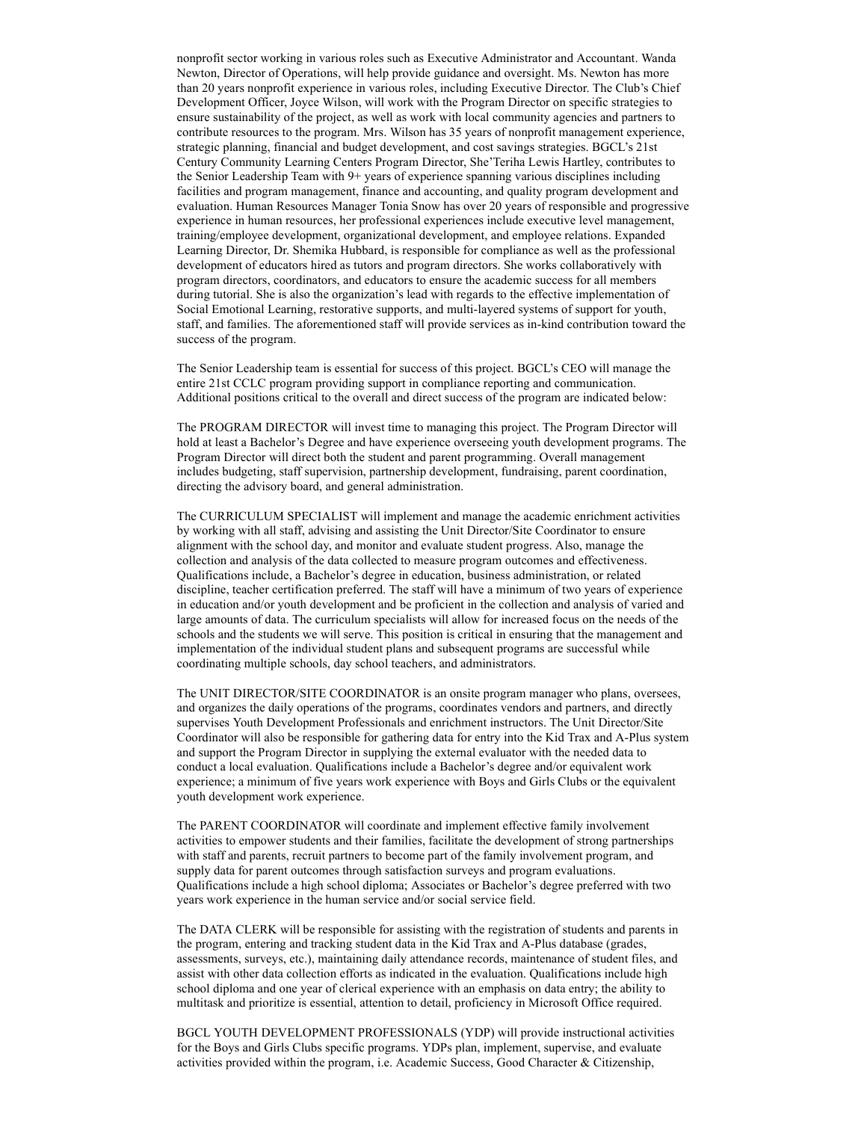nonprofit sector working in various roles such as Executive Administrator and Accountant. Wanda Newton, Director of Operations, will help provide guidance and oversight. Ms. Newton has more than 20 years nonprofit experience in various roles, including Executive Director. The Club's Chief Development Officer, Joyce Wilson, will work with the Program Director on specific strategies to ensure sustainability of the project, as well as work with local community agencies and partners to contribute resources to the program. Mrs. Wilson has 35 years of nonprofit management experience, strategic planning, financial and budget development, and cost savings strategies. BGCL's 21st Century Community Learning Centers Program Director, She'Teriha Lewis Hartley, contributes to the Senior Leadership Team with 9+ years of experience spanning various disciplines including facilities and program management, finance and accounting, and quality program development and evaluation. Human Resources Manager Tonia Snow has over 20 years of responsible and progressive experience in human resources, her professional experiences include executive level management, training/employee development, organizational development, and employee relations. Expanded Learning Director, Dr. Shemika Hubbard, is responsible for compliance as well as the professional development of educators hired as tutors and program directors. She works collaboratively with program directors, coordinators, and educators to ensure the academic success for all members during tutorial. She is also the organization's lead with regards to the effective implementation of Social Emotional Learning, restorative supports, and multi-layered systems of support for youth, staff, and families. The aforementioned staff will provide services as in-kind contribution toward the success of the program.

The Senior Leadership team is essential for success of this project. BGCL's CEO will manage the entire 21st CCLC program providing support in compliance reporting and communication. Additional positions critical to the overall and direct success of the program are indicated below:

The PROGRAM DIRECTOR will invest time to managing this project. The Program Director will hold at least a Bachelor's Degree and have experience overseeing youth development programs. The Program Director will direct both the student and parent programming. Overall management includes budgeting, staff supervision, partnership development, fundraising, parent coordination, directing the advisory board, and general administration.

The CURRICULUM SPECIALIST will implement and manage the academic enrichment activities by working with all staff, advising and assisting the Unit Director/Site Coordinator to ensure alignment with the school day, and monitor and evaluate student progress. Also, manage the collection and analysis of the data collected to measure program outcomes and effectiveness. Qualifications include, a Bachelor's degree in education, business administration, or related discipline, teacher certification preferred. The staff will have a minimum of two years of experience in education and/or youth development and be proficient in the collection and analysis of varied and large amounts of data. The curriculum specialists will allow for increased focus on the needs of the schools and the students we will serve. This position is critical in ensuring that the management and implementation of the individual student plans and subsequent programs are successful while coordinating multiple schools, day school teachers, and administrators.

The UNIT DIRECTOR/SITE COORDINATOR is an onsite program manager who plans, oversees, and organizes the daily operations of the programs, coordinates vendors and partners, and directly supervises Youth Development Professionals and enrichment instructors. The Unit Director/Site Coordinator will also be responsible for gathering data for entry into the Kid Trax and A-Plus system and support the Program Director in supplying the external evaluator with the needed data to conduct a local evaluation. Qualifications include a Bachelor's degree and/or equivalent work experience; a minimum of five years work experience with Boys and Girls Clubs or the equivalent youth development work experience.

The PARENT COORDINATOR will coordinate and implement effective family involvement activities to empower students and their families, facilitate the development of strong partnerships with staff and parents, recruit partners to become part of the family involvement program, and supply data for parent outcomes through satisfaction surveys and program evaluations. Qualifications include a high school diploma; Associates or Bachelor's degree preferred with two years work experience in the human service and/or social service field.

The DATA CLERK will be responsible for assisting with the registration of students and parents in the program, entering and tracking student data in the Kid Trax and A-Plus database (grades, assessments, surveys, etc.), maintaining daily attendance records, maintenance of student files, and assist with other data collection efforts as indicated in the evaluation. Qualifications include high school diploma and one year of clerical experience with an emphasis on data entry; the ability to multitask and prioritize is essential, attention to detail, proficiency in Microsoft Office required.

BGCL YOUTH DEVELOPMENT PROFESSIONALS (YDP) will provide instructional activities for the Boys and Girls Clubs specific programs. YDPs plan, implement, supervise, and evaluate activities provided within the program, i.e. Academic Success, Good Character & Citizenship,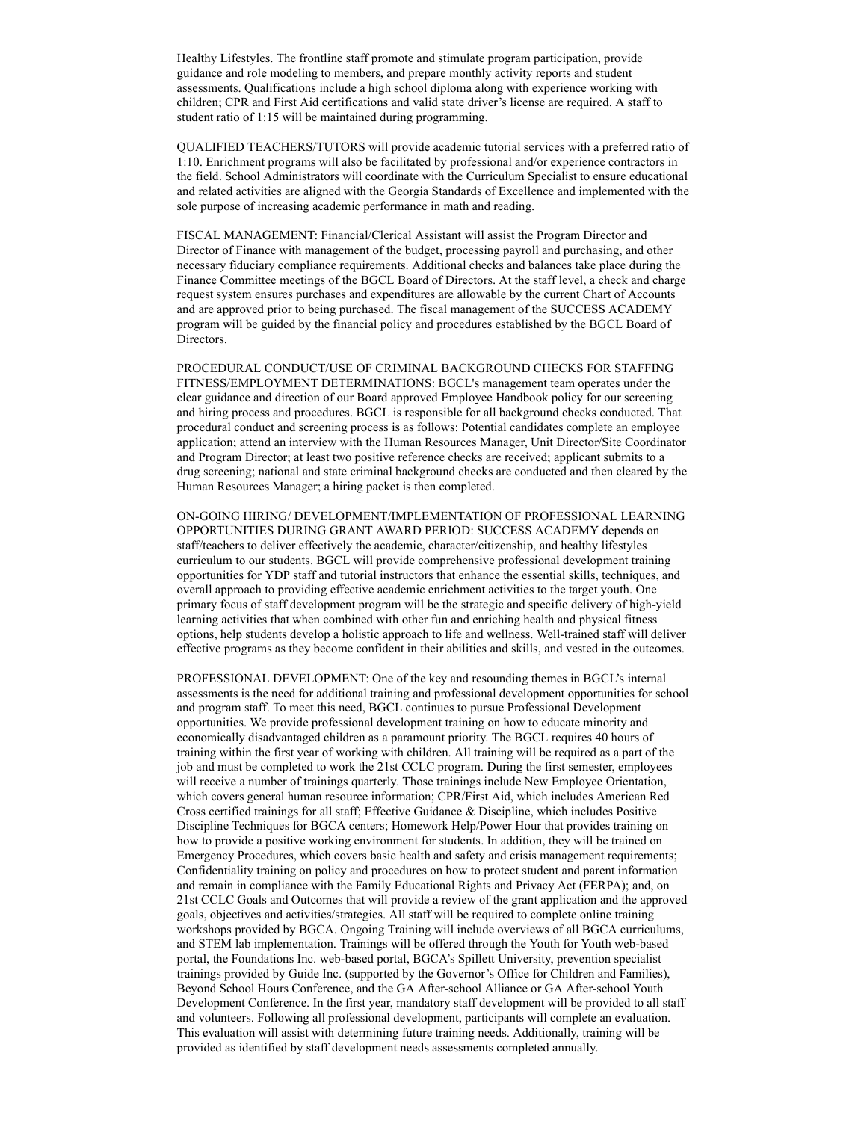Healthy Lifestyles. The frontline staff promote and stimulate program participation, provide guidance and role modeling to members, and prepare monthly activity reports and student assessments. Qualifications include a high school diploma along with experience working with children; CPR and First Aid certifications and valid state driver's license are required. A staff to student ratio of 1:15 will be maintained during programming.

QUALIFIED TEACHERS/TUTORS will provide academic tutorial services with a preferred ratio of 1:10. Enrichment programs will also be facilitated by professional and/or experience contractors in the field. School Administrators will coordinate with the Curriculum Specialist to ensure educational and related activities are aligned with the Georgia Standards of Excellence and implemented with the sole purpose of increasing academic performance in math and reading.

FISCAL MANAGEMENT: Financial/Clerical Assistant will assist the Program Director and Director of Finance with management of the budget, processing payroll and purchasing, and other necessary fiduciary compliance requirements. Additional checks and balances take place during the Finance Committee meetings of the BGCL Board of Directors. At the staff level, a check and charge request system ensures purchases and expenditures are allowable by the current Chart of Accounts and are approved prior to being purchased. The fiscal management of the SUCCESS ACADEMY program will be guided by the financial policy and procedures established by the BGCL Board of Directors.

PROCEDURAL CONDUCT/USE OF CRIMINAL BACKGROUND CHECKS FOR STAFFING FITNESS/EMPLOYMENT DETERMINATIONS: BGCL's management team operates under the clear guidance and direction of our Board approved Employee Handbook policy for our screening and hiring process and procedures. BGCL is responsible for all background checks conducted. That procedural conduct and screening process is as follows: Potential candidates complete an employee application; attend an interview with the Human Resources Manager, Unit Director/Site Coordinator and Program Director; at least two positive reference checks are received; applicant submits to a drug screening; national and state criminal background checks are conducted and then cleared by the Human Resources Manager; a hiring packet is then completed.

ON-GOING HIRING/ DEVELOPMENT/IMPLEMENTATION OF PROFESSIONAL LEARNING OPPORTUNITIES DURING GRANT AWARD PERIOD: SUCCESS ACADEMY depends on staff/teachers to deliver effectively the academic, character/citizenship, and healthy lifestyles curriculum to our students. BGCL will provide comprehensive professional development training opportunities for YDP staff and tutorial instructors that enhance the essential skills, techniques, and overall approach to providing effective academic enrichment activities to the target youth. One primary focus of staff development program will be the strategic and specific delivery of high-yield learning activities that when combined with other fun and enriching health and physical fitness options, help students develop a holistic approach to life and wellness. Well-trained staff will deliver effective programs as they become confident in their abilities and skills, and vested in the outcomes.

PROFESSIONAL DEVELOPMENT: One of the key and resounding themes in BGCL's internal assessments is the need for additional training and professional development opportunities for school and program staff. To meet this need, BGCL continues to pursue Professional Development opportunities. We provide professional development training on how to educate minority and economically disadvantaged children as a paramount priority. The BGCL requires 40 hours of training within the first year of working with children. All training will be required as a part of the job and must be completed to work the 21st CCLC program. During the first semester, employees will receive a number of trainings quarterly. Those trainings include New Employee Orientation, which covers general human resource information; CPR/First Aid, which includes American Red Cross certified trainings for all staff; Effective Guidance & Discipline, which includes Positive Discipline Techniques for BGCA centers; Homework Help/Power Hour that provides training on how to provide a positive working environment for students. In addition, they will be trained on Emergency Procedures, which covers basic health and safety and crisis management requirements; Confidentiality training on policy and procedures on how to protect student and parent information and remain in compliance with the Family Educational Rights and Privacy Act (FERPA); and, on 21st CCLC Goals and Outcomes that will provide a review of the grant application and the approved goals, objectives and activities/strategies. All staff will be required to complete online training workshops provided by BGCA. Ongoing Training will include overviews of all BGCA curriculums, and STEM lab implementation. Trainings will be offered through the Youth for Youth web-based portal, the Foundations Inc. web-based portal, BGCA's Spillett University, prevention specialist trainings provided by Guide Inc. (supported by the Governor's Office for Children and Families), Beyond School Hours Conference, and the GA After-school Alliance or GA After-school Youth Development Conference. In the first year, mandatory staff development will be provided to all staff and volunteers. Following all professional development, participants will complete an evaluation. This evaluation will assist with determining future training needs. Additionally, training will be provided as identified by staff development needs assessments completed annually.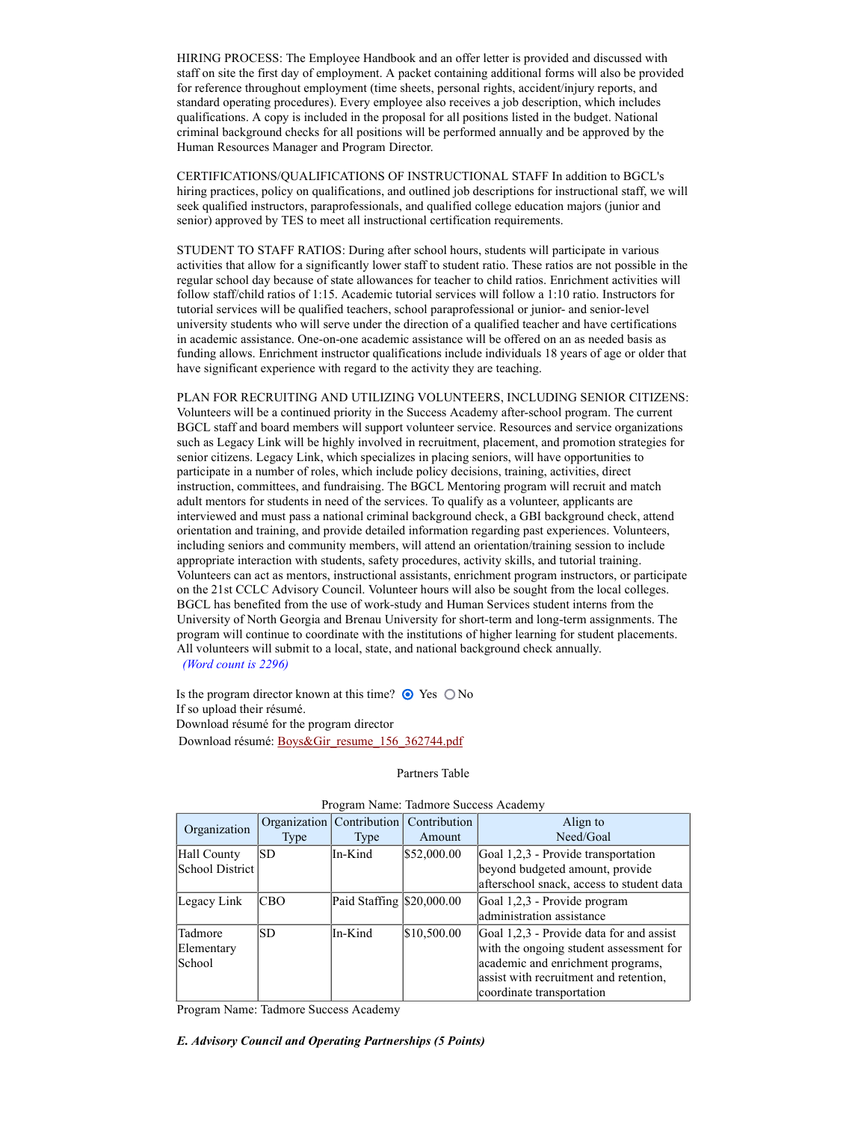HIRING PROCESS: The Employee Handbook and an offer letter is provided and discussed with staff on site the first day of employment. A packet containing additional forms will also be provided for reference throughout employment (time sheets, personal rights, accident/injury reports, and standard operating procedures). Every employee also receives a job description, which includes qualifications. A copy is included in the proposal for all positions listed in the budget. National criminal background checks for all positions will be performed annually and be approved by the Human Resources Manager and Program Director.

CERTIFICATIONS/QUALIFICATIONS OF INSTRUCTIONAL STAFF In addition to BGCL's hiring practices, policy on qualifications, and outlined job descriptions for instructional staff, we will seek qualified instructors, paraprofessionals, and qualified college education majors (junior and senior) approved by TES to meet all instructional certification requirements.

STUDENT TO STAFF RATIOS: During after school hours, students will participate in various activities that allow for a significantly lower staff to student ratio. These ratios are not possible in the regular school day because of state allowances for teacher to child ratios. Enrichment activities will follow staff/child ratios of 1:15. Academic tutorial services will follow a 1:10 ratio. Instructors for tutorial services will be qualified teachers, school paraprofessional or junior- and senior-level university students who will serve under the direction of a qualified teacher and have certifications in academic assistance. One-on-one academic assistance will be offered on an as needed basis as funding allows. Enrichment instructor qualifications include individuals 18 years of age or older that have significant experience with regard to the activity they are teaching.

PLAN FOR RECRUITING AND UTILIZING VOLUNTEERS, INCLUDING SENIOR CITIZENS: Volunteers will be a continued priority in the Success Academy after-school program. The current BGCL staff and board members will support volunteer service. Resources and service organizations such as Legacy Link will be highly involved in recruitment, placement, and promotion strategies for senior citizens. Legacy Link, which specializes in placing seniors, will have opportunities to participate in a number of roles, which include policy decisions, training, activities, direct instruction, committees, and fundraising. The BGCL Mentoring program will recruit and match adult mentors for students in need of the services. To qualify as a volunteer, applicants are interviewed and must pass a national criminal background check, a GBI background check, attend orientation and training, and provide detailed information regarding past experiences. Volunteers, including seniors and community members, will attend an orientation/training session to include appropriate interaction with students, safety procedures, activity skills, and tutorial training. Volunteers can act as mentors, instructional assistants, enrichment program instructors, or participate on the 21st CCLC Advisory Council. Volunteer hours will also be sought from the local colleges. BGCL has benefited from the use of work-study and Human Services student interns from the University of North Georgia and Brenau University for short-term and long-term assignments. The program will continue to coordinate with the institutions of higher learning for student placements. All volunteers will submit to a local, state, and national background check annually. (Word count is 2296)

Is the program director known at this time?  $\odot$  Yes  $\odot$  No If so upload their résumé. Download résumé for the program director Download résumé: Boys&Gir\_resume\_156\_362744.pdf

#### Partners Table

| Trogram Peanic. Taumore Buccess Academy |            |                             |              |                                           |  |  |
|-----------------------------------------|------------|-----------------------------|--------------|-------------------------------------------|--|--|
| Organization                            |            | Organization   Contribution | Contribution | Align to                                  |  |  |
|                                         | Type       | Type                        | Amount       | Need/Goal                                 |  |  |
| Hall County                             | ISD        | In-Kind                     | \$52,000.00  | Goal 1,2,3 - Provide transportation       |  |  |
| School District                         |            |                             |              | beyond budgeted amount, provide           |  |  |
|                                         |            |                             |              | afterschool snack, access to student data |  |  |
| Legacy Link                             | <b>CBO</b> | Paid Staffing \$20,000.00   |              | Goal 1,2,3 - Provide program              |  |  |
|                                         |            |                             |              | administration assistance                 |  |  |
| Tadmore                                 | ISD        | In-Kind                     | \$10,500.00  | Goal 1,2,3 - Provide data for and assist  |  |  |
| Elementary                              |            |                             |              | with the ongoing student assessment for   |  |  |
| School                                  |            |                             |              | academic and enrichment programs,         |  |  |
|                                         |            |                             |              | assist with recruitment and retention,    |  |  |
|                                         |            |                             |              | coordinate transportation                 |  |  |

#### Program Name: Tadmore Success Academy

Program Name: Tadmore Success Academy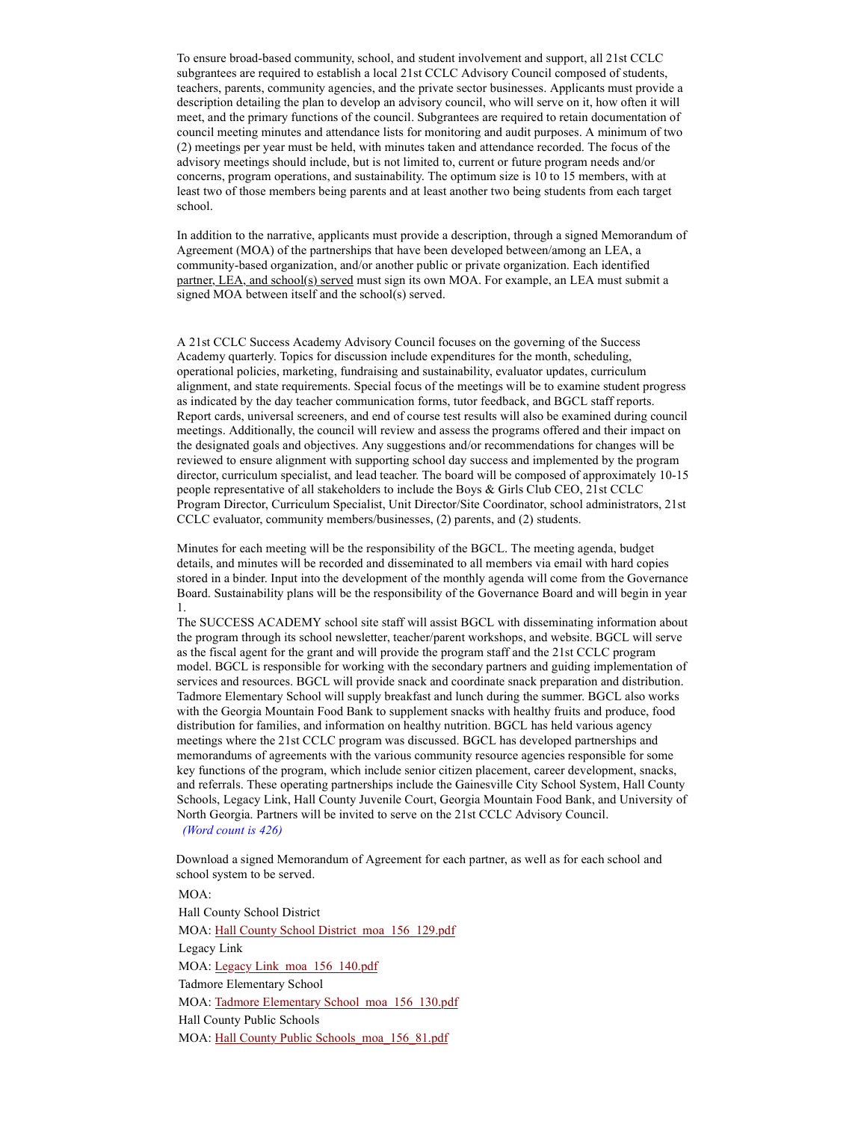To ensure broad-based community, school, and student involvement and support, all 21st CCLC subgrantees are required to establish a local 21st CCLC Advisory Council composed of students, teachers, parents, community agencies, and the private sector businesses. Applicants must provide a description detailing the plan to develop an advisory council, who will serve on it, how often it will meet, and the primary functions of the council. Subgrantees are required to retain documentation of council meeting minutes and attendance lists for monitoring and audit purposes. A minimum of two (2) meetings per year must be held, with minutes taken and attendance recorded. The focus of the advisory meetings should include, but is not limited to, current or future program needs and/or concerns, program operations, and sustainability. The optimum size is 10 to 15 members, with at least two of those members being parents and at least another two being students from each target school.

In addition to the narrative, applicants must provide a description, through a signed Memorandum of Agreement (MOA) of the partnerships that have been developed between/among an LEA, a community-based organization, and/or another public or private organization. Each identified partner, LEA, and school(s) served must sign its own MOA. For example, an LEA must submit a signed MOA between itself and the school(s) served.

A 21st CCLC Success Academy Advisory Council focuses on the governing of the Success Academy quarterly. Topics for discussion include expenditures for the month, scheduling, operational policies, marketing, fundraising and sustainability, evaluator updates, curriculum alignment, and state requirements. Special focus of the meetings will be to examine student progress as indicated by the day teacher communication forms, tutor feedback, and BGCL staff reports. Report cards, universal screeners, and end of course test results will also be examined during council meetings. Additionally, the council will review and assess the programs offered and their impact on the designated goals and objectives. Any suggestions and/or recommendations for changes will be reviewed to ensure alignment with supporting school day success and implemented by the program director, curriculum specialist, and lead teacher. The board will be composed of approximately 10-15 people representative of all stakeholders to include the Boys & Girls Club CEO, 21st CCLC Program Director, Curriculum Specialist, Unit Director/Site Coordinator, school administrators, 21st CCLC evaluator, community members/businesses, (2) parents, and (2) students.

Minutes for each meeting will be the responsibility of the BGCL. The meeting agenda, budget details, and minutes will be recorded and disseminated to all members via email with hard copies stored in a binder. Input into the development of the monthly agenda will come from the Governance Board. Sustainability plans will be the responsibility of the Governance Board and will begin in year 1.

The SUCCESS ACADEMY school site staff will assist BGCL with disseminating information about the program through its school newsletter, teacher/parent workshops, and website. BGCL will serve as the fiscal agent for the grant and will provide the program staff and the 21st CCLC program model. BGCL is responsible for working with the secondary partners and guiding implementation of services and resources. BGCL will provide snack and coordinate snack preparation and distribution. Tadmore Elementary School will supply breakfast and lunch during the summer. BGCL also works with the Georgia Mountain Food Bank to supplement snacks with healthy fruits and produce, food distribution for families, and information on healthy nutrition. BGCL has held various agency meetings where the 21st CCLC program was discussed. BGCL has developed partnerships and memorandums of agreements with the various community resource agencies responsible for some key functions of the program, which include senior citizen placement, career development, snacks, and referrals. These operating partnerships include the Gainesville City School System, Hall County Schools, Legacy Link, Hall County Juvenile Court, Georgia Mountain Food Bank, and University of North Georgia. Partners will be invited to serve on the 21st CCLC Advisory Council. (Word count is 426)

Download a signed Memorandum of Agreement for each partner, as well as for each school and school system to be served.

MOA: Hall County School District MOA: Hall County School District\_moa\_156\_129.pdf Legacy Link MOA: Legacy Link\_moa\_156\_140.pdf Tadmore Elementary School MOA: Tadmore Elementary School\_moa\_156\_130.pdf Hall County Public Schools MOA: Hall County Public Schools\_moa\_156\_81.pdf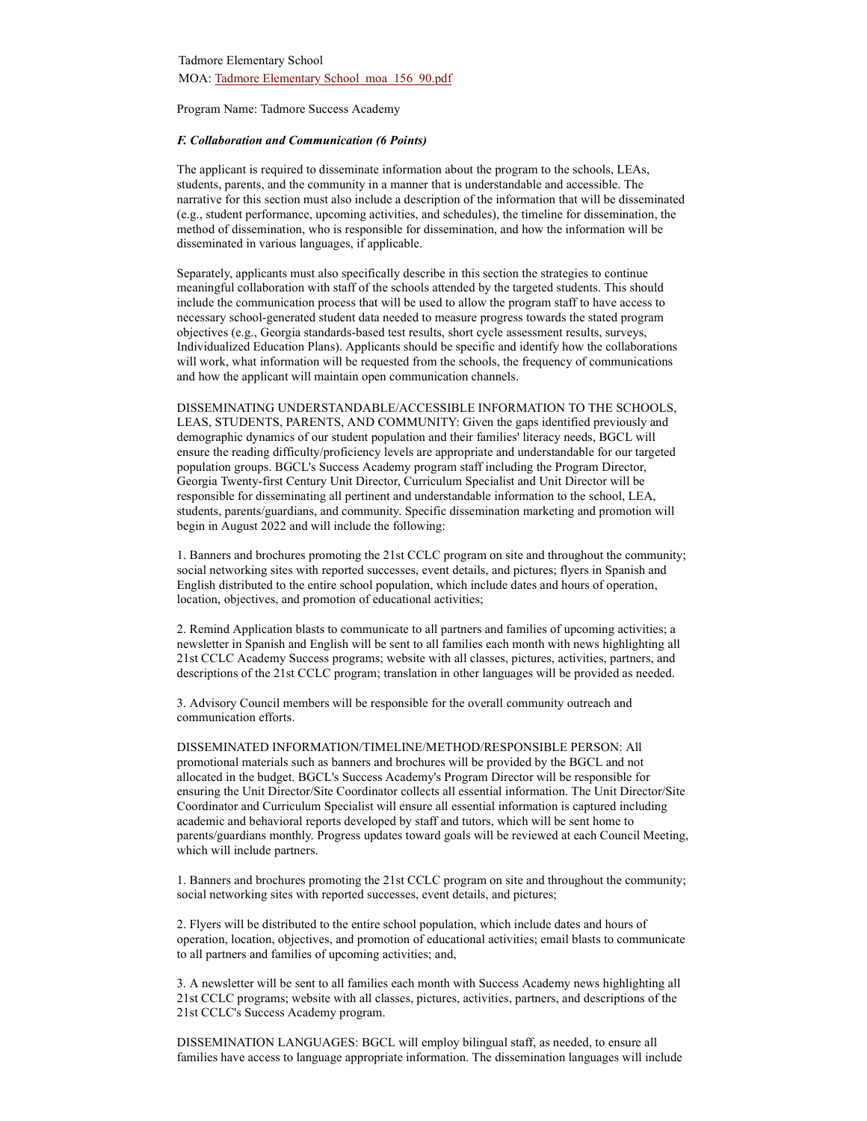Program Name: Tadmore Success Academy

#### F. Collaboration and Communication (6 Points)

The applicant is required to disseminate information about the program to the schools, LEAs, students, parents, and the community in a manner that is understandable and accessible. The narrative for this section must also include a description of the information that will be disseminated (e.g., student performance, upcoming activities, and schedules), the timeline for dissemination, the method of dissemination, who is responsible for dissemination, and how the information will be disseminated in various languages, if applicable.

Separately, applicants must also specifically describe in this section the strategies to continue meaningful collaboration with staff of the schools attended by the targeted students. This should include the communication process that will be used to allow the program staff to have access to necessary school-generated student data needed to measure progress towards the stated program objectives (e.g., Georgia standards-based test results, short cycle assessment results, surveys, Individualized Education Plans). Applicants should be specific and identify how the collaborations will work, what information will be requested from the schools, the frequency of communications and how the applicant will maintain open communication channels.

DISSEMINATING UNDERSTANDABLE/ACCESSIBLE INFORMATION TO THE SCHOOLS, LEAS, STUDENTS, PARENTS, AND COMMUNITY: Given the gaps identified previously and demographic dynamics of our student population and their families' literacy needs, BGCL will ensure the reading difficulty/proficiency levels are appropriate and understandable for our targeted population groups. BGCL's Success Academy program staff including the Program Director, Georgia Twenty-first Century Unit Director, Curriculum Specialist and Unit Director will be responsible for disseminating all pertinent and understandable information to the school, LEA, students, parents/guardians, and community. Specific dissemination marketing and promotion will begin in August 2022 and will include the following:

1. Banners and brochures promoting the 21st CCLC program on site and throughout the community; social networking sites with reported successes, event details, and pictures; flyers in Spanish and English distributed to the entire school population, which include dates and hours of operation, location, objectives, and promotion of educational activities;

2. Remind Application blasts to communicate to all partners and families of upcoming activities; a newsletter in Spanish and English will be sent to all families each month with news highlighting all 21st CCLC Academy Success programs; website with all classes, pictures, activities, partners, and descriptions of the 21st CCLC program; translation in other languages will be provided as needed.

3. Advisory Council members will be responsible for the overall community outreach and communication efforts.

DISSEMINATED INFORMATION/TIMELINE/METHOD/RESPONSIBLE PERSON: All promotional materials such as banners and brochures will be provided by the BGCL and not allocated in the budget. BGCL's Success Academy's Program Director will be responsible for ensuring the Unit Director/Site Coordinator collects all essential information. The Unit Director/Site Coordinator and Curriculum Specialist will ensure all essential information is captured including academic and behavioral reports developed by staff and tutors, which will be sent home to parents/guardians monthly. Progress updates toward goals will be reviewed at each Council Meeting, which will include partners.

1. Banners and brochures promoting the 21st CCLC program on site and throughout the community; social networking sites with reported successes, event details, and pictures;

2. Flyers will be distributed to the entire school population, which include dates and hours of operation, location, objectives, and promotion of educational activities; email blasts to communicate to all partners and families of upcoming activities; and,

3. A newsletter will be sent to all families each month with Success Academy news highlighting all 21st CCLC programs; website with all classes, pictures, activities, partners, and descriptions of the 21st CCLC's Success Academy program.

DISSEMINATION LANGUAGES: BGCL will employ bilingual staff, as needed, to ensure all families have access to language appropriate information. The dissemination languages will include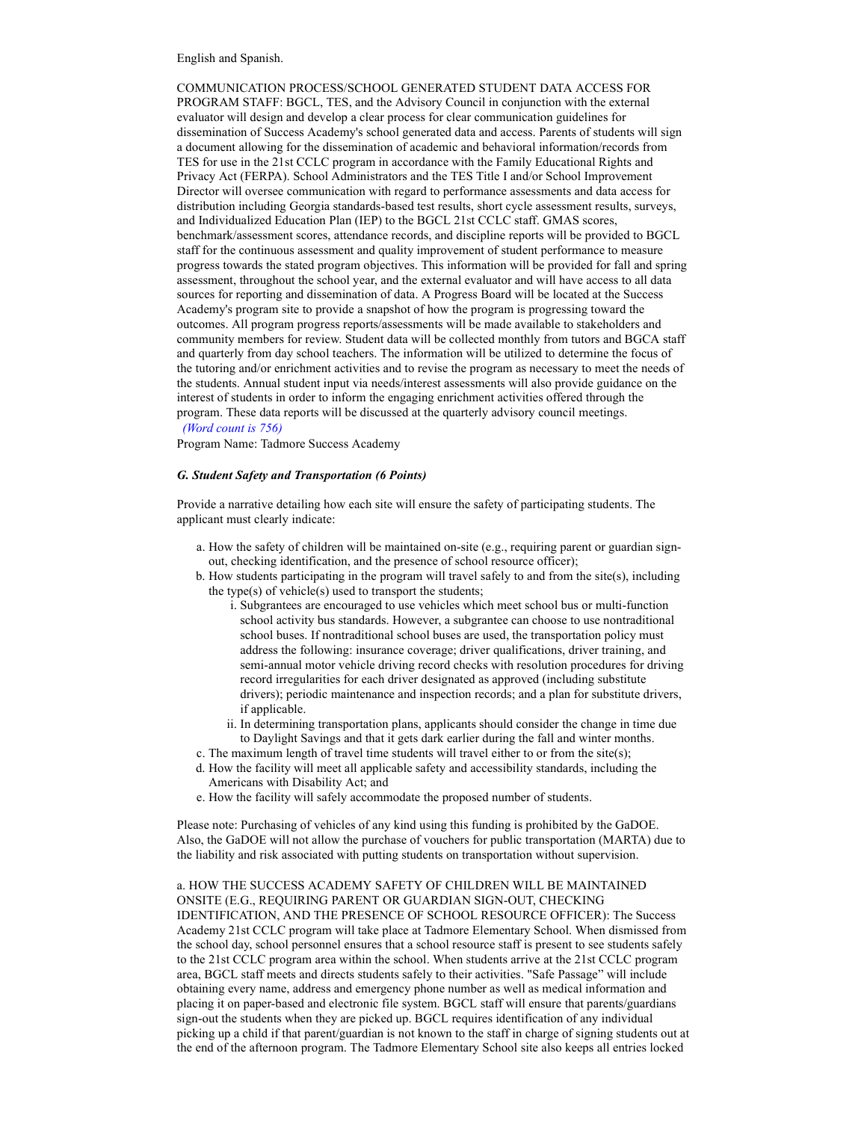English and Spanish.

COMMUNICATION PROCESS/SCHOOL GENERATED STUDENT DATA ACCESS FOR PROGRAM STAFF: BGCL, TES, and the Advisory Council in conjunction with the external evaluator will design and develop a clear process for clear communication guidelines for dissemination of Success Academy's school generated data and access. Parents of students will sign a document allowing for the dissemination of academic and behavioral information/records from TES for use in the 21st CCLC program in accordance with the Family Educational Rights and Privacy Act (FERPA). School Administrators and the TES Title I and/or School Improvement Director will oversee communication with regard to performance assessments and data access for distribution including Georgia standards-based test results, short cycle assessment results, surveys, and Individualized Education Plan (IEP) to the BGCL 21st CCLC staff. GMAS scores, benchmark/assessment scores, attendance records, and discipline reports will be provided to BGCL staff for the continuous assessment and quality improvement of student performance to measure progress towards the stated program objectives. This information will be provided for fall and spring assessment, throughout the school year, and the external evaluator and will have access to all data sources for reporting and dissemination of data. A Progress Board will be located at the Success Academy's program site to provide a snapshot of how the program is progressing toward the outcomes. All program progress reports/assessments will be made available to stakeholders and community members for review. Student data will be collected monthly from tutors and BGCA staff and quarterly from day school teachers. The information will be utilized to determine the focus of the tutoring and/or enrichment activities and to revise the program as necessary to meet the needs of the students. Annual student input via needs/interest assessments will also provide guidance on the interest of students in order to inform the engaging enrichment activities offered through the program. These data reports will be discussed at the quarterly advisory council meetings. (Word count is 756)

Program Name: Tadmore Success Academy

# G. Student Safety and Transportation (6 Points)

Provide a narrative detailing how each site will ensure the safety of participating students. The applicant must clearly indicate:

- a. How the safety of children will be maintained on-site (e.g., requiring parent or guardian signout, checking identification, and the presence of school resource officer);
- b. How students participating in the program will travel safely to and from the site(s), including the type(s) of vehicle(s) used to transport the students;
	- i. Subgrantees are encouraged to use vehicles which meet school bus or multi-function school activity bus standards. However, a subgrantee can choose to use nontraditional school buses. If nontraditional school buses are used, the transportation policy must address the following: insurance coverage; driver qualifications, driver training, and semi-annual motor vehicle driving record checks with resolution procedures for driving record irregularities for each driver designated as approved (including substitute drivers); periodic maintenance and inspection records; and a plan for substitute drivers, if applicable.
	- ii. In determining transportation plans, applicants should consider the change in time due to Daylight Savings and that it gets dark earlier during the fall and winter months.
- c. The maximum length of travel time students will travel either to or from the site(s);
- d. How the facility will meet all applicable safety and accessibility standards, including the Americans with Disability Act; and
- e. How the facility will safely accommodate the proposed number of students.

Please note: Purchasing of vehicles of any kind using this funding is prohibited by the GaDOE. Also, the GaDOE will not allow the purchase of vouchers for public transportation (MARTA) due to the liability and risk associated with putting students on transportation without supervision.

a. HOW THE SUCCESS ACADEMY SAFETY OF CHILDREN WILL BE MAINTAINED ONSITE (E.G., REQUIRING PARENT OR GUARDIAN SIGN-OUT, CHECKING IDENTIFICATION, AND THE PRESENCE OF SCHOOL RESOURCE OFFICER): The Success Academy 21st CCLC program will take place at Tadmore Elementary School. When dismissed from the school day, school personnel ensures that a school resource staff is present to see students safely to the 21st CCLC program area within the school. When students arrive at the 21st CCLC program area, BGCL staff meets and directs students safely to their activities. "Safe Passage" will include obtaining every name, address and emergency phone number as well as medical information and placing it on paper-based and electronic file system. BGCL staff will ensure that parents/guardians sign-out the students when they are picked up. BGCL requires identification of any individual picking up a child if that parent/guardian is not known to the staff in charge of signing students out at the end of the afternoon program. The Tadmore Elementary School site also keeps all entries locked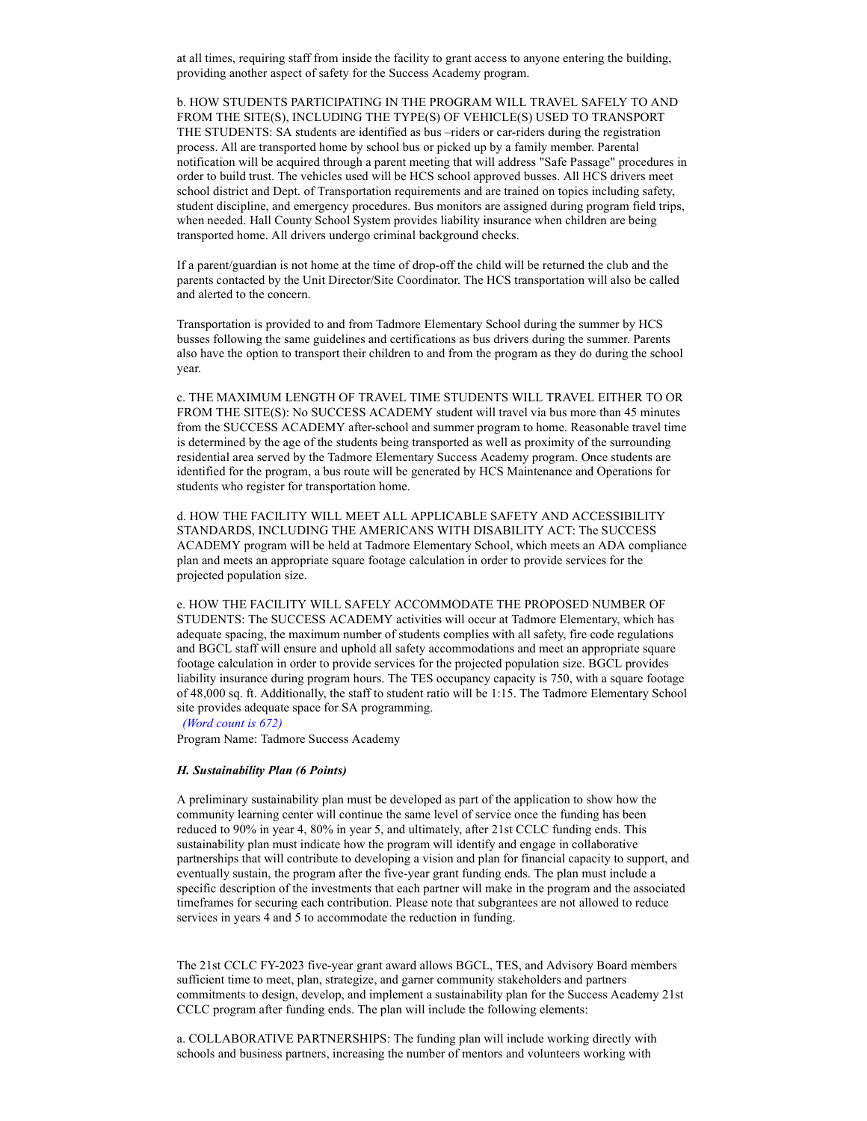at all times, requiring staff from inside the facility to grant access to anyone entering the building, providing another aspect of safety for the Success Academy program.

b. HOW STUDENTS PARTICIPATING IN THE PROGRAM WILL TRAVEL SAFELY TO AND FROM THE SITE(S), INCLUDING THE TYPE(S) OF VEHICLE(S) USED TO TRANSPORT THE STUDENTS: SA students are identified as bus –riders or car-riders during the registration process. All are transported home by school bus or picked up by a family member. Parental notification will be acquired through a parent meeting that will address "Safe Passage" procedures in order to build trust. The vehicles used will be HCS school approved busses. All HCS drivers meet school district and Dept. of Transportation requirements and are trained on topics including safety, student discipline, and emergency procedures. Bus monitors are assigned during program field trips, when needed. Hall County School System provides liability insurance when children are being transported home. All drivers undergo criminal background checks.

If a parent/guardian is not home at the time of drop-off the child will be returned the club and the parents contacted by the Unit Director/Site Coordinator. The HCS transportation will also be called and alerted to the concern.

Transportation is provided to and from Tadmore Elementary School during the summer by HCS busses following the same guidelines and certifications as bus drivers during the summer. Parents also have the option to transport their children to and from the program as they do during the school year.

c. THE MAXIMUM LENGTH OF TRAVEL TIME STUDENTS WILL TRAVEL EITHER TO OR FROM THE SITE(S): No SUCCESS ACADEMY student will travel via bus more than 45 minutes from the SUCCESS ACADEMY after-school and summer program to home. Reasonable travel time is determined by the age of the students being transported as well as proximity of the surrounding residential area served by the Tadmore Elementary Success Academy program. Once students are identified for the program, a bus route will be generated by HCS Maintenance and Operations for students who register for transportation home.

d. HOW THE FACILITY WILL MEET ALL APPLICABLE SAFETY AND ACCESSIBILITY STANDARDS, INCLUDING THE AMERICANS WITH DISABILITY ACT: The SUCCESS ACADEMY program will be held at Tadmore Elementary School, which meets an ADA compliance plan and meets an appropriate square footage calculation in order to provide services for the projected population size.

e. HOW THE FACILITY WILL SAFELY ACCOMMODATE THE PROPOSED NUMBER OF STUDENTS: The SUCCESS ACADEMY activities will occur at Tadmore Elementary, which has adequate spacing, the maximum number of students complies with all safety, fire code regulations and BGCL staff will ensure and uphold all safety accommodations and meet an appropriate square footage calculation in order to provide services for the projected population size. BGCL provides liability insurance during program hours. The TES occupancy capacity is 750, with a square footage of 48,000 sq. ft. Additionally, the staff to student ratio will be 1:15. The Tadmore Elementary School site provides adequate space for SA programming. (Word count is 672)

Program Name: Tadmore Success Academy

## H. Sustainability Plan (6 Points)

A preliminary sustainability plan must be developed as part of the application to show how the community learning center will continue the same level of service once the funding has been reduced to 90% in year 4, 80% in year 5, and ultimately, after 21st CCLC funding ends. This sustainability plan must indicate how the program will identify and engage in collaborative partnerships that will contribute to developing a vision and plan for financial capacity to support, and eventually sustain, the program after the five-year grant funding ends. The plan must include a specific description of the investments that each partner will make in the program and the associated timeframes for securing each contribution. Please note that subgrantees are not allowed to reduce services in years 4 and 5 to accommodate the reduction in funding.

The 21st CCLC FY-2023 five-year grant award allows BGCL, TES, and Advisory Board members sufficient time to meet, plan, strategize, and garner community stakeholders and partners commitments to design, develop, and implement a sustainability plan for the Success Academy 21st CCLC program after funding ends. The plan will include the following elements:

a. COLLABORATIVE PARTNERSHIPS: The funding plan will include working directly with schools and business partners, increasing the number of mentors and volunteers working with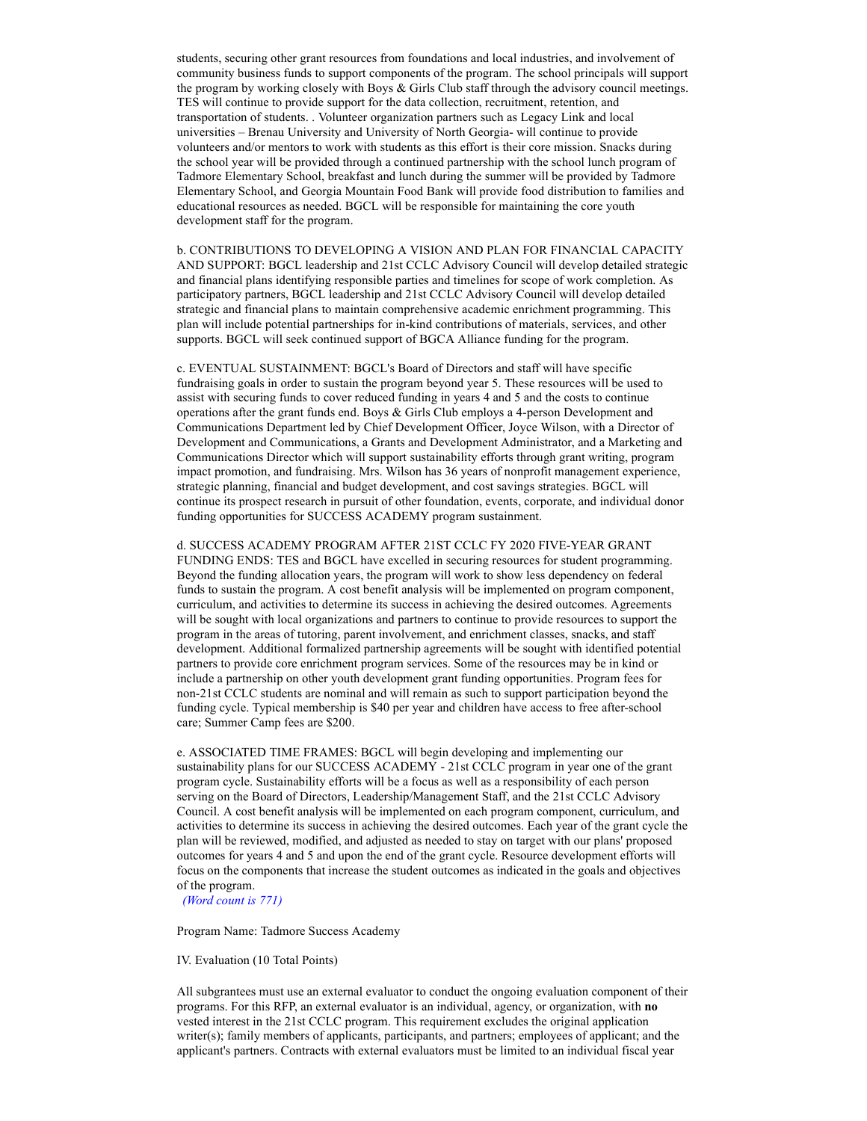students, securing other grant resources from foundations and local industries, and involvement of community business funds to support components of the program. The school principals will support the program by working closely with Boys & Girls Club staff through the advisory council meetings. TES will continue to provide support for the data collection, recruitment, retention, and transportation of students. . Volunteer organization partners such as Legacy Link and local universities – Brenau University and University of North Georgia- will continue to provide volunteers and/or mentors to work with students as this effort is their core mission. Snacks during the school year will be provided through a continued partnership with the school lunch program of Tadmore Elementary School, breakfast and lunch during the summer will be provided by Tadmore Elementary School, and Georgia Mountain Food Bank will provide food distribution to families and educational resources as needed. BGCL will be responsible for maintaining the core youth development staff for the program.

b. CONTRIBUTIONS TO DEVELOPING A VISION AND PLAN FOR FINANCIAL CAPACITY AND SUPPORT: BGCL leadership and 21st CCLC Advisory Council will develop detailed strategic and financial plans identifying responsible parties and timelines for scope of work completion. As participatory partners, BGCL leadership and 21st CCLC Advisory Council will develop detailed strategic and financial plans to maintain comprehensive academic enrichment programming. This plan will include potential partnerships for in-kind contributions of materials, services, and other supports. BGCL will seek continued support of BGCA Alliance funding for the program.

c. EVENTUAL SUSTAINMENT: BGCL's Board of Directors and staff will have specific fundraising goals in order to sustain the program beyond year 5. These resources will be used to assist with securing funds to cover reduced funding in years 4 and 5 and the costs to continue operations after the grant funds end. Boys & Girls Club employs a 4-person Development and Communications Department led by Chief Development Officer, Joyce Wilson, with a Director of Development and Communications, a Grants and Development Administrator, and a Marketing and Communications Director which will support sustainability efforts through grant writing, program impact promotion, and fundraising. Mrs. Wilson has 36 years of nonprofit management experience, strategic planning, financial and budget development, and cost savings strategies. BGCL will continue its prospect research in pursuit of other foundation, events, corporate, and individual donor funding opportunities for SUCCESS ACADEMY program sustainment.

d. SUCCESS ACADEMY PROGRAM AFTER 21ST CCLC FY 2020 FIVE-YEAR GRANT FUNDING ENDS: TES and BGCL have excelled in securing resources for student programming. Beyond the funding allocation years, the program will work to show less dependency on federal funds to sustain the program. A cost benefit analysis will be implemented on program component, curriculum, and activities to determine its success in achieving the desired outcomes. Agreements will be sought with local organizations and partners to continue to provide resources to support the program in the areas of tutoring, parent involvement, and enrichment classes, snacks, and staff development. Additional formalized partnership agreements will be sought with identified potential partners to provide core enrichment program services. Some of the resources may be in kind or include a partnership on other youth development grant funding opportunities. Program fees for non-21st CCLC students are nominal and will remain as such to support participation beyond the funding cycle. Typical membership is \$40 per year and children have access to free after-school care; Summer Camp fees are \$200.

e. ASSOCIATED TIME FRAMES: BGCL will begin developing and implementing our sustainability plans for our SUCCESS ACADEMY - 21st CCLC program in year one of the grant program cycle. Sustainability efforts will be a focus as well as a responsibility of each person serving on the Board of Directors, Leadership/Management Staff, and the 21st CCLC Advisory Council. A cost benefit analysis will be implemented on each program component, curriculum, and activities to determine its success in achieving the desired outcomes. Each year of the grant cycle the plan will be reviewed, modified, and adjusted as needed to stay on target with our plans' proposed outcomes for years 4 and 5 and upon the end of the grant cycle. Resource development efforts will focus on the components that increase the student outcomes as indicated in the goals and objectives of the program.

(Word count is 771)

Program Name: Tadmore Success Academy

IV. Evaluation (10 Total Points)

All subgrantees must use an external evaluator to conduct the ongoing evaluation component of their programs. For this RFP, an external evaluator is an individual, agency, or organization, with no vested interest in the 21st CCLC program. This requirement excludes the original application writer(s); family members of applicants, participants, and partners; employees of applicant; and the applicant's partners. Contracts with external evaluators must be limited to an individual fiscal year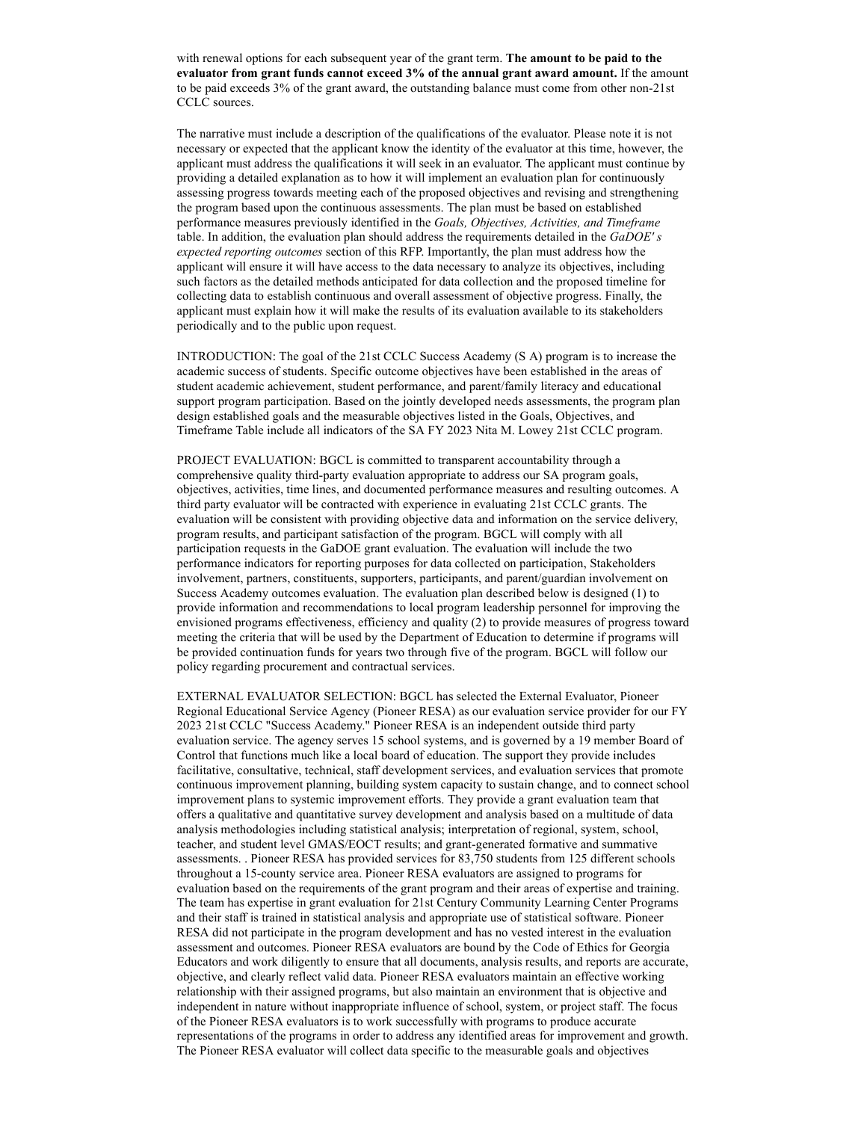with renewal options for each subsequent year of the grant term. The amount to be paid to the evaluator from grant funds cannot exceed 3% of the annual grant award amount. If the amount to be paid exceeds 3% of the grant award, the outstanding balance must come from other non-21st CCLC sources.

The narrative must include a description of the qualifications of the evaluator. Please note it is not necessary or expected that the applicant know the identity of the evaluator at this time, however, the applicant must address the qualifications it will seek in an evaluator. The applicant must continue by providing a detailed explanation as to how it will implement an evaluation plan for continuously assessing progress towards meeting each of the proposed objectives and revising and strengthening the program based upon the continuous assessments. The plan must be based on established performance measures previously identified in the Goals, Objectives, Activities, and Timeframe table. In addition, the evaluation plan should address the requirements detailed in the  $GaDOE's$ expected reporting outcomes section of this RFP. Importantly, the plan must address how the applicant will ensure it will have access to the data necessary to analyze its objectives, including such factors as the detailed methods anticipated for data collection and the proposed timeline for collecting data to establish continuous and overall assessment of objective progress. Finally, the applicant must explain how it will make the results of its evaluation available to its stakeholders periodically and to the public upon request.

INTRODUCTION: The goal of the 21st CCLC Success Academy (S A) program is to increase the academic success of students. Specific outcome objectives have been established in the areas of student academic achievement, student performance, and parent/family literacy and educational support program participation. Based on the jointly developed needs assessments, the program plan design established goals and the measurable objectives listed in the Goals, Objectives, and Timeframe Table include all indicators of the SA FY 2023 Nita M. Lowey 21st CCLC program.

PROJECT EVALUATION: BGCL is committed to transparent accountability through a comprehensive quality third-party evaluation appropriate to address our SA program goals, objectives, activities, time lines, and documented performance measures and resulting outcomes. A third party evaluator will be contracted with experience in evaluating 21st CCLC grants. The evaluation will be consistent with providing objective data and information on the service delivery, program results, and participant satisfaction of the program. BGCL will comply with all participation requests in the GaDOE grant evaluation. The evaluation will include the two performance indicators for reporting purposes for data collected on participation, Stakeholders involvement, partners, constituents, supporters, participants, and parent/guardian involvement on Success Academy outcomes evaluation. The evaluation plan described below is designed (1) to provide information and recommendations to local program leadership personnel for improving the envisioned programs effectiveness, efficiency and quality (2) to provide measures of progress toward meeting the criteria that will be used by the Department of Education to determine if programs will be provided continuation funds for years two through five of the program. BGCL will follow our policy regarding procurement and contractual services.

EXTERNAL EVALUATOR SELECTION: BGCL has selected the External Evaluator, Pioneer Regional Educational Service Agency (Pioneer RESA) as our evaluation service provider for our FY 2023 21st CCLC "Success Academy." Pioneer RESA is an independent outside third party evaluation service. The agency serves 15 school systems, and is governed by a 19 member Board of Control that functions much like a local board of education. The support they provide includes facilitative, consultative, technical, staff development services, and evaluation services that promote continuous improvement planning, building system capacity to sustain change, and to connect school improvement plans to systemic improvement efforts. They provide a grant evaluation team that offers a qualitative and quantitative survey development and analysis based on a multitude of data analysis methodologies including statistical analysis; interpretation of regional, system, school, teacher, and student level GMAS/EOCT results; and grant-generated formative and summative assessments. . Pioneer RESA has provided services for 83,750 students from 125 different schools throughout a 15-county service area. Pioneer RESA evaluators are assigned to programs for evaluation based on the requirements of the grant program and their areas of expertise and training. The team has expertise in grant evaluation for 21st Century Community Learning Center Programs and their staff is trained in statistical analysis and appropriate use of statistical software. Pioneer RESA did not participate in the program development and has no vested interest in the evaluation assessment and outcomes. Pioneer RESA evaluators are bound by the Code of Ethics for Georgia Educators and work diligently to ensure that all documents, analysis results, and reports are accurate, objective, and clearly reflect valid data. Pioneer RESA evaluators maintain an effective working relationship with their assigned programs, but also maintain an environment that is objective and independent in nature without inappropriate influence of school, system, or project staff. The focus of the Pioneer RESA evaluators is to work successfully with programs to produce accurate representations of the programs in order to address any identified areas for improvement and growth. The Pioneer RESA evaluator will collect data specific to the measurable goals and objectives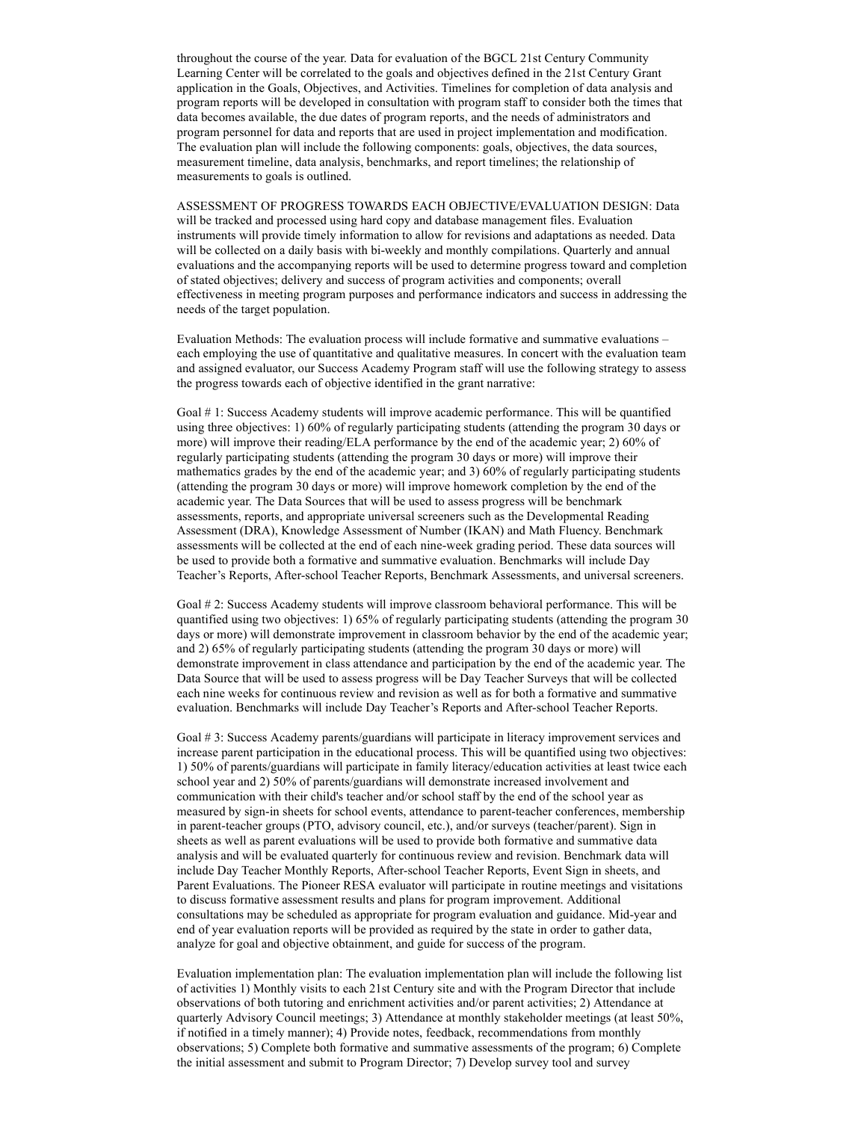throughout the course of the year. Data for evaluation of the BGCL 21st Century Community Learning Center will be correlated to the goals and objectives defined in the 21st Century Grant application in the Goals, Objectives, and Activities. Timelines for completion of data analysis and program reports will be developed in consultation with program staff to consider both the times that data becomes available, the due dates of program reports, and the needs of administrators and program personnel for data and reports that are used in project implementation and modification. The evaluation plan will include the following components: goals, objectives, the data sources, measurement timeline, data analysis, benchmarks, and report timelines; the relationship of measurements to goals is outlined.

ASSESSMENT OF PROGRESS TOWARDS EACH OBJECTIVE/EVALUATION DESIGN: Data will be tracked and processed using hard copy and database management files. Evaluation instruments will provide timely information to allow for revisions and adaptations as needed. Data will be collected on a daily basis with bi-weekly and monthly compilations. Quarterly and annual evaluations and the accompanying reports will be used to determine progress toward and completion of stated objectives; delivery and success of program activities and components; overall effectiveness in meeting program purposes and performance indicators and success in addressing the needs of the target population.

Evaluation Methods: The evaluation process will include formative and summative evaluations – each employing the use of quantitative and qualitative measures. In concert with the evaluation team and assigned evaluator, our Success Academy Program staff will use the following strategy to assess the progress towards each of objective identified in the grant narrative:

Goal # 1: Success Academy students will improve academic performance. This will be quantified using three objectives: 1) 60% of regularly participating students (attending the program 30 days or more) will improve their reading/ELA performance by the end of the academic year; 2) 60% of regularly participating students (attending the program 30 days or more) will improve their mathematics grades by the end of the academic year; and 3) 60% of regularly participating students (attending the program 30 days or more) will improve homework completion by the end of the academic year. The Data Sources that will be used to assess progress will be benchmark assessments, reports, and appropriate universal screeners such as the Developmental Reading Assessment (DRA), Knowledge Assessment of Number (IKAN) and Math Fluency. Benchmark assessments will be collected at the end of each nine-week grading period. These data sources will be used to provide both a formative and summative evaluation. Benchmarks will include Day Teacher's Reports, After-school Teacher Reports, Benchmark Assessments, and universal screeners.

Goal # 2: Success Academy students will improve classroom behavioral performance. This will be quantified using two objectives: 1) 65% of regularly participating students (attending the program 30 days or more) will demonstrate improvement in classroom behavior by the end of the academic year; and 2) 65% of regularly participating students (attending the program 30 days or more) will demonstrate improvement in class attendance and participation by the end of the academic year. The Data Source that will be used to assess progress will be Day Teacher Surveys that will be collected each nine weeks for continuous review and revision as well as for both a formative and summative evaluation. Benchmarks will include Day Teacher's Reports and After-school Teacher Reports.

Goal # 3: Success Academy parents/guardians will participate in literacy improvement services and increase parent participation in the educational process. This will be quantified using two objectives: 1) 50% of parents/guardians will participate in family literacy/education activities at least twice each school year and 2) 50% of parents/guardians will demonstrate increased involvement and communication with their child's teacher and/or school staff by the end of the school year as measured by sign-in sheets for school events, attendance to parent-teacher conferences, membership in parent-teacher groups (PTO, advisory council, etc.), and/or surveys (teacher/parent). Sign in sheets as well as parent evaluations will be used to provide both formative and summative data analysis and will be evaluated quarterly for continuous review and revision. Benchmark data will include Day Teacher Monthly Reports, After-school Teacher Reports, Event Sign in sheets, and Parent Evaluations. The Pioneer RESA evaluator will participate in routine meetings and visitations to discuss formative assessment results and plans for program improvement. Additional consultations may be scheduled as appropriate for program evaluation and guidance. Mid-year and end of year evaluation reports will be provided as required by the state in order to gather data, analyze for goal and objective obtainment, and guide for success of the program.

Evaluation implementation plan: The evaluation implementation plan will include the following list of activities 1) Monthly visits to each 21st Century site and with the Program Director that include observations of both tutoring and enrichment activities and/or parent activities; 2) Attendance at quarterly Advisory Council meetings; 3) Attendance at monthly stakeholder meetings (at least 50%, if notified in a timely manner); 4) Provide notes, feedback, recommendations from monthly observations; 5) Complete both formative and summative assessments of the program; 6) Complete the initial assessment and submit to Program Director; 7) Develop survey tool and survey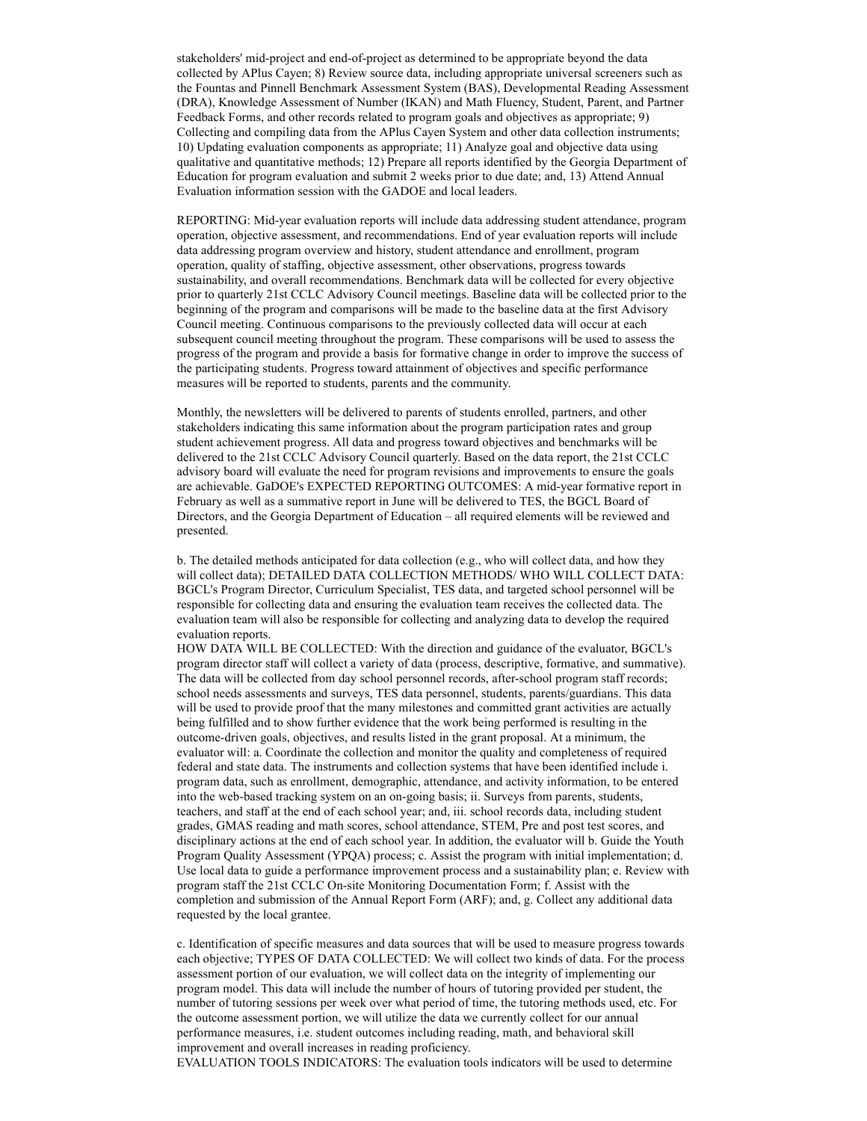stakeholders' mid-project and end-of-project as determined to be appropriate beyond the data collected by APlus Cayen; 8) Review source data, including appropriate universal screeners such as the Fountas and Pinnell Benchmark Assessment System (BAS), Developmental Reading Assessment (DRA), Knowledge Assessment of Number (IKAN) and Math Fluency, Student, Parent, and Partner Feedback Forms, and other records related to program goals and objectives as appropriate; 9) Collecting and compiling data from the APlus Cayen System and other data collection instruments; 10) Updating evaluation components as appropriate; 11) Analyze goal and objective data using qualitative and quantitative methods; 12) Prepare all reports identified by the Georgia Department of Education for program evaluation and submit 2 weeks prior to due date; and, 13) Attend Annual Evaluation information session with the GADOE and local leaders.

REPORTING: Mid-year evaluation reports will include data addressing student attendance, program operation, objective assessment, and recommendations. End of year evaluation reports will include data addressing program overview and history, student attendance and enrollment, program operation, quality of staffing, objective assessment, other observations, progress towards sustainability, and overall recommendations. Benchmark data will be collected for every objective prior to quarterly 21st CCLC Advisory Council meetings. Baseline data will be collected prior to the beginning of the program and comparisons will be made to the baseline data at the first Advisory Council meeting. Continuous comparisons to the previously collected data will occur at each subsequent council meeting throughout the program. These comparisons will be used to assess the progress of the program and provide a basis for formative change in order to improve the success of the participating students. Progress toward attainment of objectives and specific performance measures will be reported to students, parents and the community.

Monthly, the newsletters will be delivered to parents of students enrolled, partners, and other stakeholders indicating this same information about the program participation rates and group student achievement progress. All data and progress toward objectives and benchmarks will be delivered to the 21st CCLC Advisory Council quarterly. Based on the data report, the 21st CCLC advisory board will evaluate the need for program revisions and improvements to ensure the goals are achievable. GaDOE's EXPECTED REPORTING OUTCOMES: A mid-year formative report in February as well as a summative report in June will be delivered to TES, the BGCL Board of Directors, and the Georgia Department of Education – all required elements will be reviewed and presented.

b. The detailed methods anticipated for data collection (e.g., who will collect data, and how they will collect data); DETAILED DATA COLLECTION METHODS/ WHO WILL COLLECT DATA: BGCL's Program Director, Curriculum Specialist, TES data, and targeted school personnel will be responsible for collecting data and ensuring the evaluation team receives the collected data. The evaluation team will also be responsible for collecting and analyzing data to develop the required evaluation reports.

HOW DATA WILL BE COLLECTED: With the direction and guidance of the evaluator, BGCL's program director staff will collect a variety of data (process, descriptive, formative, and summative). The data will be collected from day school personnel records, after-school program staff records; school needs assessments and surveys, TES data personnel, students, parents/guardians. This data will be used to provide proof that the many milestones and committed grant activities are actually being fulfilled and to show further evidence that the work being performed is resulting in the outcome-driven goals, objectives, and results listed in the grant proposal. At a minimum, the evaluator will: a. Coordinate the collection and monitor the quality and completeness of required federal and state data. The instruments and collection systems that have been identified include i. program data, such as enrollment, demographic, attendance, and activity information, to be entered into the web-based tracking system on an on-going basis; ii. Surveys from parents, students, teachers, and staff at the end of each school year; and, iii. school records data, including student grades, GMAS reading and math scores, school attendance, STEM, Pre and post test scores, and disciplinary actions at the end of each school year. In addition, the evaluator will b. Guide the Youth Program Quality Assessment (YPQA) process; c. Assist the program with initial implementation; d. Use local data to guide a performance improvement process and a sustainability plan; e. Review with program staff the 21st CCLC On-site Monitoring Documentation Form; f. Assist with the completion and submission of the Annual Report Form (ARF); and, g. Collect any additional data requested by the local grantee.

c. Identification of specific measures and data sources that will be used to measure progress towards each objective; TYPES OF DATA COLLECTED: We will collect two kinds of data. For the process assessment portion of our evaluation, we will collect data on the integrity of implementing our program model. This data will include the number of hours of tutoring provided per student, the number of tutoring sessions per week over what period of time, the tutoring methods used, etc. For the outcome assessment portion, we will utilize the data we currently collect for our annual performance measures, i.e. student outcomes including reading, math, and behavioral skill improvement and overall increases in reading proficiency.

EVALUATION TOOLS INDICATORS: The evaluation tools indicators will be used to determine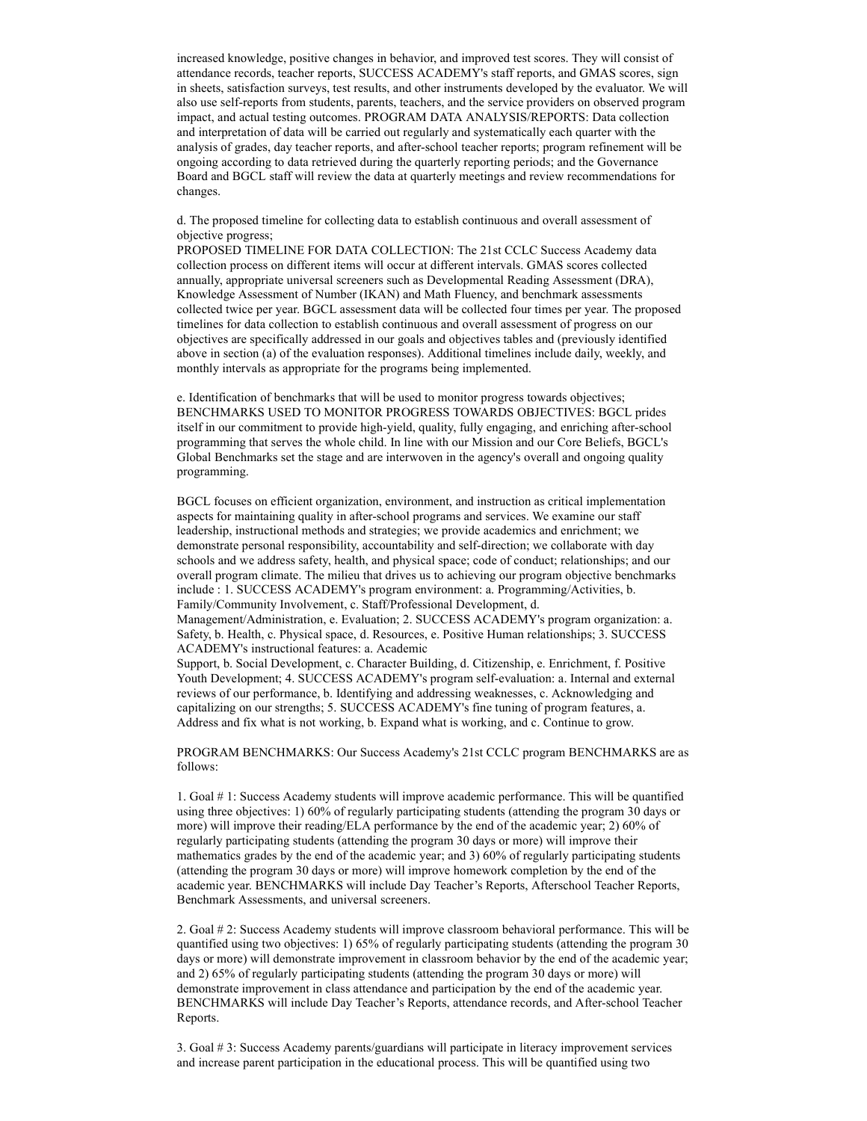increased knowledge, positive changes in behavior, and improved test scores. They will consist of attendance records, teacher reports, SUCCESS ACADEMY's staff reports, and GMAS scores, sign in sheets, satisfaction surveys, test results, and other instruments developed by the evaluator. We will also use self-reports from students, parents, teachers, and the service providers on observed program impact, and actual testing outcomes. PROGRAM DATA ANALYSIS/REPORTS: Data collection and interpretation of data will be carried out regularly and systematically each quarter with the analysis of grades, day teacher reports, and after-school teacher reports; program refinement will be ongoing according to data retrieved during the quarterly reporting periods; and the Governance Board and BGCL staff will review the data at quarterly meetings and review recommendations for changes.

d. The proposed timeline for collecting data to establish continuous and overall assessment of objective progress;

PROPOSED TIMELINE FOR DATA COLLECTION: The 21st CCLC Success Academy data collection process on different items will occur at different intervals. GMAS scores collected annually, appropriate universal screeners such as Developmental Reading Assessment (DRA), Knowledge Assessment of Number (IKAN) and Math Fluency, and benchmark assessments collected twice per year. BGCL assessment data will be collected four times per year. The proposed timelines for data collection to establish continuous and overall assessment of progress on our objectives are specifically addressed in our goals and objectives tables and (previously identified above in section (a) of the evaluation responses). Additional timelines include daily, weekly, and monthly intervals as appropriate for the programs being implemented.

e. Identification of benchmarks that will be used to monitor progress towards objectives; BENCHMARKS USED TO MONITOR PROGRESS TOWARDS OBJECTIVES: BGCL prides itself in our commitment to provide high-yield, quality, fully engaging, and enriching after-school programming that serves the whole child. In line with our Mission and our Core Beliefs, BGCL's Global Benchmarks set the stage and are interwoven in the agency's overall and ongoing quality programming.

BGCL focuses on efficient organization, environment, and instruction as critical implementation aspects for maintaining quality in after-school programs and services. We examine our staff leadership, instructional methods and strategies; we provide academics and enrichment; we demonstrate personal responsibility, accountability and self-direction; we collaborate with day schools and we address safety, health, and physical space; code of conduct; relationships; and our overall program climate. The milieu that drives us to achieving our program objective benchmarks include : 1. SUCCESS ACADEMY's program environment: a. Programming/Activities, b. Family/Community Involvement, c. Staff/Professional Development, d.

Management/Administration, e. Evaluation; 2. SUCCESS ACADEMY's program organization: a. Safety, b. Health, c. Physical space, d. Resources, e. Positive Human relationships; 3. SUCCESS ACADEMY's instructional features: a. Academic

Support, b. Social Development, c. Character Building, d. Citizenship, e. Enrichment, f. Positive Youth Development; 4. SUCCESS ACADEMY's program self-evaluation: a. Internal and external reviews of our performance, b. Identifying and addressing weaknesses, c. Acknowledging and capitalizing on our strengths; 5. SUCCESS ACADEMY's fine tuning of program features, a. Address and fix what is not working, b. Expand what is working, and c. Continue to grow.

PROGRAM BENCHMARKS: Our Success Academy's 21st CCLC program BENCHMARKS are as follows:

1. Goal # 1: Success Academy students will improve academic performance. This will be quantified using three objectives: 1) 60% of regularly participating students (attending the program 30 days or more) will improve their reading/ELA performance by the end of the academic year; 2) 60% of regularly participating students (attending the program 30 days or more) will improve their mathematics grades by the end of the academic year; and 3) 60% of regularly participating students (attending the program 30 days or more) will improve homework completion by the end of the academic year. BENCHMARKS will include Day Teacher's Reports, Afterschool Teacher Reports, Benchmark Assessments, and universal screeners.

2. Goal # 2: Success Academy students will improve classroom behavioral performance. This will be quantified using two objectives: 1) 65% of regularly participating students (attending the program 30 days or more) will demonstrate improvement in classroom behavior by the end of the academic year; and 2) 65% of regularly participating students (attending the program 30 days or more) will demonstrate improvement in class attendance and participation by the end of the academic year. BENCHMARKS will include Day Teacher's Reports, attendance records, and After-school Teacher Reports.

3. Goal # 3: Success Academy parents/guardians will participate in literacy improvement services and increase parent participation in the educational process. This will be quantified using two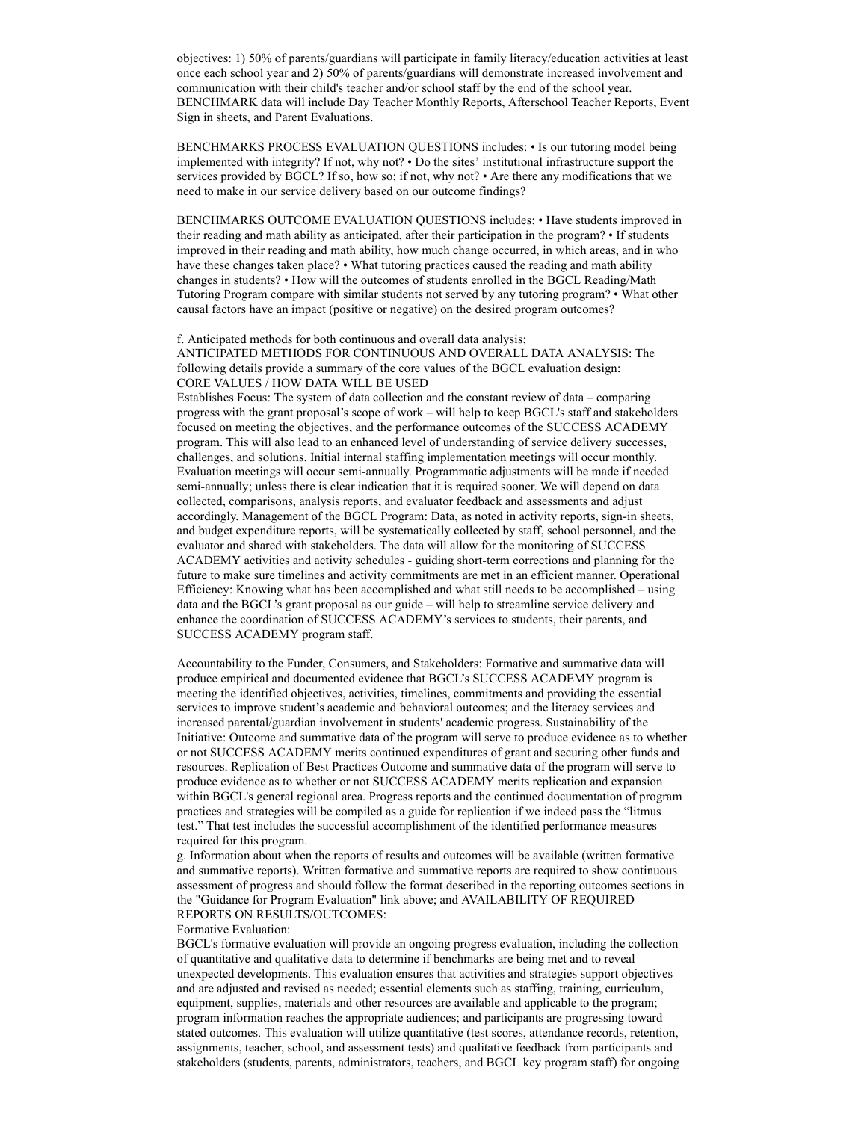objectives: 1) 50% of parents/guardians will participate in family literacy/education activities at least once each school year and 2) 50% of parents/guardians will demonstrate increased involvement and communication with their child's teacher and/or school staff by the end of the school year. BENCHMARK data will include Day Teacher Monthly Reports, Afterschool Teacher Reports, Event Sign in sheets, and Parent Evaluations.

BENCHMARKS PROCESS EVALUATION QUESTIONS includes: • Is our tutoring model being implemented with integrity? If not, why not? • Do the sites' institutional infrastructure support the services provided by BGCL? If so, how so; if not, why not? • Are there any modifications that we need to make in our service delivery based on our outcome findings?

BENCHMARKS OUTCOME EVALUATION QUESTIONS includes: • Have students improved in their reading and math ability as anticipated, after their participation in the program? • If students improved in their reading and math ability, how much change occurred, in which areas, and in who have these changes taken place? • What tutoring practices caused the reading and math ability changes in students? • How will the outcomes of students enrolled in the BGCL Reading/Math Tutoring Program compare with similar students not served by any tutoring program? • What other causal factors have an impact (positive or negative) on the desired program outcomes?

## f. Anticipated methods for both continuous and overall data analysis; ANTICIPATED METHODS FOR CONTINUOUS AND OVERALL DATA ANALYSIS: The following details provide a summary of the core values of the BGCL evaluation design: CORE VALUES / HOW DATA WILL BE USED

Establishes Focus: The system of data collection and the constant review of data – comparing progress with the grant proposal's scope of work – will help to keep BGCL's staff and stakeholders focused on meeting the objectives, and the performance outcomes of the SUCCESS ACADEMY program. This will also lead to an enhanced level of understanding of service delivery successes, challenges, and solutions. Initial internal staffing implementation meetings will occur monthly. Evaluation meetings will occur semi-annually. Programmatic adjustments will be made if needed semi-annually; unless there is clear indication that it is required sooner. We will depend on data collected, comparisons, analysis reports, and evaluator feedback and assessments and adjust accordingly. Management of the BGCL Program: Data, as noted in activity reports, sign-in sheets, and budget expenditure reports, will be systematically collected by staff, school personnel, and the evaluator and shared with stakeholders. The data will allow for the monitoring of SUCCESS ACADEMY activities and activity schedules - guiding short-term corrections and planning for the future to make sure timelines and activity commitments are met in an efficient manner. Operational Efficiency: Knowing what has been accomplished and what still needs to be accomplished – using data and the BGCL's grant proposal as our guide – will help to streamline service delivery and enhance the coordination of SUCCESS ACADEMY's services to students, their parents, and SUCCESS ACADEMY program staff.

Accountability to the Funder, Consumers, and Stakeholders: Formative and summative data will produce empirical and documented evidence that BGCL's SUCCESS ACADEMY program is meeting the identified objectives, activities, timelines, commitments and providing the essential services to improve student's academic and behavioral outcomes; and the literacy services and increased parental/guardian involvement in students' academic progress. Sustainability of the Initiative: Outcome and summative data of the program will serve to produce evidence as to whether or not SUCCESS ACADEMY merits continued expenditures of grant and securing other funds and resources. Replication of Best Practices Outcome and summative data of the program will serve to produce evidence as to whether or not SUCCESS ACADEMY merits replication and expansion within BGCL's general regional area. Progress reports and the continued documentation of program practices and strategies will be compiled as a guide for replication if we indeed pass the "litmus test." That test includes the successful accomplishment of the identified performance measures required for this program.

g. Information about when the reports of results and outcomes will be available (written formative and summative reports). Written formative and summative reports are required to show continuous assessment of progress and should follow the format described in the reporting outcomes sections in the "Guidance for Program Evaluation" link above; and AVAILABILITY OF REQUIRED REPORTS ON RESULTS/OUTCOMES:

#### Formative Evaluation:

BGCL's formative evaluation will provide an ongoing progress evaluation, including the collection of quantitative and qualitative data to determine if benchmarks are being met and to reveal unexpected developments. This evaluation ensures that activities and strategies support objectives and are adjusted and revised as needed; essential elements such as staffing, training, curriculum, equipment, supplies, materials and other resources are available and applicable to the program; program information reaches the appropriate audiences; and participants are progressing toward stated outcomes. This evaluation will utilize quantitative (test scores, attendance records, retention, assignments, teacher, school, and assessment tests) and qualitative feedback from participants and stakeholders (students, parents, administrators, teachers, and BGCL key program staff) for ongoing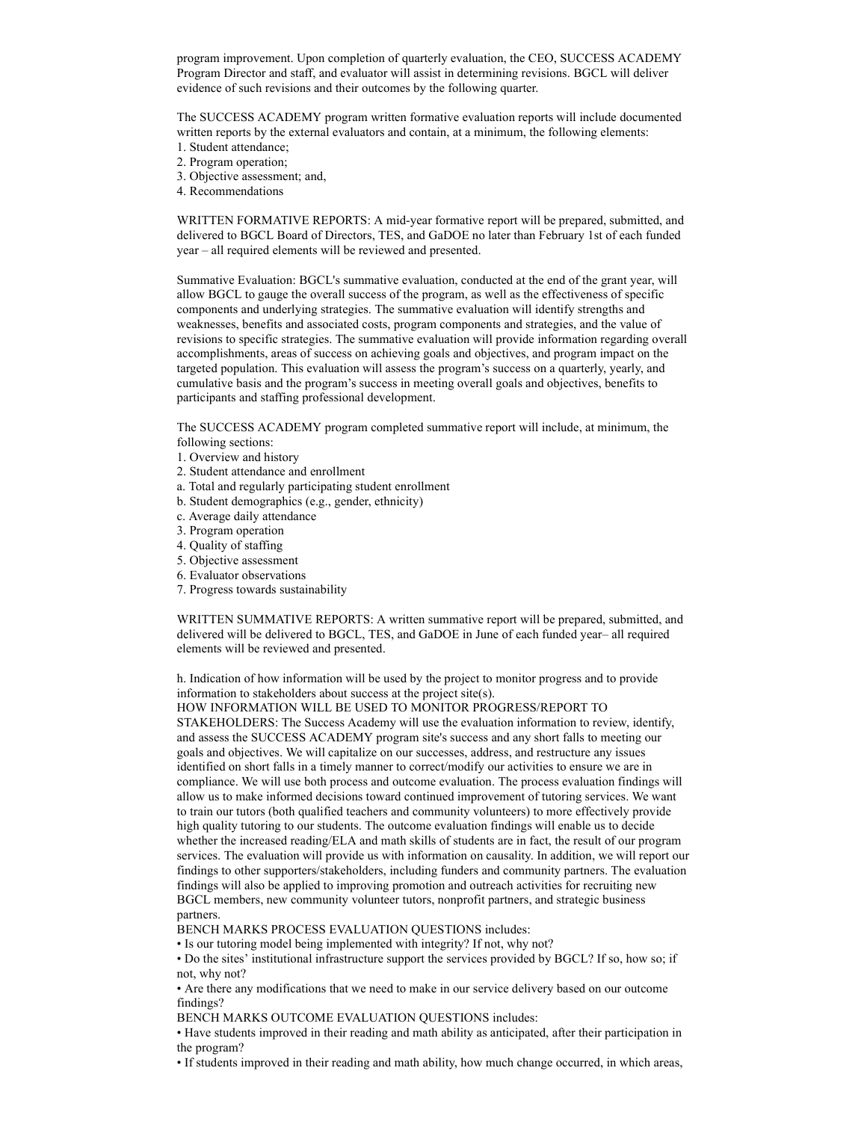program improvement. Upon completion of quarterly evaluation, the CEO, SUCCESS ACADEMY Program Director and staff, and evaluator will assist in determining revisions. BGCL will deliver evidence of such revisions and their outcomes by the following quarter.

The SUCCESS ACADEMY program written formative evaluation reports will include documented written reports by the external evaluators and contain, at a minimum, the following elements:

- 1. Student attendance;
- 2. Program operation;
- 3. Objective assessment; and,
- 4. Recommendations

WRITTEN FORMATIVE REPORTS: A mid-year formative report will be prepared, submitted, and delivered to BGCL Board of Directors, TES, and GaDOE no later than February 1st of each funded year – all required elements will be reviewed and presented.

Summative Evaluation: BGCL's summative evaluation, conducted at the end of the grant year, will allow BGCL to gauge the overall success of the program, as well as the effectiveness of specific components and underlying strategies. The summative evaluation will identify strengths and weaknesses, benefits and associated costs, program components and strategies, and the value of revisions to specific strategies. The summative evaluation will provide information regarding overall accomplishments, areas of success on achieving goals and objectives, and program impact on the targeted population. This evaluation will assess the program's success on a quarterly, yearly, and cumulative basis and the program's success in meeting overall goals and objectives, benefits to participants and staffing professional development.

The SUCCESS ACADEMY program completed summative report will include, at minimum, the following sections:

- 1. Overview and history
- 2. Student attendance and enrollment
- a. Total and regularly participating student enrollment
- b. Student demographics (e.g., gender, ethnicity)
- c. Average daily attendance
- 3. Program operation
- 4. Quality of staffing
- 5. Objective assessment
- 6. Evaluator observations
- 7. Progress towards sustainability

WRITTEN SUMMATIVE REPORTS: A written summative report will be prepared, submitted, and delivered will be delivered to BGCL, TES, and GaDOE in June of each funded year– all required elements will be reviewed and presented.

h. Indication of how information will be used by the project to monitor progress and to provide information to stakeholders about success at the project site(s).

HOW INFORMATION WILL BE USED TO MONITOR PROGRESS/REPORT TO

STAKEHOLDERS: The Success Academy will use the evaluation information to review, identify, and assess the SUCCESS ACADEMY program site's success and any short falls to meeting our goals and objectives. We will capitalize on our successes, address, and restructure any issues identified on short falls in a timely manner to correct/modify our activities to ensure we are in compliance. We will use both process and outcome evaluation. The process evaluation findings will allow us to make informed decisions toward continued improvement of tutoring services. We want to train our tutors (both qualified teachers and community volunteers) to more effectively provide high quality tutoring to our students. The outcome evaluation findings will enable us to decide whether the increased reading/ELA and math skills of students are in fact, the result of our program services. The evaluation will provide us with information on causality. In addition, we will report our findings to other supporters/stakeholders, including funders and community partners. The evaluation findings will also be applied to improving promotion and outreach activities for recruiting new BGCL members, new community volunteer tutors, nonprofit partners, and strategic business partners.

BENCH MARKS PROCESS EVALUATION QUESTIONS includes:

• Is our tutoring model being implemented with integrity? If not, why not?

• Do the sites' institutional infrastructure support the services provided by BGCL? If so, how so; if not, why not?

• Are there any modifications that we need to make in our service delivery based on our outcome findings?

BENCH MARKS OUTCOME EVALUATION QUESTIONS includes:

• Have students improved in their reading and math ability as anticipated, after their participation in the program?

• If students improved in their reading and math ability, how much change occurred, in which areas,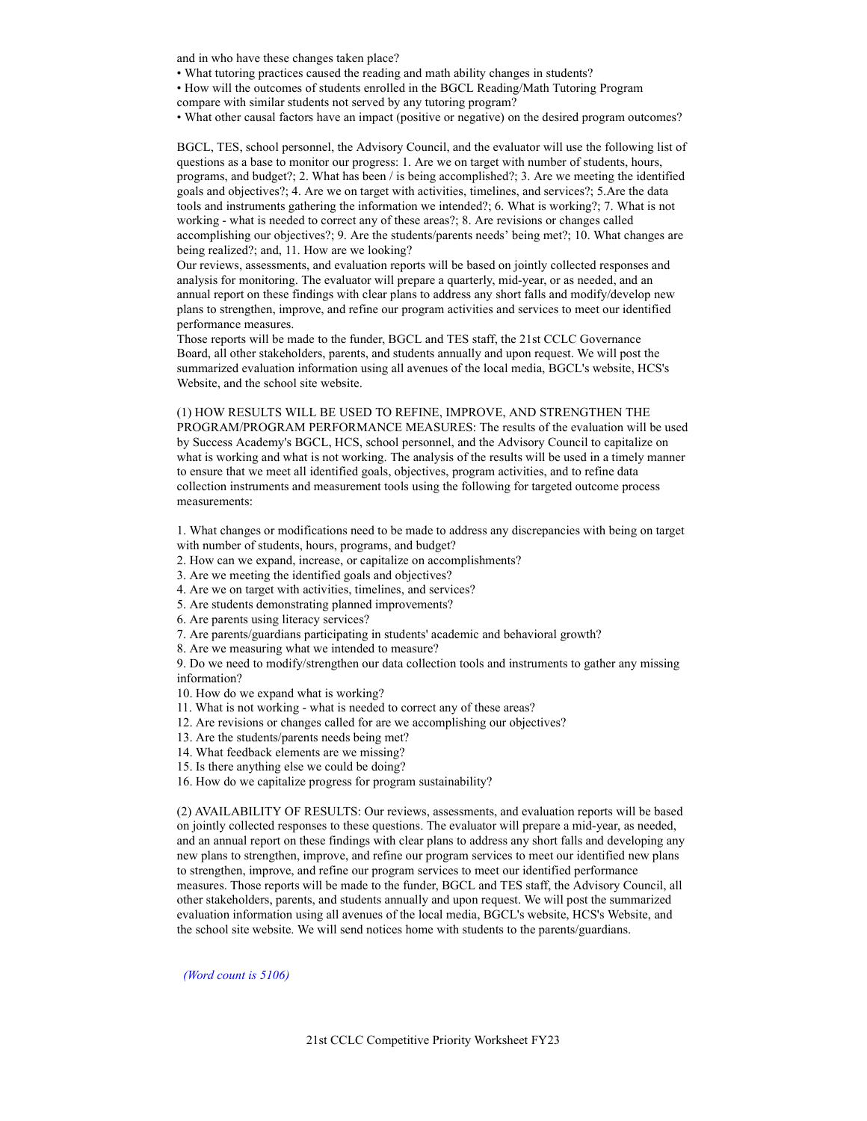and in who have these changes taken place?

• What tutoring practices caused the reading and math ability changes in students?

• How will the outcomes of students enrolled in the BGCL Reading/Math Tutoring Program compare with similar students not served by any tutoring program?

• What other causal factors have an impact (positive or negative) on the desired program outcomes?

BGCL, TES, school personnel, the Advisory Council, and the evaluator will use the following list of questions as a base to monitor our progress: 1. Are we on target with number of students, hours, programs, and budget?; 2. What has been / is being accomplished?; 3. Are we meeting the identified goals and objectives?; 4. Are we on target with activities, timelines, and services?; 5.Are the data tools and instruments gathering the information we intended?; 6. What is working?; 7. What is not working - what is needed to correct any of these areas?; 8. Are revisions or changes called accomplishing our objectives?; 9. Are the students/parents needs' being met?; 10. What changes are being realized?; and, 11. How are we looking?

Our reviews, assessments, and evaluation reports will be based on jointly collected responses and analysis for monitoring. The evaluator will prepare a quarterly, mid-year, or as needed, and an annual report on these findings with clear plans to address any short falls and modify/develop new plans to strengthen, improve, and refine our program activities and services to meet our identified performance measures.

Those reports will be made to the funder, BGCL and TES staff, the 21st CCLC Governance Board, all other stakeholders, parents, and students annually and upon request. We will post the summarized evaluation information using all avenues of the local media, BGCL's website, HCS's Website, and the school site website.

(1) HOW RESULTS WILL BE USED TO REFINE, IMPROVE, AND STRENGTHEN THE PROGRAM/PROGRAM PERFORMANCE MEASURES: The results of the evaluation will be used by Success Academy's BGCL, HCS, school personnel, and the Advisory Council to capitalize on what is working and what is not working. The analysis of the results will be used in a timely manner to ensure that we meet all identified goals, objectives, program activities, and to refine data collection instruments and measurement tools using the following for targeted outcome process measurements:

1. What changes or modifications need to be made to address any discrepancies with being on target with number of students, hours, programs, and budget?

- 2. How can we expand, increase, or capitalize on accomplishments?
- 3. Are we meeting the identified goals and objectives?
- 4. Are we on target with activities, timelines, and services?
- 5. Are students demonstrating planned improvements?
- 6. Are parents using literacy services?
- 7. Are parents/guardians participating in students' academic and behavioral growth?
- 8. Are we measuring what we intended to measure?

9. Do we need to modify/strengthen our data collection tools and instruments to gather any missing information?

- 10. How do we expand what is working?
- 11. What is not working what is needed to correct any of these areas?
- 12. Are revisions or changes called for are we accomplishing our objectives?
- 13. Are the students/parents needs being met?
- 14. What feedback elements are we missing?
- 15. Is there anything else we could be doing?
- 16. How do we capitalize progress for program sustainability?

(2) AVAILABILITY OF RESULTS: Our reviews, assessments, and evaluation reports will be based on jointly collected responses to these questions. The evaluator will prepare a mid-year, as needed, and an annual report on these findings with clear plans to address any short falls and developing any new plans to strengthen, improve, and refine our program services to meet our identified new plans to strengthen, improve, and refine our program services to meet our identified performance measures. Those reports will be made to the funder, BGCL and TES staff, the Advisory Council, all other stakeholders, parents, and students annually and upon request. We will post the summarized evaluation information using all avenues of the local media, BGCL's website, HCS's Website, and the school site website. We will send notices home with students to the parents/guardians.

(Word count is 5106)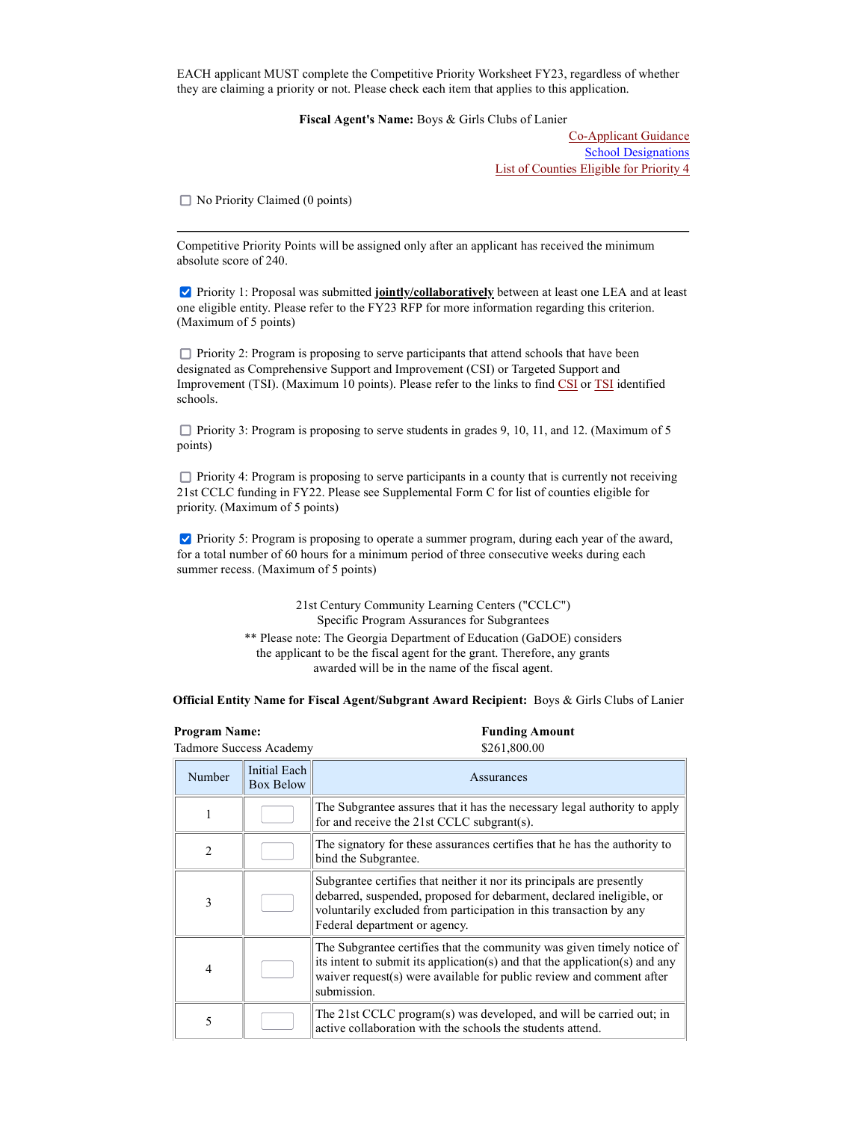EACH applicant MUST complete the Competitive Priority Worksheet FY23, regardless of whether they are claiming a priority or not. Please check each item that applies to this application.

Fiscal Agent's Name: Boys & Girls Clubs of Lanier

Co-Applicant Guidance School Designations List of Counties Eligible for Priority 4

 $\Box$  No Priority Claimed (0 points)

Competitive Priority Points will be assigned only after an applicant has received the minimum absolute score of 240.

**Priority 1: Proposal was submitted jointly/collaboratively** between at least one LEA and at least one eligible entity. Please refer to the FY23 RFP for more information regarding this criterion. (Maximum of 5 points)

 $\Box$  Priority 2: Program is proposing to serve participants that attend schools that have been designated as Comprehensive Support and Improvement (CSI) or Targeted Support and Improvement (TSI). (Maximum 10 points). Please refer to the links to find CSI or TSI identified schools.

 $\Box$  Priority 3: Program is proposing to serve students in grades 9, 10, 11, and 12. (Maximum of 5 points)

 $\Box$  Priority 4: Program is proposing to serve participants in a county that is currently not receiving 21st CCLC funding in FY22. Please see Supplemental Form C for list of counties eligible for priority. (Maximum of 5 points)

**Priority 5: Program is proposing to operate a summer program, during each year of the award,** for a total number of 60 hours for a minimum period of three consecutive weeks during each summer recess. (Maximum of 5 points)

> 21st Century Community Learning Centers ("CCLC") Specific Program Assurances for Subgrantees \*\* Please note: The Georgia Department of Education (GaDOE) considers the applicant to be the fiscal agent for the grant. Therefore, any grants awarded will be in the name of the fiscal agent.

Official Entity Name for Fiscal Agent/Subgrant Award Recipient: Boys & Girls Clubs of Lanier

| <b>Program Name:</b>    | <b>Funding Amount</b> |
|-------------------------|-----------------------|
| Tadmore Success Academy | \$261,800.00          |

| Number         | Initial Each<br><b>Box Below</b> | Assurances                                                                                                                                                                                                                                           |  |
|----------------|----------------------------------|------------------------------------------------------------------------------------------------------------------------------------------------------------------------------------------------------------------------------------------------------|--|
|                |                                  | The Subgrantee assures that it has the necessary legal authority to apply<br>for and receive the 21st CCLC subgrant(s).                                                                                                                              |  |
| $\mathfrak{D}$ |                                  | The signatory for these assurances certifies that he has the authority to<br>bind the Subgrantee.                                                                                                                                                    |  |
| 3              |                                  | Subgrantee certifies that neither it nor its principals are presently<br>debarred, suspended, proposed for debarment, declared ineligible, or<br>voluntarily excluded from participation in this transaction by any<br>Federal department or agency. |  |
| $\overline{4}$ |                                  | The Subgrantee certifies that the community was given timely notice of<br>its intent to submit its application(s) and that the application(s) and any<br>waiver request(s) were available for public review and comment after<br>submission.         |  |
| 5              |                                  | The 21st CCLC program(s) was developed, and will be carried out; in<br>active collaboration with the schools the students attend.                                                                                                                    |  |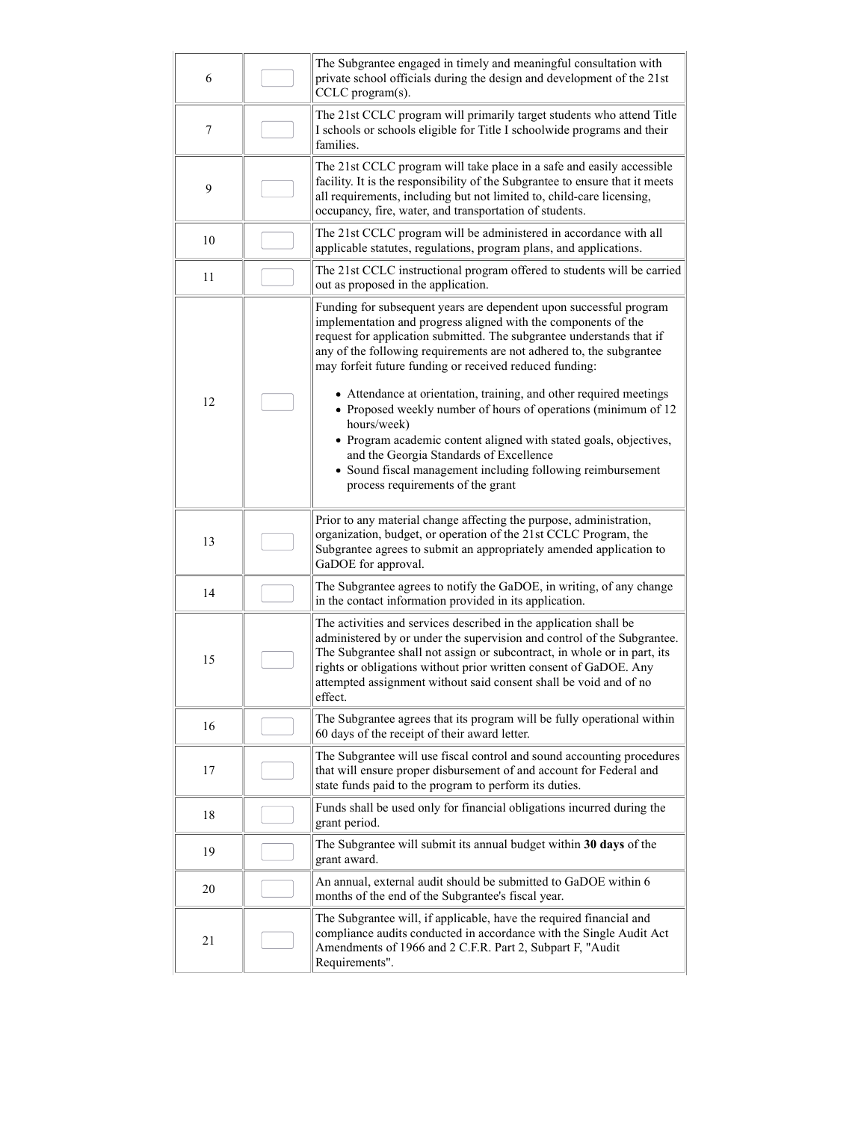| 6  | The Subgrantee engaged in timely and meaningful consultation with<br>private school officials during the design and development of the 21st<br>CCLC program(s).                                                                                                                                                                                                                                                                                                                                                                                                                                                                                                                                                             |
|----|-----------------------------------------------------------------------------------------------------------------------------------------------------------------------------------------------------------------------------------------------------------------------------------------------------------------------------------------------------------------------------------------------------------------------------------------------------------------------------------------------------------------------------------------------------------------------------------------------------------------------------------------------------------------------------------------------------------------------------|
| 7  | The 21st CCLC program will primarily target students who attend Title<br>I schools or schools eligible for Title I schoolwide programs and their<br>families.                                                                                                                                                                                                                                                                                                                                                                                                                                                                                                                                                               |
| 9  | The 21st CCLC program will take place in a safe and easily accessible<br>facility. It is the responsibility of the Subgrantee to ensure that it meets<br>all requirements, including but not limited to, child-care licensing,<br>occupancy, fire, water, and transportation of students.                                                                                                                                                                                                                                                                                                                                                                                                                                   |
| 10 | The 21st CCLC program will be administered in accordance with all<br>applicable statutes, regulations, program plans, and applications.                                                                                                                                                                                                                                                                                                                                                                                                                                                                                                                                                                                     |
| 11 | The 21st CCLC instructional program offered to students will be carried<br>out as proposed in the application.                                                                                                                                                                                                                                                                                                                                                                                                                                                                                                                                                                                                              |
| 12 | Funding for subsequent years are dependent upon successful program<br>implementation and progress aligned with the components of the<br>request for application submitted. The subgrantee understands that if<br>any of the following requirements are not adhered to, the subgrantee<br>may forfeit future funding or received reduced funding:<br>• Attendance at orientation, training, and other required meetings<br>• Proposed weekly number of hours of operations (minimum of 12<br>hours/week)<br>• Program academic content aligned with stated goals, objectives,<br>and the Georgia Standards of Excellence<br>• Sound fiscal management including following reimbursement<br>process requirements of the grant |
| 13 | Prior to any material change affecting the purpose, administration,<br>organization, budget, or operation of the 21st CCLC Program, the<br>Subgrantee agrees to submit an appropriately amended application to<br>GaDOE for approval.                                                                                                                                                                                                                                                                                                                                                                                                                                                                                       |
| 14 | The Subgrantee agrees to notify the GaDOE, in writing, of any change<br>in the contact information provided in its application.                                                                                                                                                                                                                                                                                                                                                                                                                                                                                                                                                                                             |
| 15 | The activities and services described in the application shall be<br>administered by or under the supervision and control of the Subgrantee.<br>The Subgrantee shall not assign or subcontract, in whole or in part, its<br>rights or obligations without prior written consent of GaDOE. Any<br>attempted assignment without said consent shall be void and of no<br>effect.                                                                                                                                                                                                                                                                                                                                               |
| 16 | The Subgrantee agrees that its program will be fully operational within<br>60 days of the receipt of their award letter.                                                                                                                                                                                                                                                                                                                                                                                                                                                                                                                                                                                                    |
| 17 | The Subgrantee will use fiscal control and sound accounting procedures<br>that will ensure proper disbursement of and account for Federal and<br>state funds paid to the program to perform its duties.                                                                                                                                                                                                                                                                                                                                                                                                                                                                                                                     |
| 18 | Funds shall be used only for financial obligations incurred during the<br>grant period.                                                                                                                                                                                                                                                                                                                                                                                                                                                                                                                                                                                                                                     |
| 19 | The Subgrantee will submit its annual budget within 30 days of the<br>grant award.                                                                                                                                                                                                                                                                                                                                                                                                                                                                                                                                                                                                                                          |
| 20 | An annual, external audit should be submitted to GaDOE within 6<br>months of the end of the Subgrantee's fiscal year.                                                                                                                                                                                                                                                                                                                                                                                                                                                                                                                                                                                                       |
| 21 | The Subgrantee will, if applicable, have the required financial and<br>compliance audits conducted in accordance with the Single Audit Act<br>Amendments of 1966 and 2 C.F.R. Part 2, Subpart F, "Audit<br>Requirements".                                                                                                                                                                                                                                                                                                                                                                                                                                                                                                   |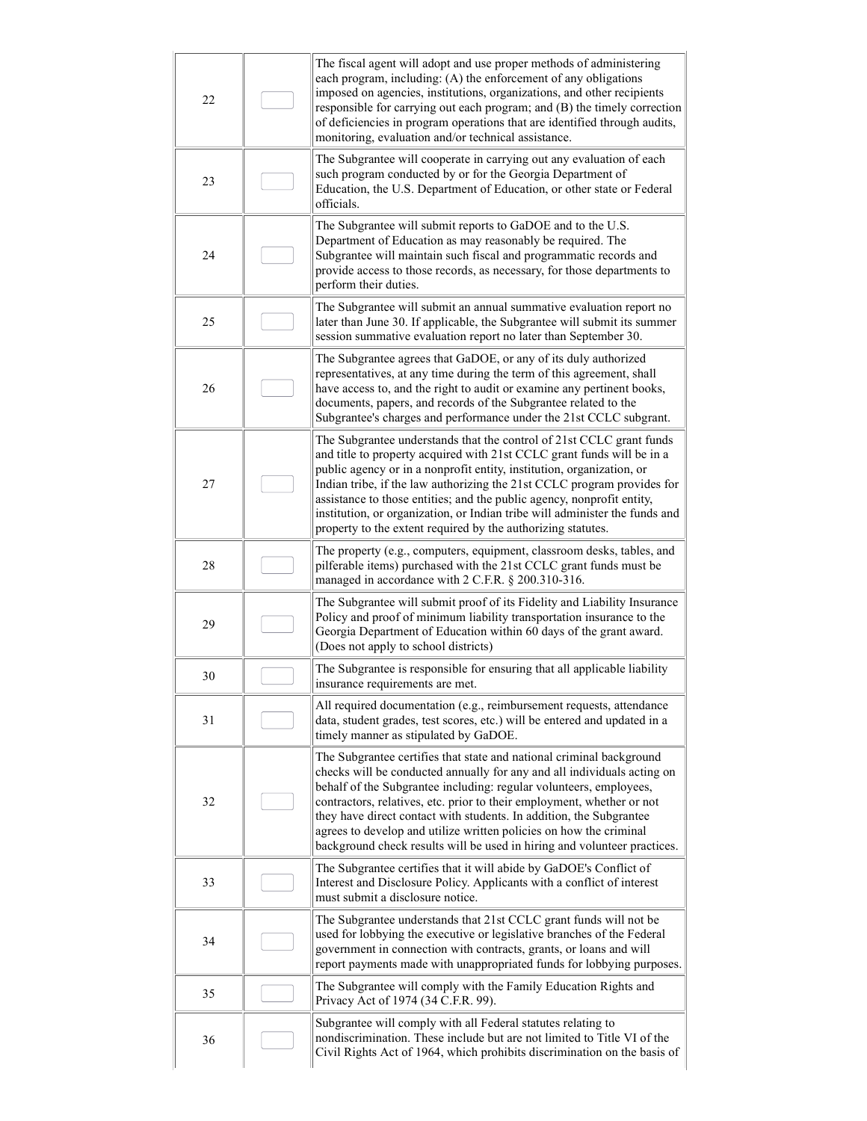| 22 | The fiscal agent will adopt and use proper methods of administering<br>each program, including: (A) the enforcement of any obligations<br>imposed on agencies, institutions, organizations, and other recipients<br>responsible for carrying out each program; and (B) the timely correction<br>of deficiencies in program operations that are identified through audits,<br>monitoring, evaluation and/or technical assistance.                                                                                            |
|----|-----------------------------------------------------------------------------------------------------------------------------------------------------------------------------------------------------------------------------------------------------------------------------------------------------------------------------------------------------------------------------------------------------------------------------------------------------------------------------------------------------------------------------|
| 23 | The Subgrantee will cooperate in carrying out any evaluation of each<br>such program conducted by or for the Georgia Department of<br>Education, the U.S. Department of Education, or other state or Federal<br>officials.                                                                                                                                                                                                                                                                                                  |
| 24 | The Subgrantee will submit reports to GaDOE and to the U.S.<br>Department of Education as may reasonably be required. The<br>Subgrantee will maintain such fiscal and programmatic records and<br>provide access to those records, as necessary, for those departments to<br>perform their duties.                                                                                                                                                                                                                          |
| 25 | The Subgrantee will submit an annual summative evaluation report no<br>later than June 30. If applicable, the Subgrantee will submit its summer<br>session summative evaluation report no later than September 30.                                                                                                                                                                                                                                                                                                          |
| 26 | The Subgrantee agrees that GaDOE, or any of its duly authorized<br>representatives, at any time during the term of this agreement, shall<br>have access to, and the right to audit or examine any pertinent books,<br>documents, papers, and records of the Subgrantee related to the<br>Subgrantee's charges and performance under the 21st CCLC subgrant.                                                                                                                                                                 |
| 27 | The Subgrantee understands that the control of 21st CCLC grant funds<br>and title to property acquired with 21st CCLC grant funds will be in a<br>public agency or in a nonprofit entity, institution, organization, or<br>Indian tribe, if the law authorizing the 21st CCLC program provides for<br>assistance to those entities; and the public agency, nonprofit entity,<br>institution, or organization, or Indian tribe will administer the funds and<br>property to the extent required by the authorizing statutes. |
| 28 | The property (e.g., computers, equipment, classroom desks, tables, and<br>pilferable items) purchased with the 21st CCLC grant funds must be<br>managed in accordance with 2 C.F.R. § 200.310-316.                                                                                                                                                                                                                                                                                                                          |
| 29 | The Subgrantee will submit proof of its Fidelity and Liability Insurance<br>Policy and proof of minimum liability transportation insurance to the<br>Georgia Department of Education within 60 days of the grant award.<br>(Does not apply to school districts)                                                                                                                                                                                                                                                             |
| 30 | The Subgrantee is responsible for ensuring that all applicable liability<br>insurance requirements are met.                                                                                                                                                                                                                                                                                                                                                                                                                 |
| 31 | All required documentation (e.g., reimbursement requests, attendance<br>data, student grades, test scores, etc.) will be entered and updated in a<br>timely manner as stipulated by GaDOE.                                                                                                                                                                                                                                                                                                                                  |
| 32 | The Subgrantee certifies that state and national criminal background<br>checks will be conducted annually for any and all individuals acting on<br>behalf of the Subgrantee including: regular volunteers, employees,<br>contractors, relatives, etc. prior to their employment, whether or not<br>they have direct contact with students. In addition, the Subgrantee<br>agrees to develop and utilize written policies on how the criminal<br>background check results will be used in hiring and volunteer practices.    |
| 33 | The Subgrantee certifies that it will abide by GaDOE's Conflict of<br>Interest and Disclosure Policy. Applicants with a conflict of interest<br>must submit a disclosure notice.                                                                                                                                                                                                                                                                                                                                            |
| 34 | The Subgrantee understands that 21st CCLC grant funds will not be<br>used for lobbying the executive or legislative branches of the Federal<br>government in connection with contracts, grants, or loans and will<br>report payments made with unappropriated funds for lobbying purposes.                                                                                                                                                                                                                                  |
| 35 | The Subgrantee will comply with the Family Education Rights and<br>Privacy Act of 1974 (34 C.F.R. 99).                                                                                                                                                                                                                                                                                                                                                                                                                      |
| 36 | Subgrantee will comply with all Federal statutes relating to<br>nondiscrimination. These include but are not limited to Title VI of the<br>Civil Rights Act of 1964, which prohibits discrimination on the basis of                                                                                                                                                                                                                                                                                                         |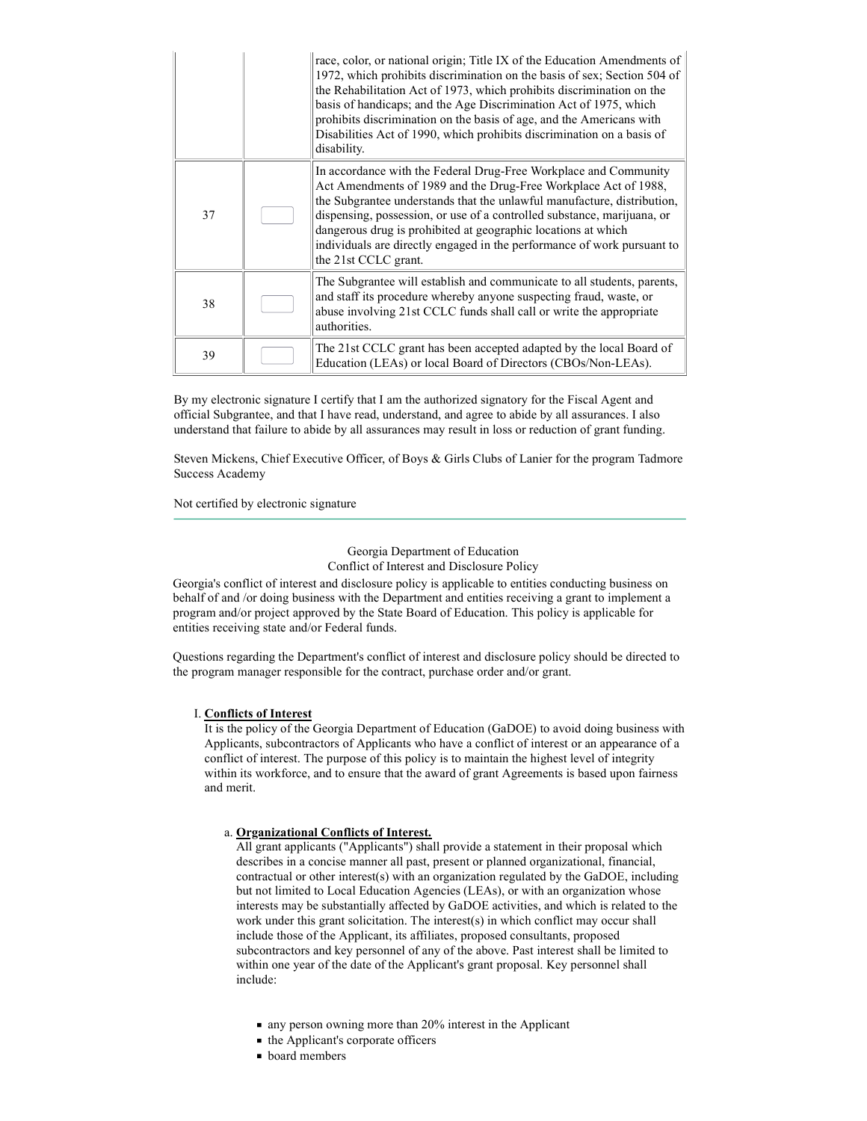|    | race, color, or national origin; Title IX of the Education Amendments of<br>1972, which prohibits discrimination on the basis of sex; Section 504 of<br>the Rehabilitation Act of 1973, which prohibits discrimination on the<br>basis of handicaps; and the Age Discrimination Act of 1975, which<br>prohibits discrimination on the basis of age, and the Americans with<br>Disabilities Act of 1990, which prohibits discrimination on a basis of<br>disability. |
|----|---------------------------------------------------------------------------------------------------------------------------------------------------------------------------------------------------------------------------------------------------------------------------------------------------------------------------------------------------------------------------------------------------------------------------------------------------------------------|
| 37 | In accordance with the Federal Drug-Free Workplace and Community<br>Act Amendments of 1989 and the Drug-Free Workplace Act of 1988,<br>the Subgrantee understands that the unlawful manufacture, distribution,<br>dispensing, possession, or use of a controlled substance, marijuana, or<br>dangerous drug is prohibited at geographic locations at which<br>individuals are directly engaged in the performance of work pursuant to<br>the 21st CCLC grant.       |
| 38 | The Subgrantee will establish and communicate to all students, parents,<br>and staff its procedure whereby anyone suspecting fraud, waste, or<br>abuse involving 21st CCLC funds shall call or write the appropriate<br>authorities.                                                                                                                                                                                                                                |
| 39 | The 21st CCLC grant has been accepted adapted by the local Board of<br>Education (LEAs) or local Board of Directors (CBOs/Non-LEAs).                                                                                                                                                                                                                                                                                                                                |

By my electronic signature I certify that I am the authorized signatory for the Fiscal Agent and official Subgrantee, and that I have read, understand, and agree to abide by all assurances. I also understand that failure to abide by all assurances may result in loss or reduction of grant funding.

Steven Mickens, Chief Executive Officer, of Boys & Girls Clubs of Lanier for the program Tadmore Success Academy

Not certified by electronic signature

Georgia Department of Education Conflict of Interest and Disclosure Policy

Georgia's conflict of interest and disclosure policy is applicable to entities conducting business on behalf of and /or doing business with the Department and entities receiving a grant to implement a program and/or project approved by the State Board of Education. This policy is applicable for entities receiving state and/or Federal funds.

Questions regarding the Department's conflict of interest and disclosure policy should be directed to the program manager responsible for the contract, purchase order and/or grant.

#### I. Conflicts of Interest

It is the policy of the Georgia Department of Education (GaDOE) to avoid doing business with Applicants, subcontractors of Applicants who have a conflict of interest or an appearance of a conflict of interest. The purpose of this policy is to maintain the highest level of integrity within its workforce, and to ensure that the award of grant Agreements is based upon fairness and merit.

#### a. Organizational Conflicts of Interest.

All grant applicants ("Applicants") shall provide a statement in their proposal which describes in a concise manner all past, present or planned organizational, financial, contractual or other interest(s) with an organization regulated by the GaDOE, including but not limited to Local Education Agencies (LEAs), or with an organization whose interests may be substantially affected by GaDOE activities, and which is related to the work under this grant solicitation. The interest(s) in which conflict may occur shall include those of the Applicant, its affiliates, proposed consultants, proposed subcontractors and key personnel of any of the above. Past interest shall be limited to within one year of the date of the Applicant's grant proposal. Key personnel shall include:

- $\blacksquare$  any person owning more than 20% interest in the Applicant
- the Applicant's corporate officers
- **board members**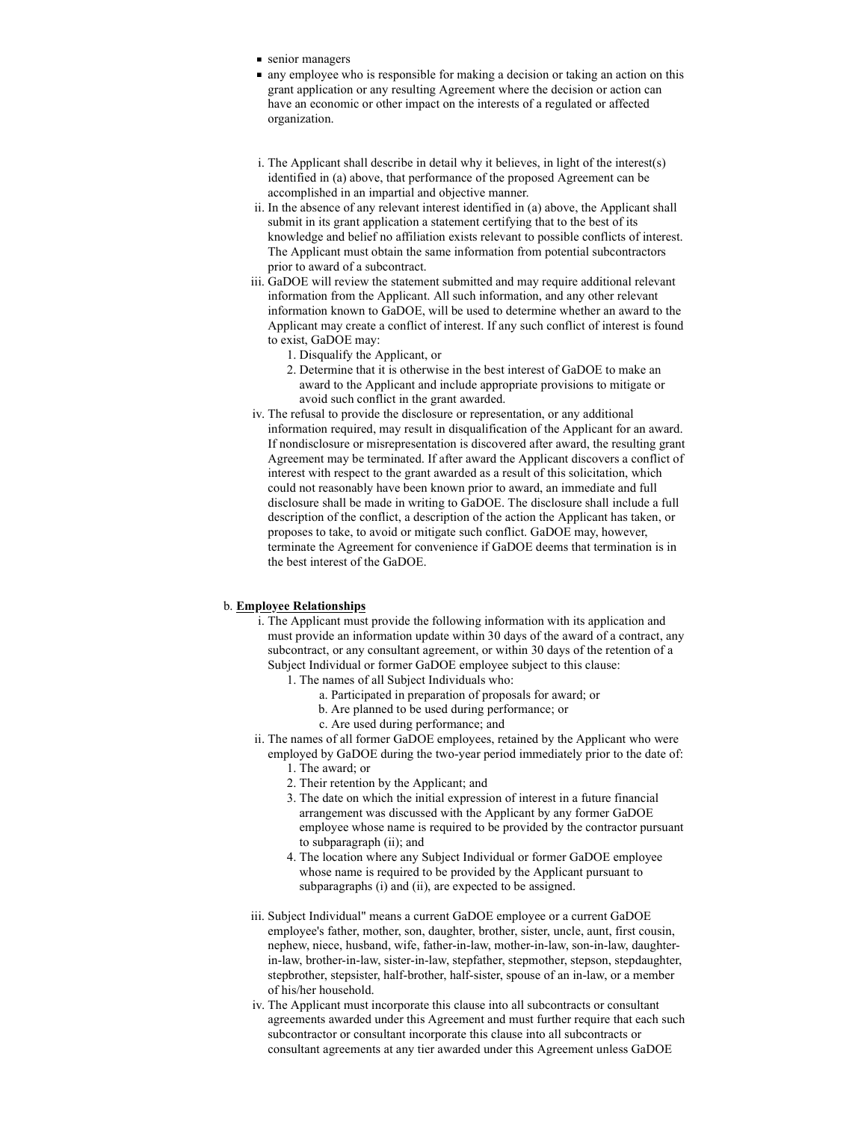- senior managers
- any employee who is responsible for making a decision or taking an action on this grant application or any resulting Agreement where the decision or action can have an economic or other impact on the interests of a regulated or affected organization.
- i. The Applicant shall describe in detail why it believes, in light of the interest(s) identified in (a) above, that performance of the proposed Agreement can be accomplished in an impartial and objective manner.
- ii. In the absence of any relevant interest identified in (a) above, the Applicant shall submit in its grant application a statement certifying that to the best of its knowledge and belief no affiliation exists relevant to possible conflicts of interest. The Applicant must obtain the same information from potential subcontractors prior to award of a subcontract.
- iii. GaDOE will review the statement submitted and may require additional relevant information from the Applicant. All such information, and any other relevant information known to GaDOE, will be used to determine whether an award to the Applicant may create a conflict of interest. If any such conflict of interest is found to exist, GaDOE may:
	- 1. Disqualify the Applicant, or
	- 2. Determine that it is otherwise in the best interest of GaDOE to make an award to the Applicant and include appropriate provisions to mitigate or avoid such conflict in the grant awarded.
- iv. The refusal to provide the disclosure or representation, or any additional information required, may result in disqualification of the Applicant for an award. If nondisclosure or misrepresentation is discovered after award, the resulting grant Agreement may be terminated. If after award the Applicant discovers a conflict of interest with respect to the grant awarded as a result of this solicitation, which could not reasonably have been known prior to award, an immediate and full disclosure shall be made in writing to GaDOE. The disclosure shall include a full description of the conflict, a description of the action the Applicant has taken, or proposes to take, to avoid or mitigate such conflict. GaDOE may, however, terminate the Agreement for convenience if GaDOE deems that termination is in the best interest of the GaDOE.

# b. Employee Relationships

- i. The Applicant must provide the following information with its application and must provide an information update within 30 days of the award of a contract, any subcontract, or any consultant agreement, or within 30 days of the retention of a Subject Individual or former GaDOE employee subject to this clause: 1. The names of all Subject Individuals who:
	- - a. Participated in preparation of proposals for award; or b. Are planned to be used during performance; or
		-
		- c. Are used during performance; and
- ii. The names of all former GaDOE employees, retained by the Applicant who were employed by GaDOE during the two-year period immediately prior to the date of:
	- 1. The award; or
	- 2. Their retention by the Applicant; and
	- 3. The date on which the initial expression of interest in a future financial arrangement was discussed with the Applicant by any former GaDOE employee whose name is required to be provided by the contractor pursuant to subparagraph (ii); and
	- 4. The location where any Subject Individual or former GaDOE employee whose name is required to be provided by the Applicant pursuant to subparagraphs (i) and (ii), are expected to be assigned.
- iii. Subject Individual" means a current GaDOE employee or a current GaDOE employee's father, mother, son, daughter, brother, sister, uncle, aunt, first cousin, nephew, niece, husband, wife, father-in-law, mother-in-law, son-in-law, daughterin-law, brother-in-law, sister-in-law, stepfather, stepmother, stepson, stepdaughter, stepbrother, stepsister, half-brother, half-sister, spouse of an in-law, or a member of his/her household.
- iv. The Applicant must incorporate this clause into all subcontracts or consultant agreements awarded under this Agreement and must further require that each such subcontractor or consultant incorporate this clause into all subcontracts or consultant agreements at any tier awarded under this Agreement unless GaDOE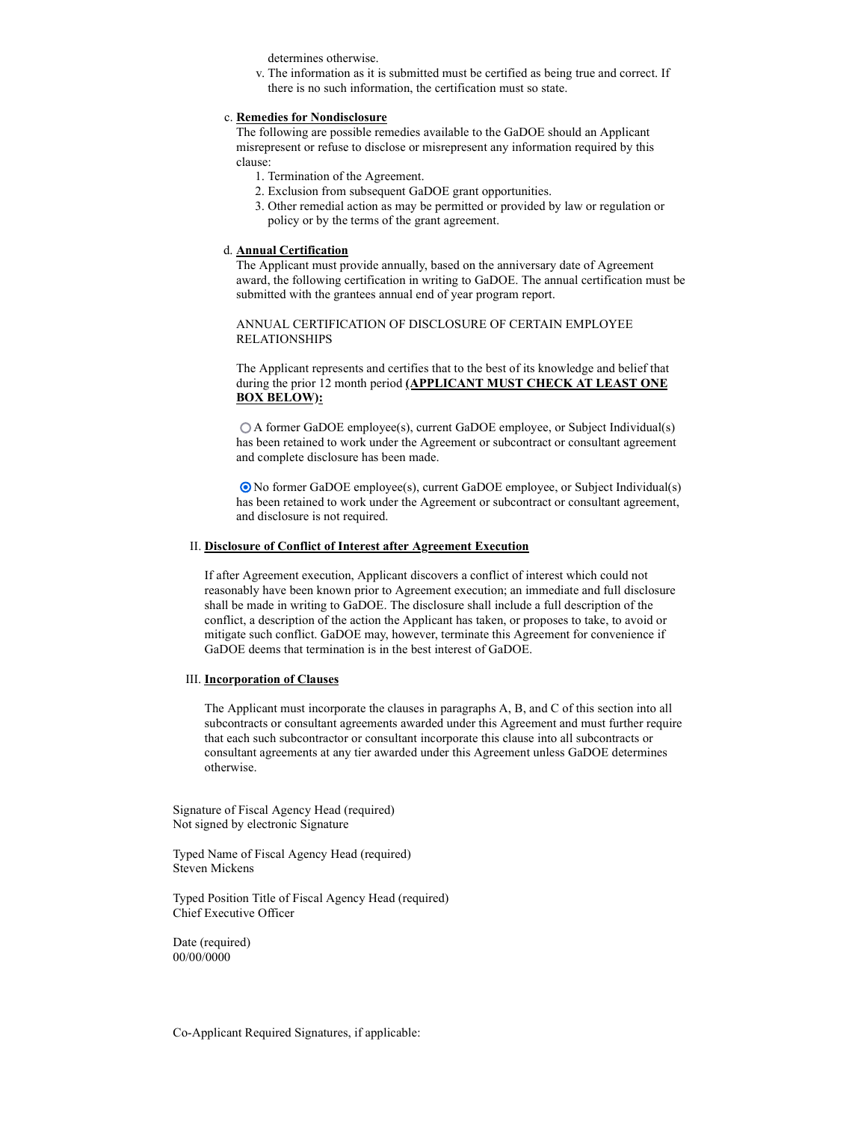determines otherwise.

v. The information as it is submitted must be certified as being true and correct. If there is no such information, the certification must so state.

#### c. Remedies for Nondisclosure

The following are possible remedies available to the GaDOE should an Applicant misrepresent or refuse to disclose or misrepresent any information required by this clause:

- 1. Termination of the Agreement.
- 2. Exclusion from subsequent GaDOE grant opportunities.
- 3. Other remedial action as may be permitted or provided by law or regulation or policy or by the terms of the grant agreement.

#### d. Annual Certification

The Applicant must provide annually, based on the anniversary date of Agreement award, the following certification in writing to GaDOE. The annual certification must be submitted with the grantees annual end of year program report.

ANNUAL CERTIFICATION OF DISCLOSURE OF CERTAIN EMPLOYEE RELATIONSHIPS

The Applicant represents and certifies that to the best of its knowledge and belief that during the prior 12 month period (APPLICANT MUST CHECK AT LEAST ONE BOX BELOW):

A former GaDOE employee(s), current GaDOE employee, or Subject Individual(s) has been retained to work under the Agreement or subcontract or consultant agreement and complete disclosure has been made.

No former GaDOE employee(s), current GaDOE employee, or Subject Individual(s) has been retained to work under the Agreement or subcontract or consultant agreement, and disclosure is not required.

# II. Disclosure of Conflict of Interest after Agreement Execution

If after Agreement execution, Applicant discovers a conflict of interest which could not reasonably have been known prior to Agreement execution; an immediate and full disclosure shall be made in writing to GaDOE. The disclosure shall include a full description of the conflict, a description of the action the Applicant has taken, or proposes to take, to avoid or mitigate such conflict. GaDOE may, however, terminate this Agreement for convenience if GaDOE deems that termination is in the best interest of GaDOE.

#### III. Incorporation of Clauses

The Applicant must incorporate the clauses in paragraphs A, B, and C of this section into all subcontracts or consultant agreements awarded under this Agreement and must further require that each such subcontractor or consultant incorporate this clause into all subcontracts or consultant agreements at any tier awarded under this Agreement unless GaDOE determines otherwise.

Signature of Fiscal Agency Head (required) Not signed by electronic Signature

Typed Name of Fiscal Agency Head (required) Steven Mickens

Typed Position Title of Fiscal Agency Head (required) Chief Executive Officer

Date (required) 00/00/0000

Co-Applicant Required Signatures, if applicable: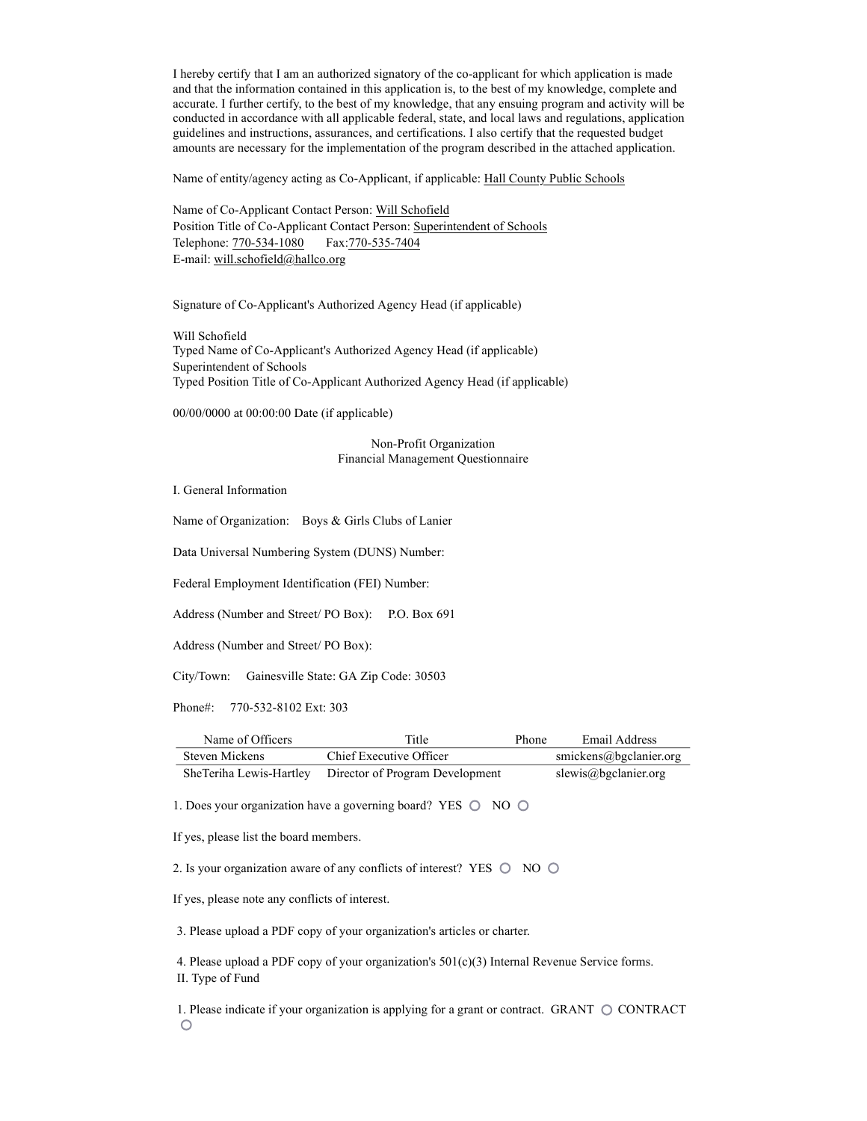I hereby certify that I am an authorized signatory of the co-applicant for which application is made and that the information contained in this application is, to the best of my knowledge, complete and accurate. I further certify, to the best of my knowledge, that any ensuing program and activity will be conducted in accordance with all applicable federal, state, and local laws and regulations, application guidelines and instructions, assurances, and certifications. I also certify that the requested budget amounts are necessary for the implementation of the program described in the attached application.

Name of entity/agency acting as Co-Applicant, if applicable: Hall County Public Schools

Name of Co-Applicant Contact Person: Will Schofield Position Title of Co-Applicant Contact Person: Superintendent of Schools Telephone: 770-534-1080 Fax:770-535-7404 E-mail: will.schofield@hallco.org

Signature of Co-Applicant's Authorized Agency Head (if applicable)

Will Schofield Typed Name of Co-Applicant's Authorized Agency Head (if applicable) Superintendent of Schools Typed Position Title of Co-Applicant Authorized Agency Head (if applicable)

00/00/0000 at 00:00:00 Date (if applicable)

Non-Profit Organization Financial Management Questionnaire

I. General Information

Name of Organization: Boys & Girls Clubs of Lanier

Data Universal Numbering System (DUNS) Number:

Federal Employment Identification (FEI) Number:

Address (Number and Street/ PO Box): P.O. Box 691

Address (Number and Street/ PO Box):

City/Town: Gainesville State: GA Zip Code: 30503

Phone#: 770-532-8102 Ext: 303

| Name of Officers | Title                                                   | <b>Phone</b> | Email Address          |
|------------------|---------------------------------------------------------|--------------|------------------------|
| Steven Mickens   | Chief Executive Officer                                 |              | smickens@bgclanier.org |
|                  | SheTeriha Lewis-Hartley Director of Program Development |              | slewis@bgclanier.org   |

1. Does your organization have a governing board? YES  $\circledcirc$  NO  $\circledcirc$ 

If yes, please list the board members.

2. Is your organization aware of any conflicts of interest? YES  $\circledcirc$  NO  $\circledcirc$ 

If yes, please note any conflicts of interest.

3. Please upload a PDF copy of your organization's articles or charter.

4. Please upload a PDF copy of your organization's  $501(c)(3)$  Internal Revenue Service forms. II. Type of Fund

1. Please indicate if your organization is applying for a grant or contract. GRANT  $\bigcirc$  CONTRACT  $\circ$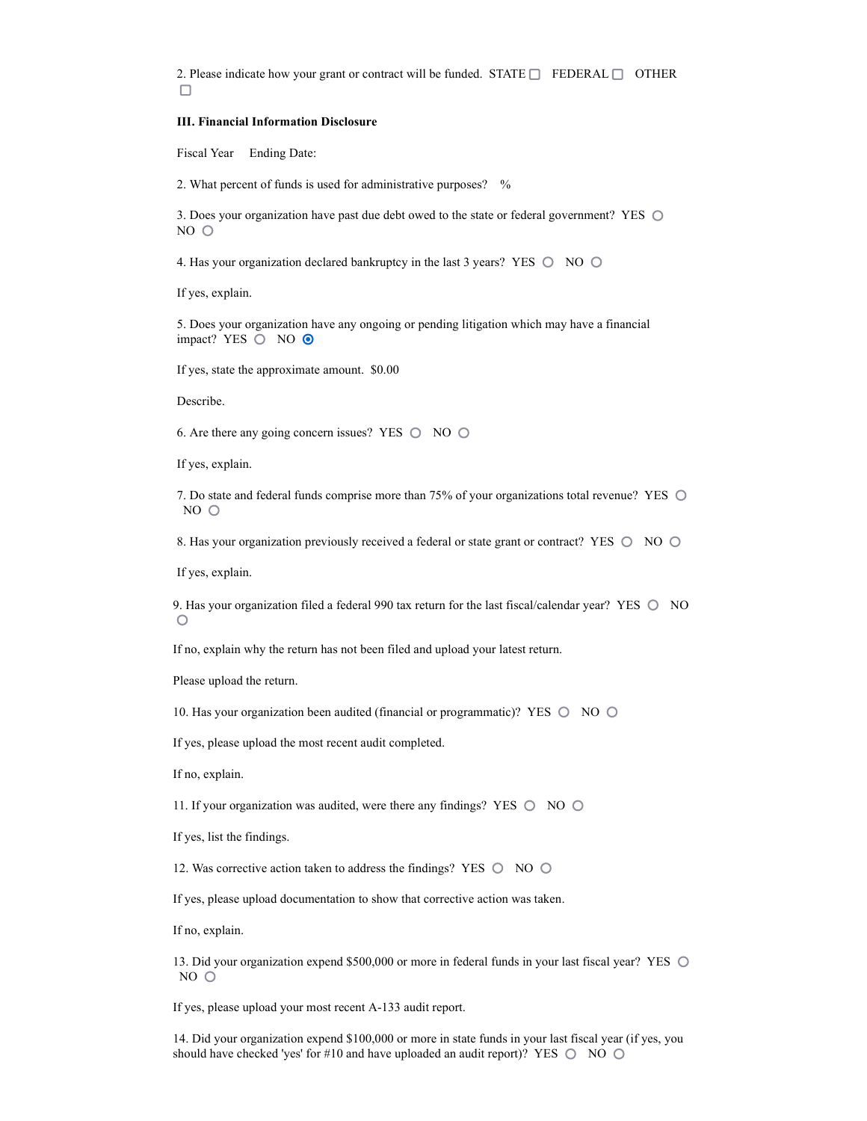2. Please indicate how your grant or contract will be funded. STATE  $\Box$  FEDERAL  $\Box$  OTHER  $\Box$ 

#### III. Financial Information Disclosure

Fiscal Year Ending Date:

2. What percent of funds is used for administrative purposes? %

3. Does your organization have past due debt owed to the state or federal government? YES  $\bigcirc$ NO O

4. Has your organization declared bankruptcy in the last 3 years? YES  $\circledcirc$  NO  $\circledcirc$ 

If yes, explain.

5. Does your organization have any ongoing or pending litigation which may have a financial impact? YES  $\bigcirc$  NO  $\bigcirc$ 

If yes, state the approximate amount. \$0.00

Describe.

6. Are there any going concern issues? YES  $\circledcirc$  NO  $\circledcirc$ 

If yes, explain.

7. Do state and federal funds comprise more than 75% of your organizations total revenue? YES  $NO$   $O$ 

8. Has your organization previously received a federal or state grant or contract? YES  $\circledcirc$  NO  $\circledcirc$ 

If yes, explain.

9. Has your organization filed a federal 990 tax return for the last fiscal/calendar year? YES  $\bigcirc$  NO  $\bigcirc$ 

If no, explain why the return has not been filed and upload your latest return.

Please upload the return.

10. Has your organization been audited (financial or programmatic)? YES  $\bigcirc$  NO  $\bigcirc$ 

If yes, please upload the most recent audit completed.

If no, explain.

11. If your organization was audited, were there any findings? YES  $\bigcirc$  NO  $\bigcirc$ 

If yes, list the findings.

12. Was corrective action taken to address the findings? YES  $\circledcirc$  NO  $\circledcirc$ 

If yes, please upload documentation to show that corrective action was taken.

If no, explain.

13. Did your organization expend \$500,000 or more in federal funds in your last fiscal year? YES  $\circ$  $NO<sub>O</sub>$ 

If yes, please upload your most recent A-133 audit report.

14. Did your organization expend \$100,000 or more in state funds in your last fiscal year (if yes, you should have checked 'yes' for #10 and have uploaded an audit report)? YES  $\bigcirc$  NO  $\bigcirc$